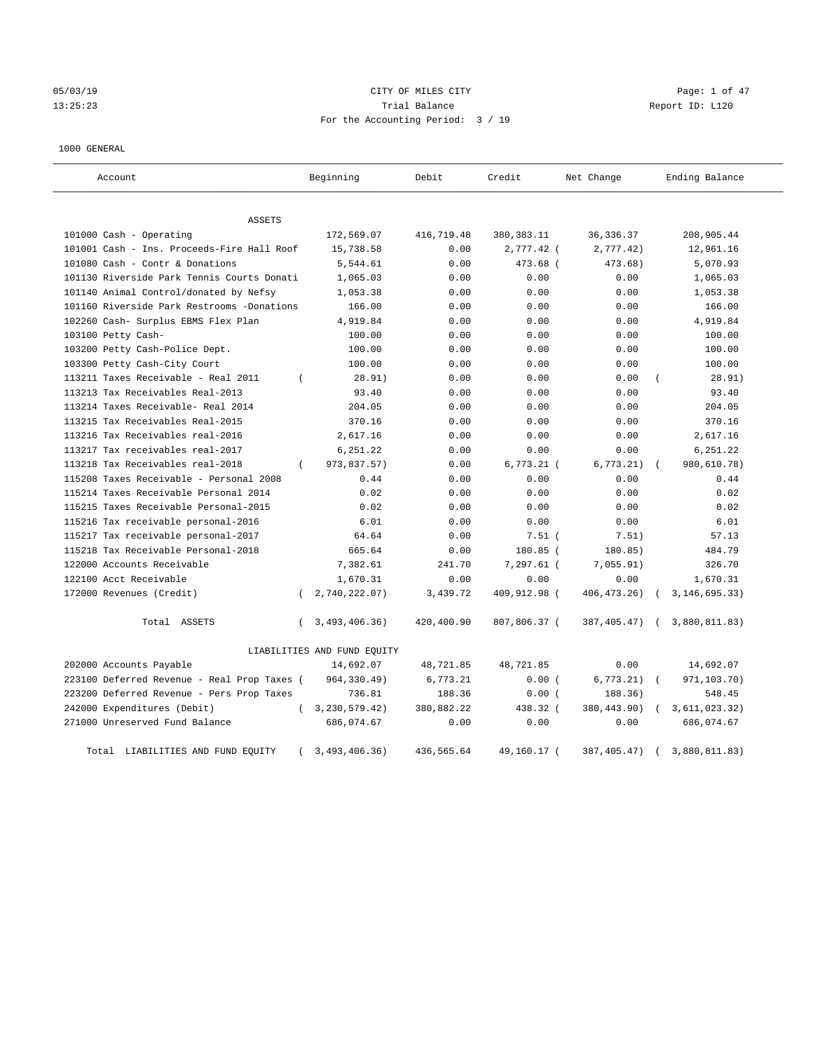# 05/03/19 CITY OF MILES CITY Page: 1 of 47 13:25:23 Trial Balance Report ID: L120 For the Accounting Period: 3 / 19

#### 1000 GENERAL

| Account                                     |          | Beginning                   | Debit      | Credit       | Net Change    |            | Ending Balance  |
|---------------------------------------------|----------|-----------------------------|------------|--------------|---------------|------------|-----------------|
| ASSETS                                      |          |                             |            |              |               |            |                 |
| 101000 Cash - Operating                     |          | 172,569.07                  | 416,719.48 | 380, 383. 11 | 36, 336.37    |            | 208,905.44      |
| 101001 Cash - Ins. Proceeds-Fire Hall Roof  |          | 15,738.58                   | 0.00       | 2,777.42 (   | 2,777.42)     |            | 12,961.16       |
| 101080 Cash - Contr & Donations             |          | 5,544.61                    | 0.00       | 473.68 (     | 473.68)       |            | 5,070.93        |
| 101130 Riverside Park Tennis Courts Donati  |          | 1,065.03                    | 0.00       | 0.00         | 0.00          |            | 1,065.03        |
| 101140 Animal Control/donated by Nefsy      |          | 1,053.38                    | 0.00       | 0.00         | 0.00          |            | 1,053.38        |
| 101160 Riverside Park Restrooms -Donations  |          | 166.00                      | 0.00       | 0.00         | 0.00          |            | 166.00          |
| 102260 Cash- Surplus EBMS Flex Plan         |          | 4,919.84                    | 0.00       | 0.00         | 0.00          |            | 4,919.84        |
| 103100 Petty Cash-                          |          | 100.00                      | 0.00       | 0.00         | 0.00          |            | 100.00          |
| 103200 Petty Cash-Police Dept.              |          | 100.00                      | 0.00       | 0.00         | 0.00          |            | 100.00          |
| 103300 Petty Cash-City Court                |          | 100.00                      | 0.00       | 0.00         | 0.00          |            | 100.00          |
| 113211 Taxes Receivable - Real 2011         | $\left($ | 28.91)                      | 0.00       | 0.00         | 0.00          |            | 28.91)          |
| 113213 Tax Receivables Real-2013            |          | 93.40                       | 0.00       | 0.00         | 0.00          |            | 93.40           |
| 113214 Taxes Receivable- Real 2014          |          | 204.05                      | 0.00       | 0.00         | 0.00          |            | 204.05          |
| 113215 Tax Receivables Real-2015            |          | 370.16                      | 0.00       | 0.00         | 0.00          |            | 370.16          |
| 113216 Tax Receivables real-2016            |          | 2,617.16                    | 0.00       | 0.00         | 0.00          |            | 2,617.16        |
| 113217 Tax receivables real-2017            |          | 6,251.22                    | 0.00       | 0.00         | 0.00          |            | 6,251.22        |
| 113218 Tax Receivables real-2018            | $\left($ | 973,837.57)                 | 0.00       | $6,773.21$ ( | 6, 773.21)    | $\sqrt{2}$ | 980,610.78)     |
| 115208 Taxes Receivable - Personal 2008     |          | 0.44                        | 0.00       | 0.00         | 0.00          |            | 0.44            |
| 115214 Taxes Receivable Personal 2014       |          | 0.02                        | 0.00       | 0.00         | 0.00          |            | 0.02            |
| 115215 Taxes Receivable Personal-2015       |          | 0.02                        | 0.00       | 0.00         | 0.00          |            | 0.02            |
| 115216 Tax receivable personal-2016         |          | 6.01                        | 0.00       | 0.00         | 0.00          |            | 6.01            |
| 115217 Tax receivable personal-2017         |          | 64.64                       | 0.00       | $7.51$ (     | 7.51)         |            | 57.13           |
| 115218 Tax Receivable Personal-2018         |          | 665.64                      | 0.00       | 180.85 (     | 180.85)       |            | 484.79          |
| 122000 Accounts Receivable                  |          | 7,382.61                    | 241.70     | $7,297.61$ ( | 7,055.91)     |            | 326.70          |
| 122100 Acct Receivable                      |          | 1,670.31                    | 0.00       | 0.00         | 0.00          |            | 1,670.31        |
| 172000 Revenues (Credit)                    | $\left($ | 2,740,222.07)               | 3,439.72   | 409,912.98 ( | 406, 473. 26) | $\sqrt{2}$ | 3, 146, 695.33) |
| Total ASSETS                                | $\left($ | 3,493,406.36)               | 420,400.90 | 807,806.37 ( | 387,405.47)   | $\sqrt{2}$ | 3,880,811.83)   |
|                                             |          | LIABILITIES AND FUND EQUITY |            |              |               |            |                 |
| 202000 Accounts Payable                     |          | 14,692.07                   | 48,721.85  | 48,721.85    | 0.00          |            | 14,692.07       |
| 223100 Deferred Revenue - Real Prop Taxes ( |          | 964, 330.49)                | 6,773.21   | 0.00(        | 6,773.21)     |            | 971,103.70)     |
| 223200 Deferred Revenue - Pers Prop Taxes   |          | 736.81                      | 188.36     | 0.00(        | 188.36)       |            | 548.45          |
| 242000 Expenditures (Debit)                 | $\left($ | 3, 230, 579. 42)            | 380,882.22 | 438.32 (     | 380,443.90)   |            | 3,611,023.32)   |
| 271000 Unreserved Fund Balance              |          | 686,074.67                  | 0.00       | 0.00         | 0.00          |            | 686,074.67      |
| Total LIABILITIES AND FUND EQUITY           |          | 3,493,406.36)               | 436,565.64 | 49,160.17 (  | 387,405.47)   |            | 3,880,811.83)   |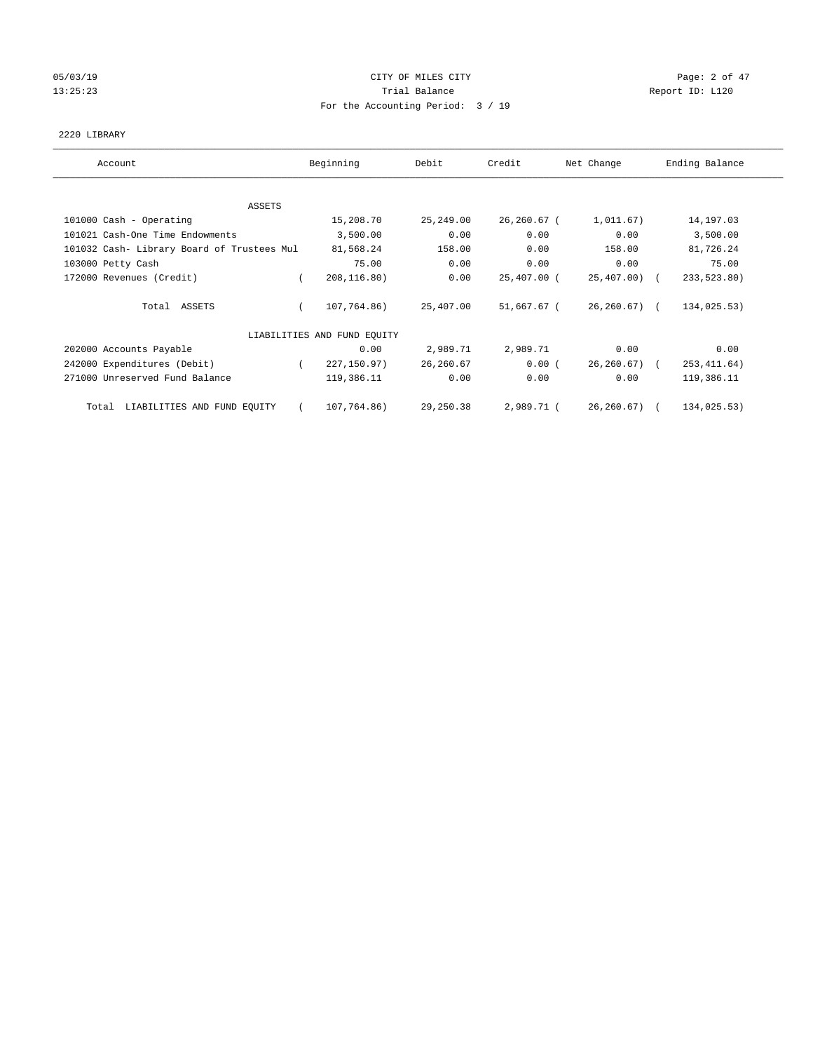# 05/03/19 Page: 2 of 47 13:25:23 Trial Balance Report ID: L120 For the Accounting Period: 3 / 19

#### 2220 LIBRARY

| Account                                    | Beginning                   | Debit      | Credit         | Net Change       | Ending Balance |
|--------------------------------------------|-----------------------------|------------|----------------|------------------|----------------|
|                                            |                             |            |                |                  |                |
| ASSETS<br>101000 Cash - Operating          | 15,208.70                   | 25,249.00  | $26, 260.67$ ( | 1,011.67)        | 14, 197.03     |
| 101021 Cash-One Time Endowments            | 3,500.00                    | 0.00       | 0.00           | 0.00             | 3,500.00       |
| 101032 Cash- Library Board of Trustees Mul | 81,568.24                   | 158.00     | 0.00           | 158.00           | 81,726.24      |
| 103000 Petty Cash                          | 75.00                       | 0.00       | 0.00           | 0.00             | 75.00          |
| 172000 Revenues (Credit)                   | 208, 116.80)                | 0.00       | 25,407.00 (    | $25,407.00$ (    | 233,523.80)    |
| Total ASSETS                               | 107,764.86)                 | 25,407.00  | 51,667.67 (    | $26, 260.67$ ) ( | 134,025.53)    |
|                                            | LIABILITIES AND FUND EQUITY |            |                |                  |                |
| 202000 Accounts Payable                    | 0.00                        | 2,989.71   | 2,989.71       | 0.00             | 0.00           |
| 242000 Expenditures (Debit)                | 227, 150.97)                | 26, 260.67 | 0.00(          | $26, 260.67$ (   | 253, 411.64)   |
| 271000 Unreserved Fund Balance             | 119,386.11                  | 0.00       | 0.00           | 0.00             | 119,386.11     |
| LIABILITIES AND FUND EQUITY<br>Total       | 107,764.86)                 | 29,250.38  | 2,989.71 (     | 26, 260.67)      | 134,025.53)    |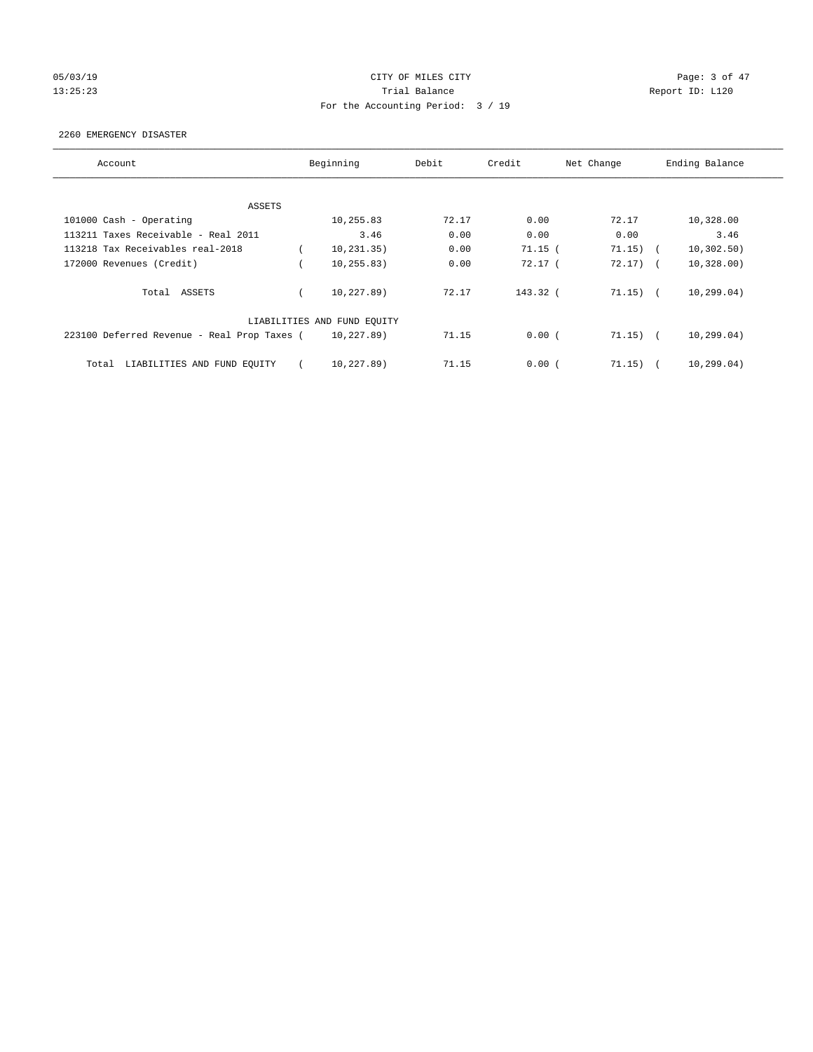# 05/03/19 CITY OF MILES CITY Page: 3 of 47 13:25:23 Trial Balance Report ID: L120 For the Accounting Period: 3 / 19

#### 2260 EMERGENCY DISASTER

| Account                                     | Beginning                   | Debit | Credit    | Net Change       | Ending Balance |
|---------------------------------------------|-----------------------------|-------|-----------|------------------|----------------|
|                                             |                             |       |           |                  |                |
| ASSETS                                      |                             |       |           |                  |                |
| 101000 Cash - Operating                     | 10,255.83                   | 72.17 | 0.00      | 72.17            | 10,328.00      |
| 113211 Taxes Receivable - Real 2011         | 3.46                        | 0.00  | 0.00      | 0.00             | 3.46           |
| 113218 Tax Receivables real-2018            | 10, 231, 35)                | 0.00  | $71.15$ ( | 71.15)<br>$\sim$ | 10, 302.50)    |
| 172000 Revenues (Credit)                    | 10, 255.83)                 | 0.00  | 72.17(    | $72.17)$ (       | 10,328.00)     |
| Total ASSETS                                | 10,227.89)                  | 72.17 | 143.32 (  | 71.15)           | 10, 299.04)    |
|                                             | LIABILITIES AND FUND EQUITY |       |           |                  |                |
| 223100 Deferred Revenue - Real Prop Taxes ( | 10,227.89)                  | 71.15 | 0.00(     | $71.15)$ (       | 10, 299.04)    |
| LIABILITIES AND FUND EQUITY<br>Total        | 10,227.89)                  | 71.15 | 0.00(     | 71.15)           | 10, 299.04)    |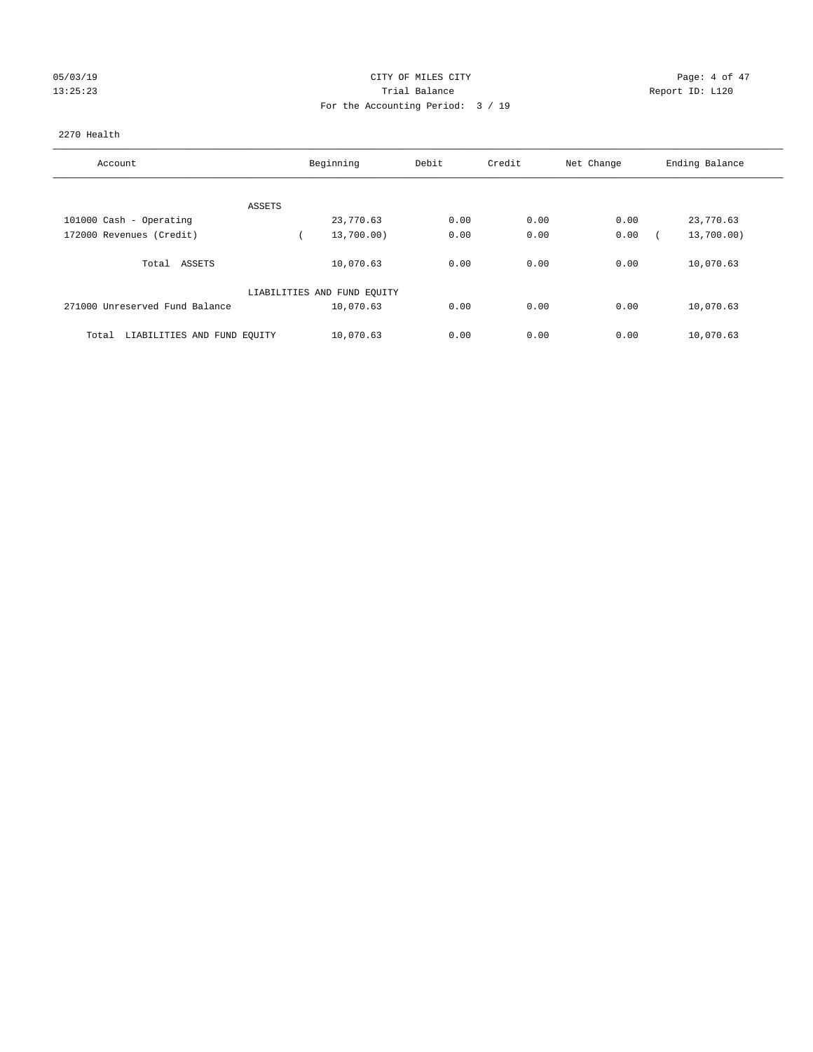# 05/03/19 CITY OF MILES CITY Page: 4 of 47 13:25:23 Trial Balance Report ID: L120 For the Accounting Period: 3 / 19

#### 2270 Health

| Account                              | Beginning                   | Debit | Credit | Net Change | Ending Balance |
|--------------------------------------|-----------------------------|-------|--------|------------|----------------|
|                                      |                             |       |        |            |                |
| ASSETS                               |                             |       |        |            |                |
| 101000 Cash - Operating              | 23,770.63                   | 0.00  | 0.00   | 0.00       | 23,770.63      |
| 172000 Revenues (Credit)             | 13,700.00)                  | 0.00  | 0.00   | 0.00       | 13,700.00)     |
| Total ASSETS                         | 10,070.63                   | 0.00  | 0.00   | 0.00       | 10,070.63      |
|                                      | LIABILITIES AND FUND EQUITY |       |        |            |                |
| 271000 Unreserved Fund Balance       | 10,070.63                   | 0.00  | 0.00   | 0.00       | 10,070.63      |
| LIABILITIES AND FUND EQUITY<br>Total | 10,070.63                   | 0.00  | 0.00   | 0.00       | 10,070.63      |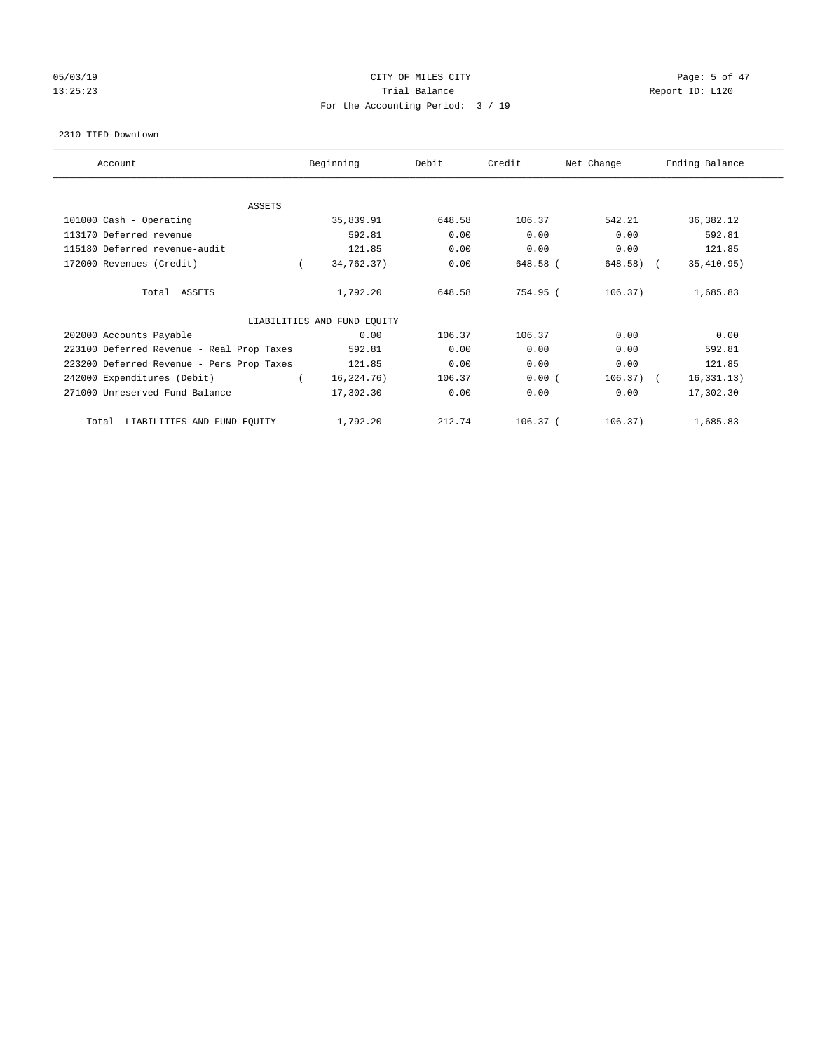# 05/03/19 CITY OF MILES CITY Page: 5 of 47 13:25:23 Trial Balance Report ID: L120 For the Accounting Period: 3 / 19

#### 2310 TIFD-Downtown

| Account                                   | Beginning                   | Debit  | Credit     | Net Change  | Ending Balance |
|-------------------------------------------|-----------------------------|--------|------------|-------------|----------------|
| <b>ASSETS</b>                             |                             |        |            |             |                |
| 101000 Cash - Operating                   | 35,839.91                   | 648.58 | 106.37     | 542.21      | 36, 382.12     |
| 113170 Deferred revenue                   | 592.81                      | 0.00   | 0.00       | 0.00        | 592.81         |
| 115180 Deferred revenue-audit             | 121.85                      | 0.00   | 0.00       | 0.00        | 121.85         |
| 172000 Revenues (Credit)                  | 34,762.37)                  | 0.00   | 648.58 (   | 648.58) (   | 35,410.95)     |
| Total ASSETS                              | 1,792.20                    | 648.58 | 754.95 (   | 106.37)     | 1,685.83       |
|                                           | LIABILITIES AND FUND EQUITY |        |            |             |                |
| 202000 Accounts Payable                   | 0.00                        | 106.37 | 106.37     | 0.00        | 0.00           |
| 223100 Deferred Revenue - Real Prop Taxes | 592.81                      | 0.00   | 0.00       | 0.00        | 592.81         |
| 223200 Deferred Revenue - Pers Prop Taxes | 121.85                      | 0.00   | 0.00       | 0.00        | 121.85         |
| 242000 Expenditures (Debit)               | 16,224.76)                  | 106.37 | 0.00(      | $106.37)$ ( | 16, 331.13)    |
| 271000 Unreserved Fund Balance            | 17,302.30                   | 0.00   | 0.00       | 0.00        | 17,302.30      |
| LIABILITIES AND FUND EQUITY<br>Total      | 1,792.20                    | 212.74 | $106.37$ ( | 106.37)     | 1,685.83       |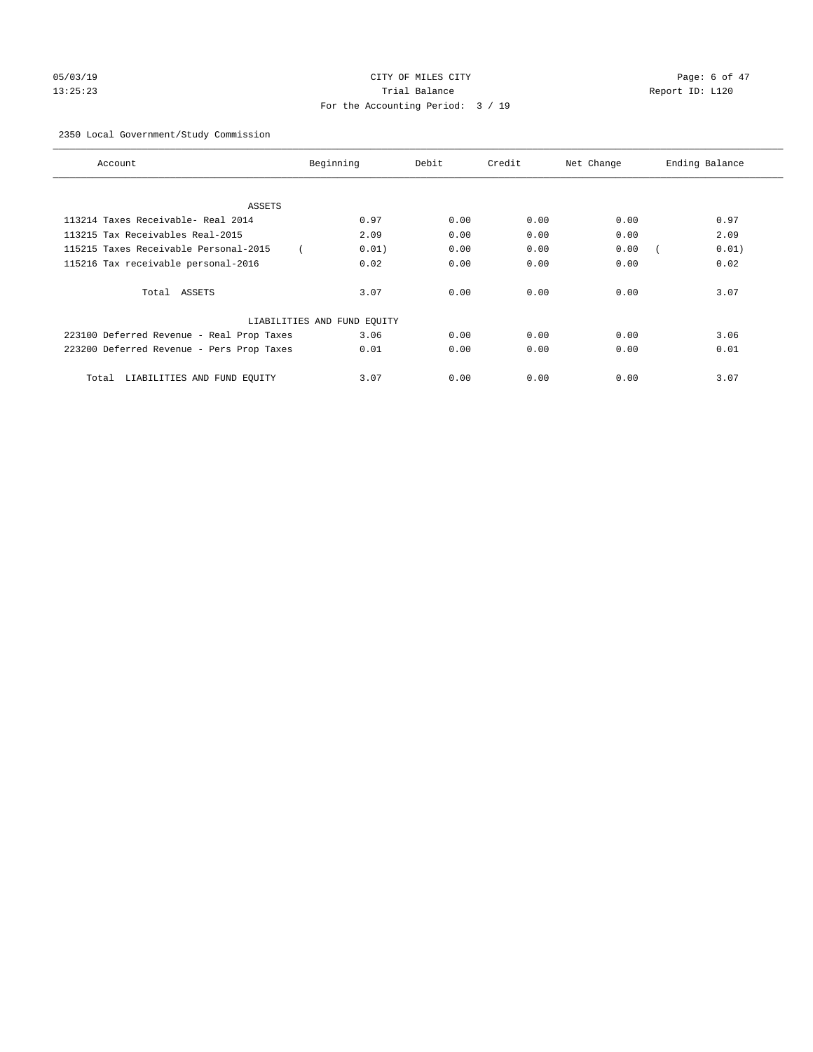# 05/03/19 Page: 6 of 47 13:25:23 Trial Balance Report ID: L120 For the Accounting Period: 3 / 19

# 2350 Local Government/Study Commission

| Account                                   | Beginning                   | Debit | Credit | Net Change | Ending Balance |
|-------------------------------------------|-----------------------------|-------|--------|------------|----------------|
|                                           |                             |       |        |            |                |
| ASSETS                                    |                             |       |        |            |                |
| 113214 Taxes Receivable- Real 2014        | 0.97                        | 0.00  | 0.00   | 0.00       | 0.97           |
| 113215 Tax Receivables Real-2015          | 2.09                        | 0.00  | 0.00   | 0.00       | 2.09           |
| 115215 Taxes Receivable Personal-2015     | 0.01)                       | 0.00  | 0.00   | 0.00       | 0.01)          |
| 115216 Tax receivable personal-2016       | 0.02                        | 0.00  | 0.00   | 0.00       | 0.02           |
| Total ASSETS                              | 3.07                        | 0.00  | 0.00   | 0.00       | 3.07           |
|                                           | LIABILITIES AND FUND EQUITY |       |        |            |                |
| 223100 Deferred Revenue - Real Prop Taxes | 3.06                        | 0.00  | 0.00   | 0.00       | 3.06           |
| 223200 Deferred Revenue - Pers Prop Taxes | 0.01                        | 0.00  | 0.00   | 0.00       | 0.01           |
| LIABILITIES AND FUND EQUITY<br>Total      | 3.07                        | 0.00  | 0.00   | 0.00       | 3.07           |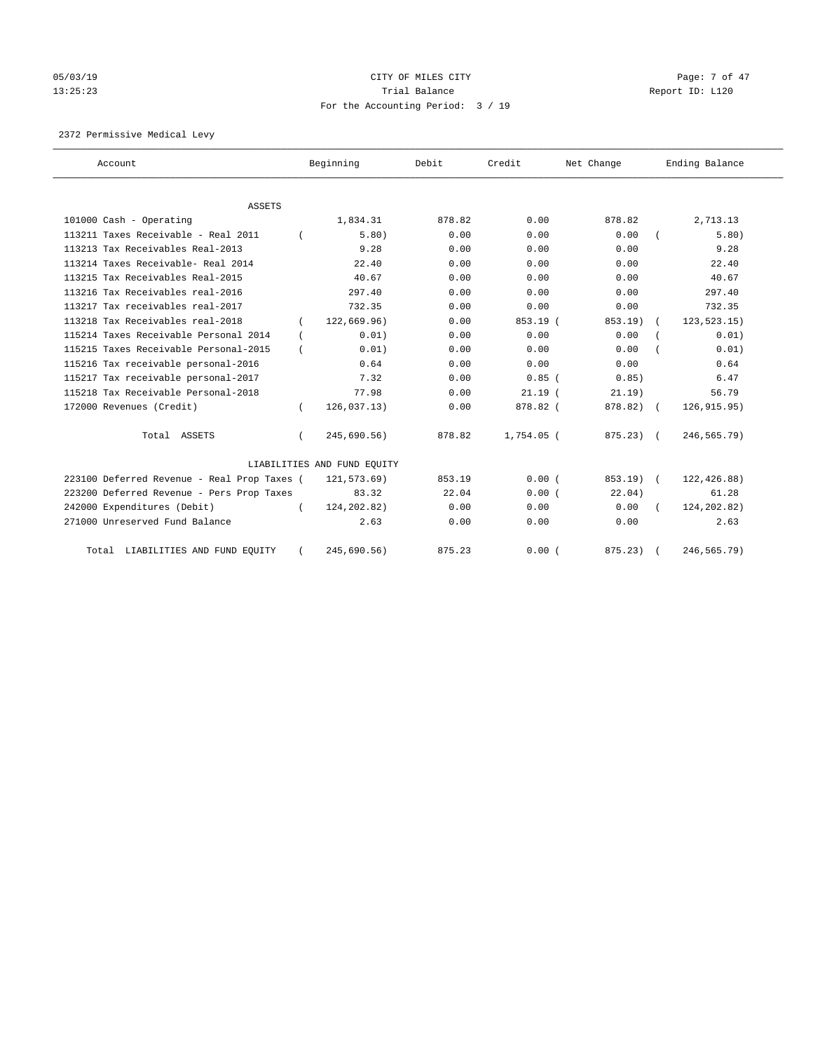# 05/03/19 Page: 7 of 47 13:25:23 Trial Balance Report ID: L120 For the Accounting Period: 3 / 19

2372 Permissive Medical Levy

| Account                                     |          | Beginning                   | Debit  | Credit     | Net Change   | Ending Balance |
|---------------------------------------------|----------|-----------------------------|--------|------------|--------------|----------------|
| ASSETS                                      |          |                             |        |            |              |                |
| 101000 Cash - Operating                     |          | 1,834.31                    | 878.82 | 0.00       | 878.82       | 2,713.13       |
| 113211 Taxes Receivable - Real 2011         |          | 5.80)                       | 0.00   | 0.00       | 0.00         | 5.80)          |
| 113213 Tax Receivables Real-2013            |          | 9.28                        | 0.00   | 0.00       | 0.00         | 9.28           |
| 113214 Taxes Receivable- Real 2014          |          | 22.40                       | 0.00   | 0.00       | 0.00         | 22.40          |
| 113215 Tax Receivables Real-2015            |          | 40.67                       | 0.00   | 0.00       | 0.00         | 40.67          |
| 113216 Tax Receivables real-2016            |          | 297.40                      | 0.00   | 0.00       | 0.00         | 297.40         |
| 113217 Tax receivables real-2017            |          | 732.35                      | 0.00   | 0.00       | 0.00         | 732.35         |
| 113218 Tax Receivables real-2018            |          | 122.669.96                  | 0.00   | $853.19$ ( | 853.19)      | 123, 523. 15)  |
| 115214 Taxes Receivable Personal 2014       |          | 0.01)                       | 0.00   | 0.00       | 0.00         | 0.01)          |
| 115215 Taxes Receivable Personal-2015       |          | 0.01)                       | 0.00   | 0.00       | 0.00         | 0.01)          |
| 115216 Tax receivable personal-2016         |          | 0.64                        | 0.00   | 0.00       | 0.00         | 0.64           |
| 115217 Tax receivable personal-2017         |          | 7.32                        | 0.00   | $0.85$ (   | 0.85)        | 6.47           |
| 115218 Tax Receivable Personal-2018         |          | 77.98                       | 0.00   | 21.19(     | $21.19$ )    | 56.79          |
| 172000 Revenues (Credit)                    |          | 126,037.13)                 | 0.00   | 878.82 (   | 878.82) (    | 126, 915.95)   |
| Total ASSETS                                | $\left($ | 245,690.56)                 | 878.82 | 1,754.05 ( | $875.23$ ) ( | 246,565.79)    |
|                                             |          | LIABILITIES AND FUND EQUITY |        |            |              |                |
| 223100 Deferred Revenue - Real Prop Taxes ( |          | 121,573.69)                 | 853.19 | 0.00(      | 853.19) (    | 122,426.88)    |
| 223200 Deferred Revenue - Pers Prop Taxes   |          | 83.32                       | 22.04  | 0.00(      | 22.04)       | 61.28          |
| 242000 Expenditures (Debit)                 |          | 124, 202.82)                | 0.00   | 0.00       | 0.00         | 124, 202.82)   |
| 271000 Unreserved Fund Balance              |          | 2.63                        | 0.00   | 0.00       | 0.00         | 2.63           |
| Total LIABILITIES AND FUND EQUITY           |          | 245,690.56)                 | 875.23 | 0.00(      | 875.23) (    | 246,565.79)    |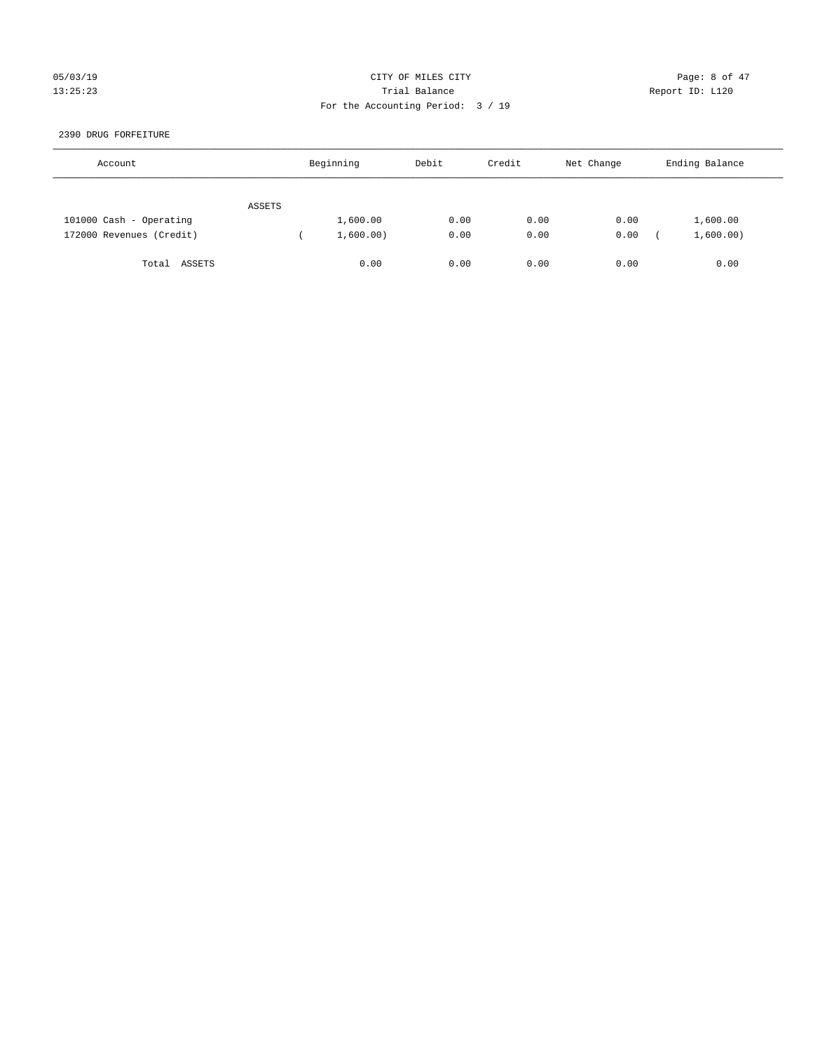# 05/03/19 Page: 8 of 47 13:25:23 Trial Balance Report ID: L120 For the Accounting Period: 3 / 19

#### 2390 DRUG FORFEITURE

| Account                  |        | Beginning | Debit | Credit | Net Change | Ending Balance |
|--------------------------|--------|-----------|-------|--------|------------|----------------|
|                          | ASSETS |           |       |        |            |                |
| 101000 Cash - Operating  |        | 1,600.00  | 0.00  | 0.00   | 0.00       | 1,600.00       |
| 172000 Revenues (Credit) |        | 1,600.00) | 0.00  | 0.00   | 0.00       | 1,600.00)      |
| ASSETS<br>Total          |        | 0.00      | 0.00  | 0.00   | 0.00       | 0.00           |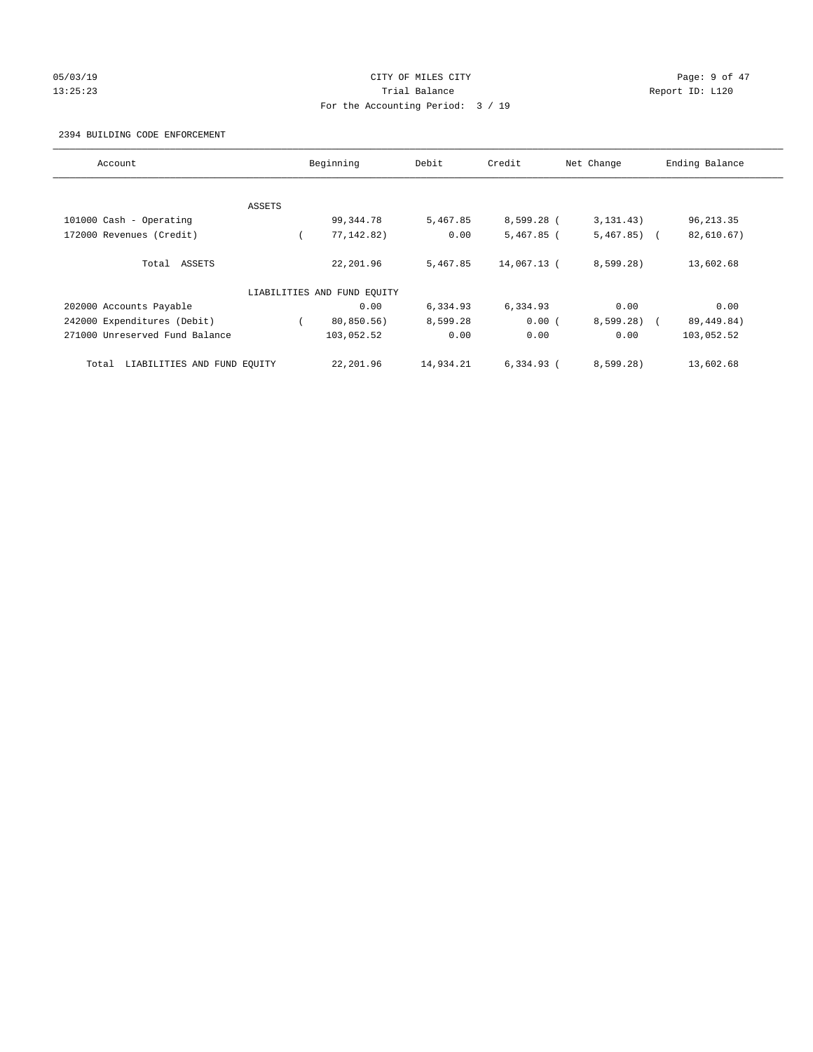# 05/03/19 Page: 9 of 47 13:25:23 Trial Balance Report ID: L120 For the Accounting Period: 3 / 19

#### 2394 BUILDING CODE ENFORCEMENT

| Account                              |        | Beginning                   | Debit     | Credit       | Net Change   | Ending Balance |
|--------------------------------------|--------|-----------------------------|-----------|--------------|--------------|----------------|
|                                      |        |                             |           |              |              |                |
|                                      | ASSETS |                             |           |              |              |                |
| 101000 Cash - Operating              |        | 99,344.78                   | 5,467.85  | 8,599.28 (   | 3, 131, 43)  | 96, 213.35     |
| 172000 Revenues (Credit)             |        | 77, 142.82)                 | 0.00      | $5,467.85$ ( | $5,467.85$ ( | 82,610.67)     |
| Total ASSETS                         |        | 22,201.96                   | 5,467.85  | 14,067.13 (  | 8,599.28     | 13,602.68      |
|                                      |        | LIABILITIES AND FUND EQUITY |           |              |              |                |
| 202000 Accounts Payable              |        | 0.00                        | 6,334.93  | 6,334.93     | 0.00         | 0.00           |
| 242000 Expenditures (Debit)          |        | 80,850.56)                  | 8,599.28  | 0.00(        | $8,599.28$ ( | 89, 449.84)    |
| 271000 Unreserved Fund Balance       |        | 103,052.52                  | 0.00      | 0.00         | 0.00         | 103,052.52     |
| LIABILITIES AND FUND EQUITY<br>Total |        | 22,201.96                   | 14,934.21 | $6.334.93$ ( | 8,599.28)    | 13,602.68      |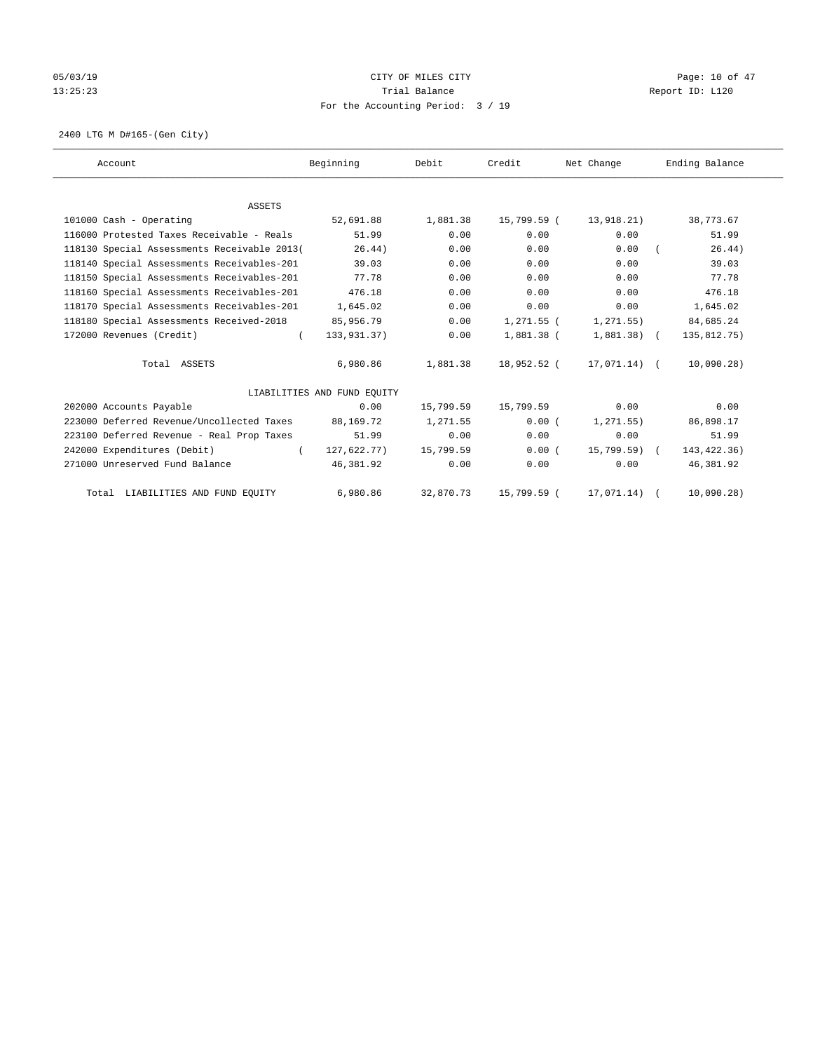# 05/03/19 Page: 10 of 47 13:25:23 Trial Balance Trial Balance Report ID: L120 For the Accounting Period: 3 / 19

2400 LTG M D#165-(Gen City)

| Account                                     | Beginning                   | Debit     | Credit       | Net Change   | Ending Balance |
|---------------------------------------------|-----------------------------|-----------|--------------|--------------|----------------|
|                                             |                             |           |              |              |                |
| <b>ASSETS</b>                               |                             |           |              |              |                |
| 101000 Cash - Operating                     | 52,691.88                   | 1,881.38  | 15,799.59 (  | 13,918.21)   | 38,773.67      |
| 116000 Protested Taxes Receivable - Reals   | 51.99                       | 0.00      | 0.00         | 0.00         | 51.99          |
| 118130 Special Assessments Receivable 2013( | 26.44)                      | 0.00      | 0.00         | 0.00         | 26.44)         |
| 118140 Special Assessments Receivables-201  | 39.03                       | 0.00      | 0.00         | 0.00         | 39.03          |
| 118150 Special Assessments Receivables-201  | 77.78                       | 0.00      | 0.00         | 0.00         | 77.78          |
| 118160 Special Assessments Receivables-201  | 476.18                      | 0.00      | 0.00         | 0.00         | 476.18         |
| 118170 Special Assessments Receivables-201  | 1,645.02                    | 0.00      | 0.00         | 0.00         | 1,645.02       |
| 118180 Special Assessments Received-2018    | 85,956.79                   | 0.00      | 1,271.55 (   | 1, 271.55)   | 84,685.24      |
| 172000 Revenues (Credit)<br>$\left($        | 133,931.37)                 | 0.00      | $1,881.38$ ( | $1,881.38$ ( | 135,812.75)    |
| Total ASSETS                                | 6,980.86                    | 1,881.38  | 18,952.52 (  | 17,071.14) ( | 10,090.28)     |
|                                             | LIABILITIES AND FUND EQUITY |           |              |              |                |
| 202000 Accounts Payable                     | 0.00                        | 15,799.59 | 15,799.59    | 0.00         | 0.00           |
| 223000 Deferred Revenue/Uncollected Taxes   | 88,169.72                   | 1,271.55  | 0.00(        | 1, 271.55)   | 86,898.17      |
| 223100 Deferred Revenue - Real Prop Taxes   | 51.99                       | 0.00      | 0.00         | 0.00         | 51.99          |
| 242000 Expenditures (Debit)<br>$\left($     | 127,622.77)                 | 15,799.59 | 0.00(        | 15,799.59) ( | 143, 422.36)   |
| 271000 Unreserved Fund Balance              | 46,381.92                   | 0.00      | 0.00         | 0.00         | 46,381.92      |
| Total LIABILITIES AND FUND EQUITY           | 6,980.86                    | 32,870.73 | 15,799.59 (  | 17,071.14)   | 10,090.28)     |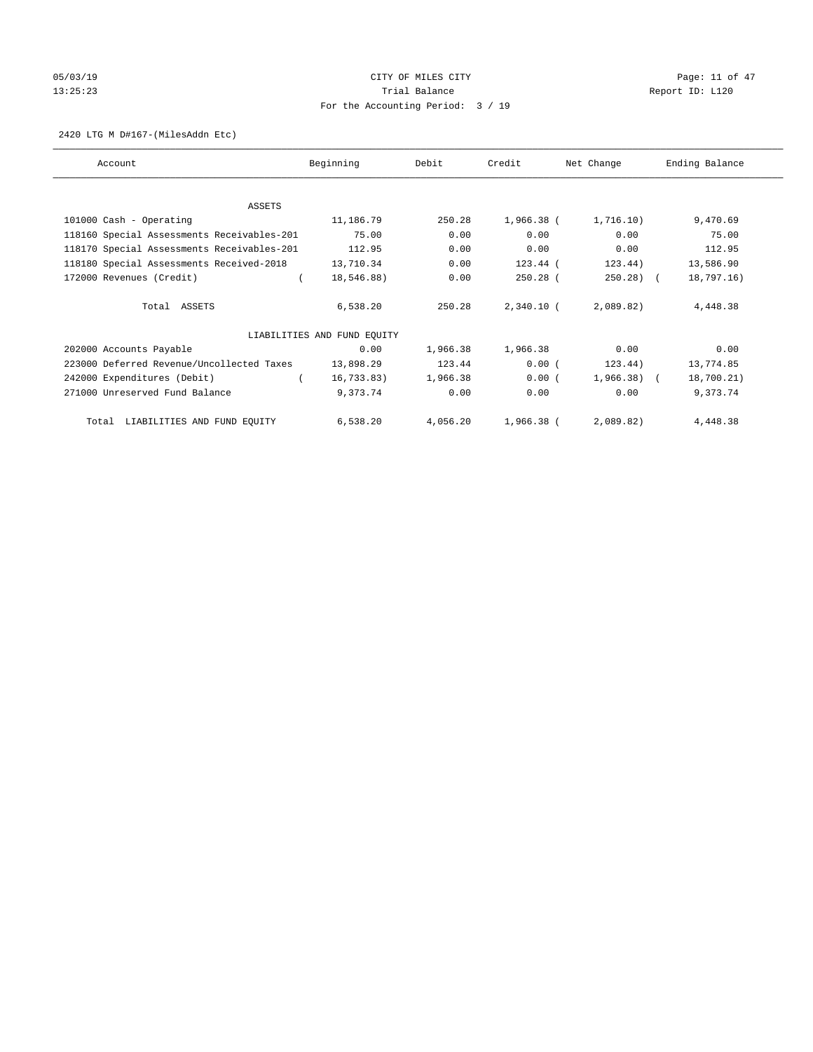# 05/03/19 Page: 11 of 47 13:25:23 Trial Balance Trial Balance Report ID: L120 For the Accounting Period: 3 / 19

#### 2420 LTG M D#167-(MilesAddn Etc)

| Account                                    | Beginning                   | Debit    | Credit       | Net Change   | Ending Balance |
|--------------------------------------------|-----------------------------|----------|--------------|--------------|----------------|
|                                            |                             |          |              |              |                |
| ASSETS                                     |                             |          |              |              |                |
| 101000 Cash - Operating                    | 11,186.79                   | 250.28   | 1,966.38 (   | 1,716.10)    | 9,470.69       |
| 118160 Special Assessments Receivables-201 | 75.00                       | 0.00     | 0.00         | 0.00         | 75.00          |
| 118170 Special Assessments Receivables-201 | 112.95                      | 0.00     | 0.00         | 0.00         | 112.95         |
| 118180 Special Assessments Received-2018   | 13,710.34                   | 0.00     | 123.44 (     | 123.44)      | 13,586.90      |
| 172000 Revenues (Credit)                   | 18,546.88)                  | 0.00     | $250.28$ (   | $250.28$ (   | 18,797.16)     |
| Total ASSETS                               | 6,538.20                    | 250.28   | $2,340.10$ ( | 2,089.82)    | 4,448.38       |
|                                            | LIABILITIES AND FUND EQUITY |          |              |              |                |
| 202000 Accounts Payable                    | 0.00                        | 1,966.38 | 1,966.38     | 0.00         | 0.00           |
| 223000 Deferred Revenue/Uncollected Taxes  | 13,898.29                   | 123.44   | 0.00(        | 123.44)      | 13,774.85      |
| 242000 Expenditures (Debit)                | 16,733.83)                  | 1,966.38 | 0.00(        | $1,966.38$ ( | 18,700.21)     |
| 271000 Unreserved Fund Balance             | 9,373.74                    | 0.00     | 0.00         | 0.00         | 9,373.74       |
| Total LIABILITIES AND FUND EQUITY          | 6,538.20                    | 4,056.20 | 1,966.38 (   | 2,089.82)    | 4,448.38       |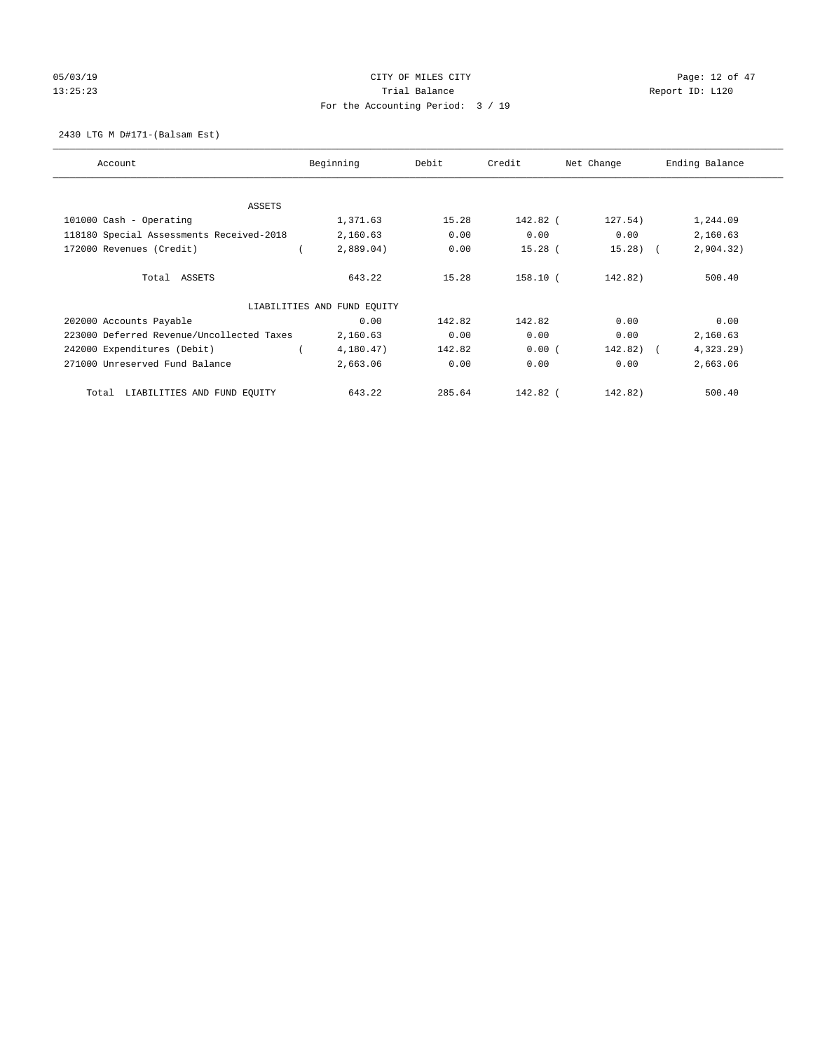# 05/03/19 Page: 12 of 47 13:25:23 Trial Balance Trial Balance Report ID: L120 For the Accounting Period: 3 / 19

2430 LTG M D#171-(Balsam Est)

| Account                                   | Beginning                   | Debit  | Credit     | Net Change | Ending Balance |
|-------------------------------------------|-----------------------------|--------|------------|------------|----------------|
| ASSETS                                    |                             |        |            |            |                |
| 101000 Cash - Operating                   | 1,371.63                    | 15.28  | 142.82 (   | 127.54)    | 1,244.09       |
| 118180 Special Assessments Received-2018  | 2,160.63                    | 0.00   | 0.00       | 0.00       | 2,160.63       |
| 172000 Revenues (Credit)                  | 2,889.04)                   | 0.00   | $15.28$ (  | $15.28$ (  | 2,904.32)      |
| Total ASSETS                              | 643.22                      | 15.28  | 158.10 (   | 142.82)    | 500.40         |
|                                           | LIABILITIES AND FUND EQUITY |        |            |            |                |
| 202000 Accounts Payable                   | 0.00                        | 142.82 | 142.82     | 0.00       | 0.00           |
| 223000 Deferred Revenue/Uncollected Taxes | 2,160.63                    | 0.00   | 0.00       | 0.00       | 2,160.63       |
| 242000 Expenditures (Debit)               | 4,180.47)                   | 142.82 | 0.00(      | 142.82) (  | 4,323.29       |
| 271000 Unreserved Fund Balance            | 2,663.06                    | 0.00   | 0.00       | 0.00       | 2,663.06       |
| LIABILITIES AND FUND EQUITY<br>Total      | 643.22                      | 285.64 | $142.82$ ( | 142.82)    | 500.40         |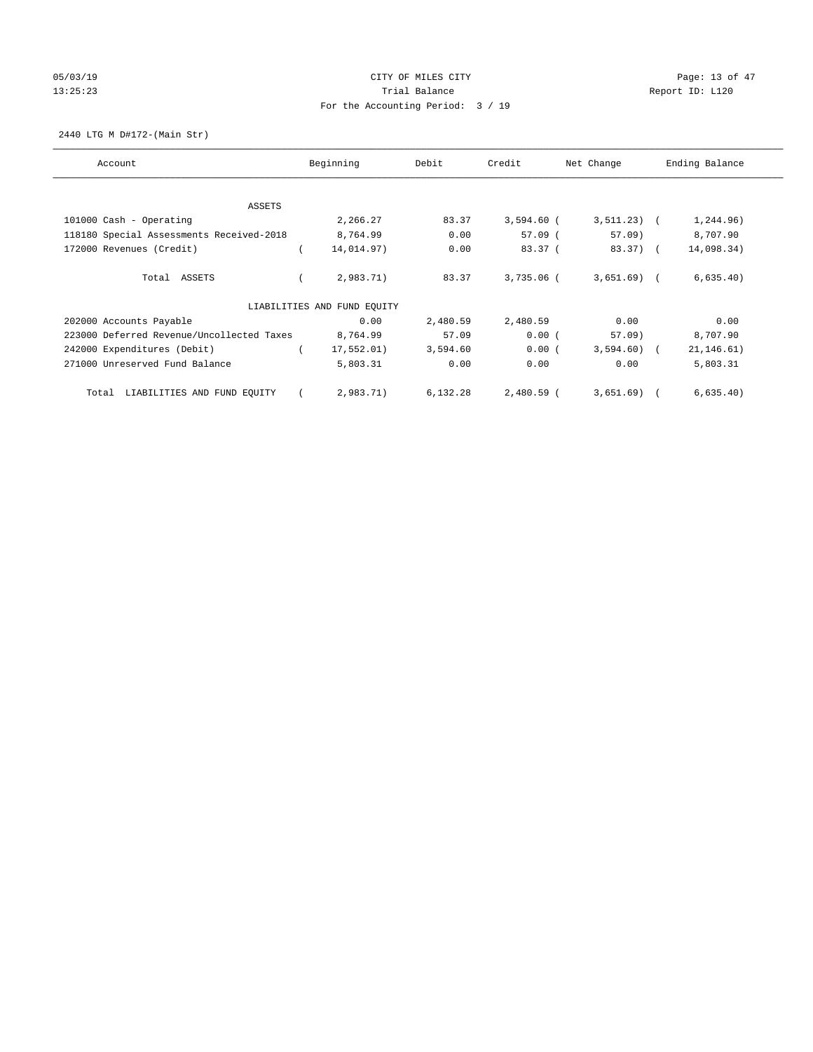# 05/03/19 Page: 13 of 47 13:25:23 Trial Balance Trial Balance Report ID: L120 For the Accounting Period: 3 / 19

2440 LTG M D#172-(Main Str)

| Account                                   | Beginning                   | Debit    | Credit     | Net Change   | Ending Balance |
|-------------------------------------------|-----------------------------|----------|------------|--------------|----------------|
| ASSETS                                    |                             |          |            |              |                |
| 101000 Cash - Operating                   | 2,266.27                    | 83.37    | 3,594.60 ( | $3,511.23$ ( | 1,244.96)      |
| 118180 Special Assessments Received-2018  | 8,764.99                    | 0.00     | $57.09$ (  | $57.09$ )    | 8,707.90       |
| 172000 Revenues (Credit)                  | 14,014.97)                  | 0.00     | 83.37(     | 83.37) (     | 14,098.34)     |
| Total ASSETS                              | 2,983.71)                   | 83.37    | 3,735.06 ( | $3,651.69$ ( | 6,635.40)      |
|                                           | LIABILITIES AND FUND EQUITY |          |            |              |                |
| 202000 Accounts Payable                   | 0.00                        | 2,480.59 | 2,480.59   | 0.00         | 0.00           |
| 223000 Deferred Revenue/Uncollected Taxes | 8,764.99                    | 57.09    | 0.00(      | $57.09$ )    | 8,707.90       |
| 242000 Expenditures (Debit)               | 17,552.01)                  | 3,594.60 | 0.00(      | $3,594.60$ ( | 21, 146.61)    |
| 271000 Unreserved Fund Balance            | 5,803.31                    | 0.00     | 0.00       | 0.00         | 5,803.31       |
| LIABILITIES AND FUND EQUITY<br>Total      | 2,983.71)                   | 6,132.28 | 2,480.59 ( | 3,651.69)    | 6,635.40)      |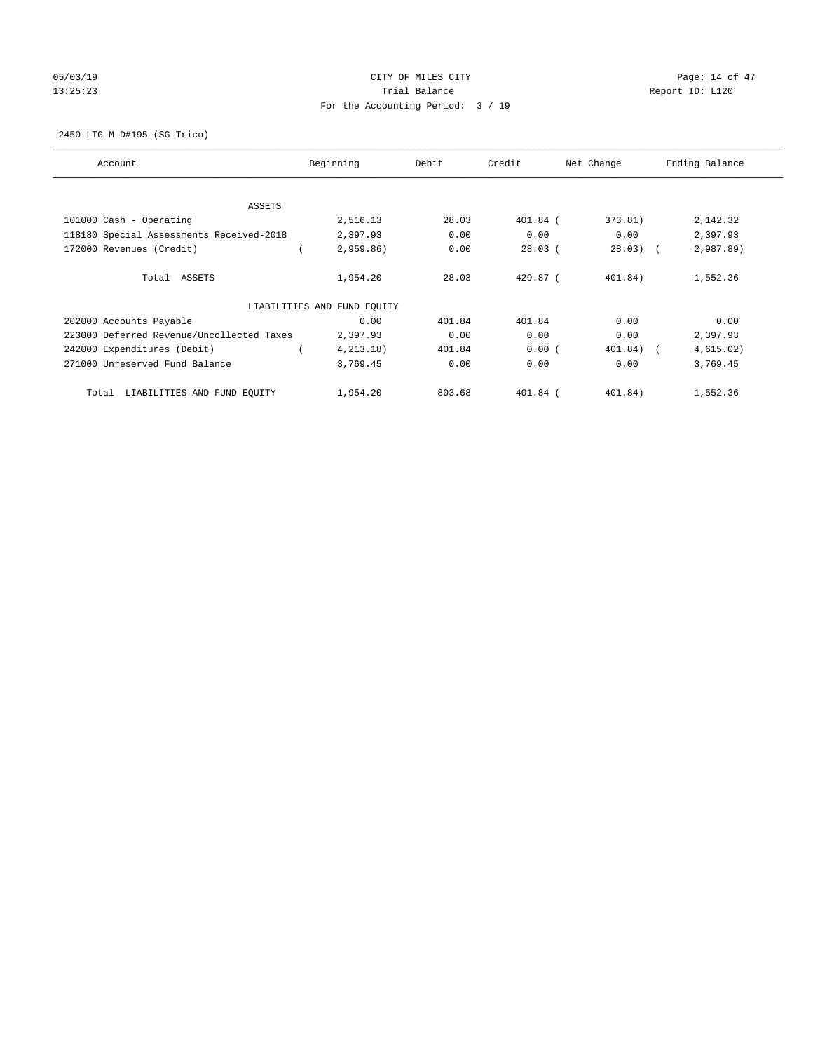# 05/03/19 Page: 14 of 47 13:25:23 Trial Balance Trial Balance Report ID: L120 For the Accounting Period: 3 / 19

2450 LTG M D#195-(SG-Trico)

| Account                                   | Beginning                   | Debit  | Credit     | Net Change | Ending Balance |
|-------------------------------------------|-----------------------------|--------|------------|------------|----------------|
| ASSETS                                    |                             |        |            |            |                |
| 101000 Cash - Operating                   | 2,516.13                    | 28.03  | $401.84$ ( | 373.81)    | 2,142.32       |
| 118180 Special Assessments Received-2018  | 2,397.93                    | 0.00   | 0.00       | 0.00       | 2,397.93       |
| 172000 Revenues (Credit)                  | $2,959.86$ )                | 0.00   | $28.03$ (  | $28.03)$ ( | 2,987.89       |
| Total ASSETS                              | 1,954.20                    | 28.03  | $429.87$ ( | 401.84)    | 1,552.36       |
|                                           | LIABILITIES AND FUND EQUITY |        |            |            |                |
| 202000 Accounts Payable                   | 0.00                        | 401.84 | 401.84     | 0.00       | 0.00           |
| 223000 Deferred Revenue/Uncollected Taxes | 2,397.93                    | 0.00   | 0.00       | 0.00       | 2,397.93       |
| 242000 Expenditures (Debit)               | 4, 213.18)                  | 401.84 | 0.00(      | 401.84) (  | 4,615.02)      |
| 271000 Unreserved Fund Balance            | 3,769.45                    | 0.00   | 0.00       | 0.00       | 3,769.45       |
| LIABILITIES AND FUND EQUITY<br>Total      | 1,954.20                    | 803.68 | $401.84$ ( | 401.84)    | 1,552.36       |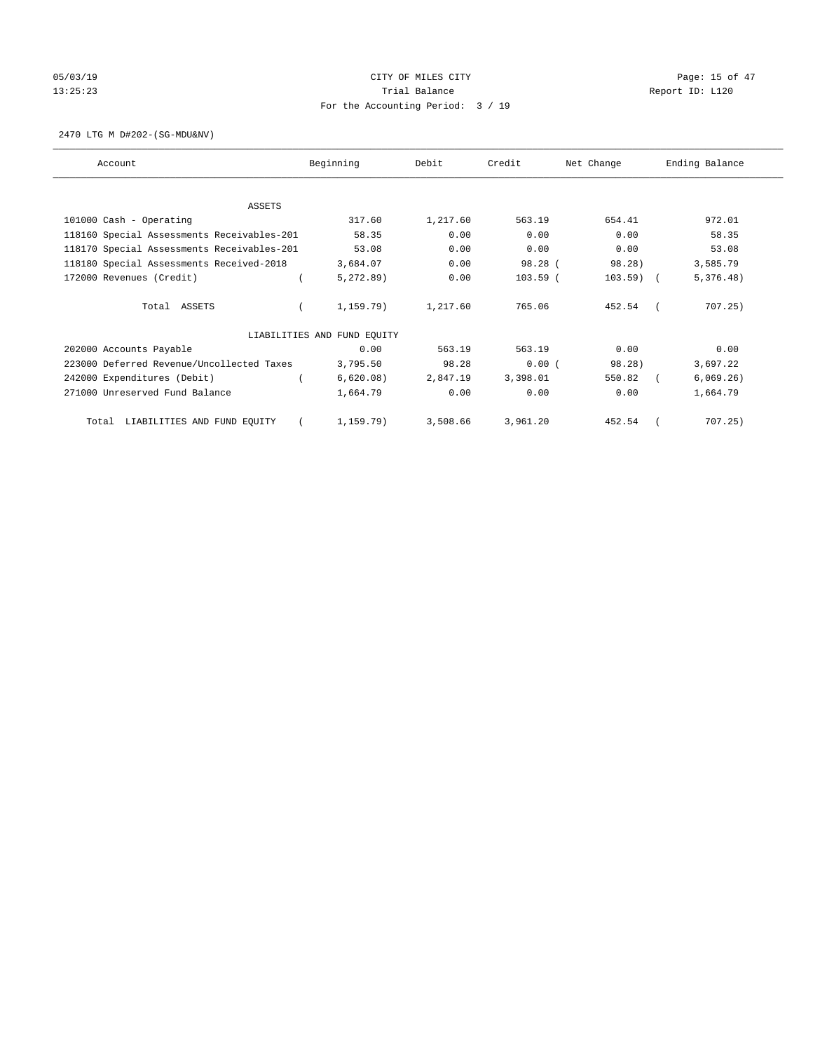# 05/03/19 Page: 15 of 47 13:25:23 Trial Balance Trial Balance Report ID: L120 For the Accounting Period: 3 / 19

2470 LTG M D#202-(SG-MDU&NV)

| Account                                    | Beginning                   | Debit    | Credit     | Net Change | Ending Balance |
|--------------------------------------------|-----------------------------|----------|------------|------------|----------------|
|                                            |                             |          |            |            |                |
| ASSETS                                     |                             |          |            |            |                |
| 101000 Cash - Operating                    | 317.60                      | 1,217.60 | 563.19     | 654.41     | 972.01         |
| 118160 Special Assessments Receivables-201 | 58.35                       | 0.00     | 0.00       | 0.00       | 58.35          |
| 118170 Special Assessments Receivables-201 | 53.08                       | 0.00     | 0.00       | 0.00       | 53.08          |
| 118180 Special Assessments Received-2018   | 3,684.07                    | 0.00     | 98.28 (    | 98.28)     | 3,585.79       |
| 172000 Revenues (Credit)                   | 5,272.89                    | 0.00     | $103.59$ ( | $103.59$ ( | 5,376.48)      |
| Total ASSETS                               | 1,159.79)                   | 1,217.60 | 765.06     | 452.54     | 707.25)        |
|                                            | LIABILITIES AND FUND EQUITY |          |            |            |                |
| 202000 Accounts Payable                    | 0.00                        | 563.19   | 563.19     | 0.00       | 0.00           |
| 223000 Deferred Revenue/Uncollected Taxes  | 3,795.50                    | 98.28    | 0.00(      | 98.28)     | 3,697.22       |
| 242000 Expenditures (Debit)                | 6,620.08)                   | 2,847.19 | 3,398.01   | 550.82     | 6,069.26)      |
| 271000 Unreserved Fund Balance             | 1,664.79                    | 0.00     | 0.00       | 0.00       | 1,664.79       |
| LIABILITIES AND FUND EOUITY<br>Total       | 1,159.79)                   | 3,508.66 | 3,961.20   | 452.54     | 707.25         |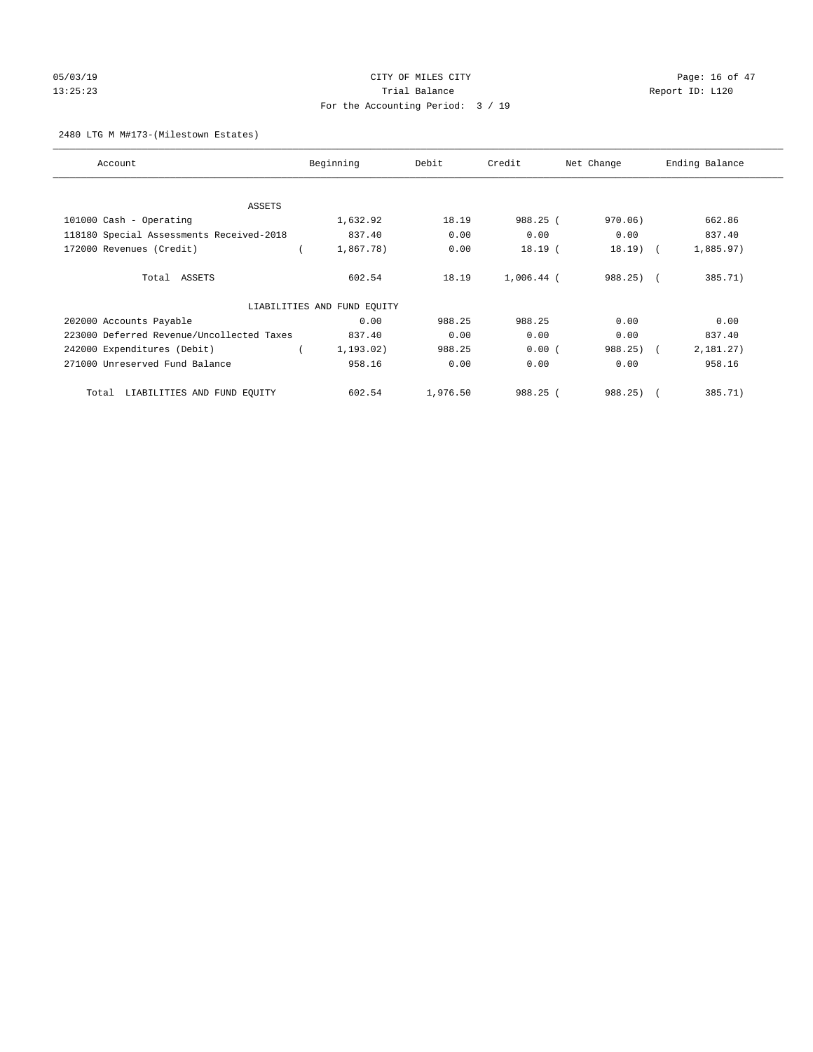# 05/03/19 Page: 16 of 47 13:25:23 Trial Balance Trial Balance Report ID: L120 For the Accounting Period: 3 / 19

#### 2480 LTG M M#173-(Milestown Estates)

| Account                                   | Beginning                   | Debit    | Credit       | Net Change | Ending Balance |
|-------------------------------------------|-----------------------------|----------|--------------|------------|----------------|
| <b>ASSETS</b>                             |                             |          |              |            |                |
| 101000 Cash - Operating                   | 1,632.92                    | 18.19    | 988.25 (     | 970.06)    | 662.86         |
| 118180 Special Assessments Received-2018  | 837.40                      | 0.00     | 0.00         | 0.00       | 837.40         |
| 172000 Revenues (Credit)                  | 1,867.78)                   | 0.00     | $18.19$ (    | $18.19$ (  | 1,885.97)      |
| Total ASSETS                              | 602.54                      | 18.19    | $1,006.44$ ( | $988.25$ ( | 385.71)        |
|                                           | LIABILITIES AND FUND EQUITY |          |              |            |                |
| 202000 Accounts Payable                   | 0.00                        | 988.25   | 988.25       | 0.00       | 0.00           |
| 223000 Deferred Revenue/Uncollected Taxes | 837.40                      | 0.00     | 0.00         | 0.00       | 837.40         |
| 242000 Expenditures (Debit)               | 1,193.02)                   | 988.25   | 0.00(        | 988.25) (  | 2,181.27)      |
| 271000 Unreserved Fund Balance            | 958.16                      | 0.00     | 0.00         | 0.00       | 958.16         |
| LIABILITIES AND FUND EQUITY<br>Total      | 602.54                      | 1,976.50 | 988.25 (     | $988.25$ ( | 385.71)        |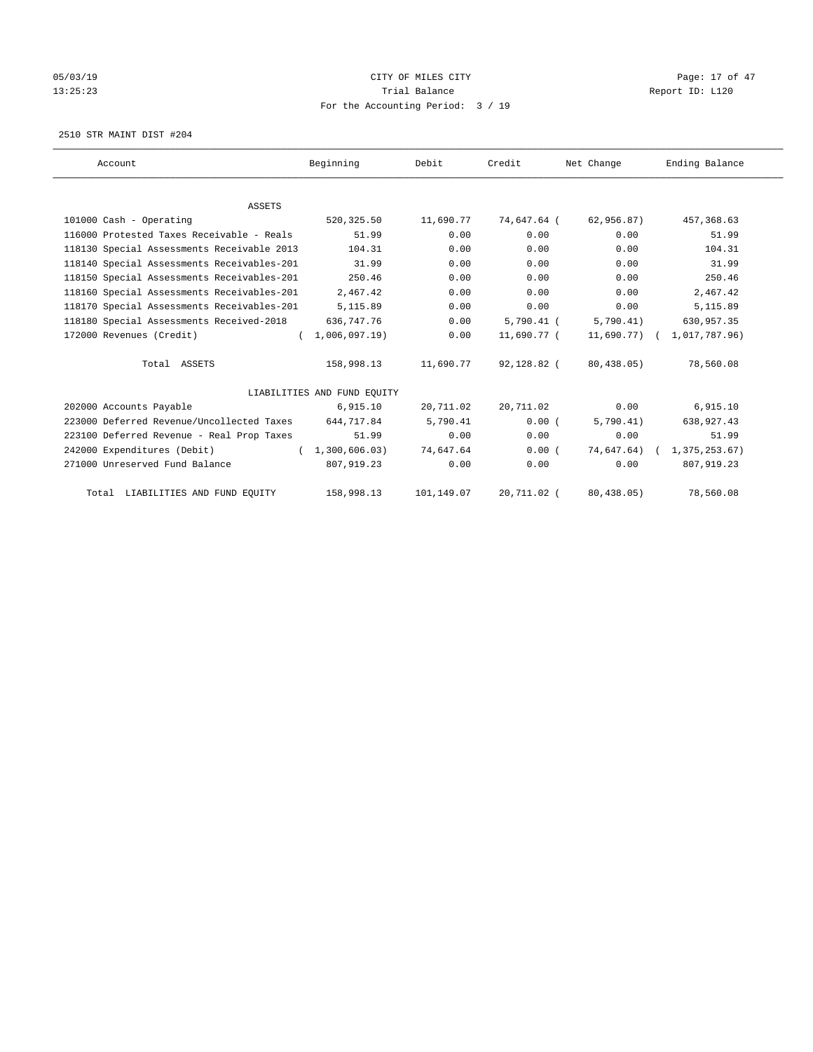# 05/03/19 Page: 17 of 47 13:25:23 Trial Balance Trial Balance Report ID: L120 For the Accounting Period: 3 / 19

2510 STR MAINT DIST #204

| Account                                    | Beginning                   | Debit      | Credit       | Net Change | Ending Balance             |
|--------------------------------------------|-----------------------------|------------|--------------|------------|----------------------------|
|                                            |                             |            |              |            |                            |
| <b>ASSETS</b>                              |                             |            |              |            |                            |
| 101000 Cash - Operating                    | 520,325.50                  | 11,690.77  | 74,647.64 (  | 62,956.87) | 457, 368.63                |
| 116000 Protested Taxes Receivable - Reals  | 51.99                       | 0.00       | 0.00         | 0.00       | 51.99                      |
| 118130 Special Assessments Receivable 2013 | 104.31                      | 0.00       | 0.00         | 0.00       | 104.31                     |
| 118140 Special Assessments Receivables-201 | 31.99                       | 0.00       | 0.00         | 0.00       | 31.99                      |
| 118150 Special Assessments Receivables-201 | 250.46                      | 0.00       | 0.00         | 0.00       | 250.46                     |
| 118160 Special Assessments Receivables-201 | 2,467.42                    | 0.00       | 0.00         | 0.00       | 2,467.42                   |
| 118170 Special Assessments Receivables-201 | 5,115.89                    | 0.00       | 0.00         | 0.00       | 5,115.89                   |
| 118180 Special Assessments Received-2018   | 636,747.76                  | 0.00       | $5,790.41$ ( | 5,790.41)  | 630,957.35                 |
| 172000 Revenues (Credit)                   | (1,006,097,19)              | 0.00       | 11,690.77 (  |            | 11,690.77) ( 1,017,787.96) |
| Total ASSETS                               | 158,998.13                  | 11,690.77  | 92,128.82 (  | 80,438.05) | 78,560.08                  |
|                                            | LIABILITIES AND FUND EQUITY |            |              |            |                            |
| 202000 Accounts Payable                    | 6,915.10                    | 20,711.02  | 20,711.02    | 0.00       | 6,915.10                   |
| 223000 Deferred Revenue/Uncollected Taxes  | 644,717.84                  | 5,790.41   | 0.00(        | 5,790.41)  | 638,927.43                 |
| 223100 Deferred Revenue - Real Prop Taxes  | 51.99                       | 0.00       | 0.00         | 0.00       | 51.99                      |
| 242000 Expenditures (Debit)                | (1, 300, 606.03)            | 74,647.64  | 0.00(        |            | 74,647.64) ( 1,375,253.67) |
| 271000 Unreserved Fund Balance             | 807,919.23                  | 0.00       | 0.00         | 0.00       | 807,919.23                 |
| Total LIABILITIES AND FUND EQUITY          | 158,998.13                  | 101,149.07 | 20,711.02 (  | 80,438.05) | 78,560.08                  |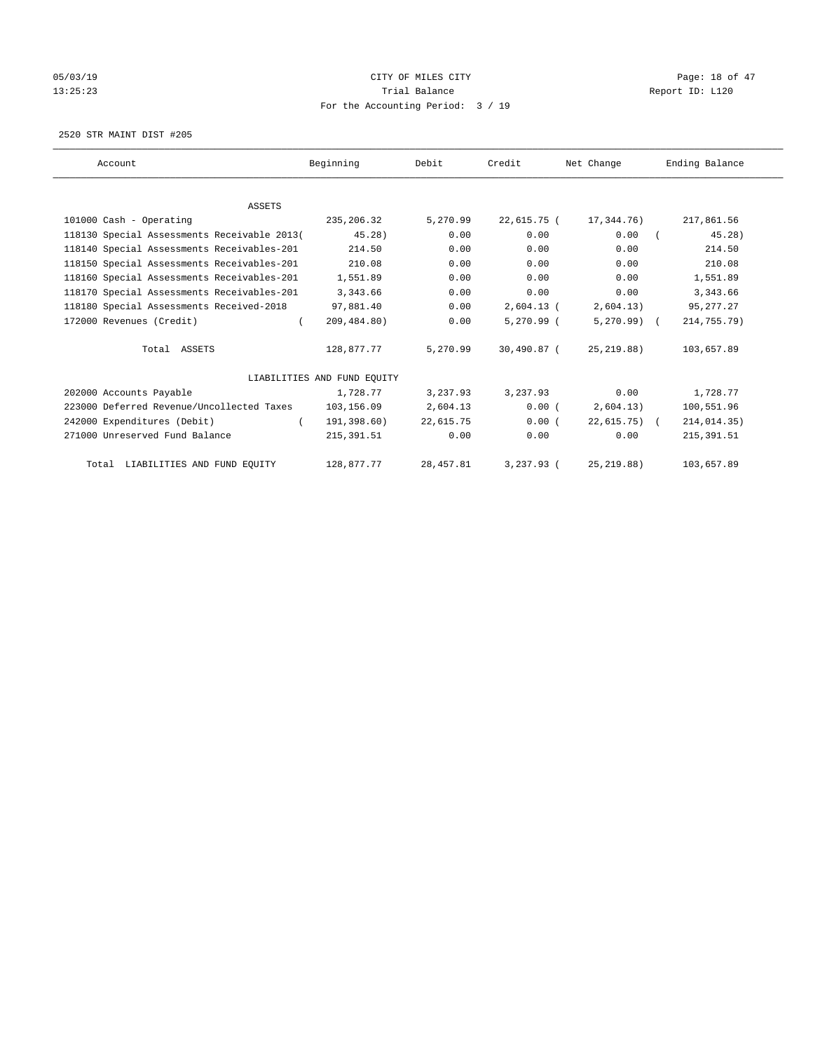# 05/03/19 Page: 18 of 47 13:25:23 Trial Balance Trial Balance Report ID: L120 For the Accounting Period: 3 / 19

2520 STR MAINT DIST #205

| Account                                     | Beginning                   | Debit      | Credit       | Net Change    | Ending Balance |
|---------------------------------------------|-----------------------------|------------|--------------|---------------|----------------|
|                                             |                             |            |              |               |                |
| <b>ASSETS</b>                               |                             |            |              |               |                |
| 101000 Cash - Operating                     | 235,206.32                  | 5,270.99   | 22,615.75 (  | 17,344.76)    | 217,861.56     |
| 118130 Special Assessments Receivable 2013( | 45.28)                      | 0.00       | 0.00         | 0.00          | 45.28)         |
| 118140 Special Assessments Receivables-201  | 214.50                      | 0.00       | 0.00         | 0.00          | 214.50         |
| 118150 Special Assessments Receivables-201  | 210.08                      | 0.00       | 0.00         | 0.00          | 210.08         |
| 118160 Special Assessments Receivables-201  | 1,551.89                    | 0.00       | 0.00         | 0.00          | 1,551.89       |
| 118170 Special Assessments Receivables-201  | 3,343.66                    | 0.00       | 0.00         | 0.00          | 3,343.66       |
| 118180 Special Assessments Received-2018    | 97,881.40                   | 0.00       | $2,604.13$ ( | 2,604.13)     | 95, 277. 27    |
| 172000 Revenues (Credit)                    | 209,484.80)                 | 0.00       | $5,270.99$ ( | $5,270.99$ (  | 214,755.79)    |
| Total ASSETS                                | 128,877.77                  | 5,270.99   | 30,490.87 (  | 25, 219.88)   | 103,657.89     |
|                                             | LIABILITIES AND FUND EQUITY |            |              |               |                |
| 202000 Accounts Payable                     | 1,728.77                    | 3,237.93   | 3,237.93     | 0.00          | 1,728.77       |
| 223000 Deferred Revenue/Uncollected Taxes   | 103,156.09                  | 2,604.13   | 0.00(        | 2,604.13)     | 100,551.96     |
| 242000 Expenditures (Debit)                 | 191,398.60)                 | 22,615.75  | 0.00(        | $22,615.75$ ( | 214,014.35)    |
| 271000 Unreserved Fund Balance              | 215, 391.51                 | 0.00       | 0.00         | 0.00          | 215, 391.51    |
| Total LIABILITIES AND FUND EQUITY           | 128,877.77                  | 28, 457.81 | $3,237.93$ ( | 25, 219.88)   | 103,657.89     |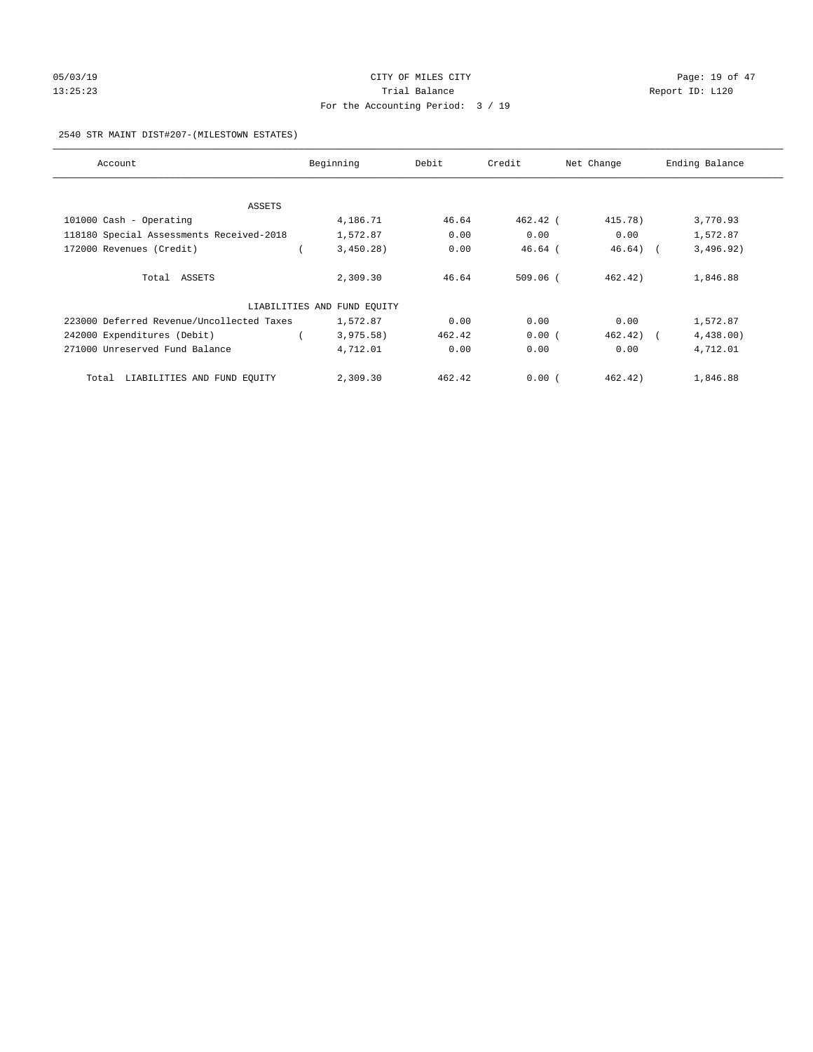# 05/03/19 Page: 19 of 47 13:25:23 Trial Balance Trial Balance Report ID: L120 For the Accounting Period: 3 / 19

#### 2540 STR MAINT DIST#207-(MILESTOWN ESTATES)

| Account                                   | Beginning                   | Debit  | Credit     | Net Change | Ending Balance |
|-------------------------------------------|-----------------------------|--------|------------|------------|----------------|
|                                           |                             |        |            |            |                |
| ASSETS                                    |                             |        |            |            |                |
| 101000 Cash - Operating                   | 4,186.71                    | 46.64  | 462.42 (   | 415.78)    | 3,770.93       |
| 118180 Special Assessments Received-2018  | 1,572.87                    | 0.00   | 0.00       | 0.00       | 1,572.87       |
| 172000 Revenues (Credit)                  | 3,450.28)                   | 0.00   | $46.64$ (  | $46.64$ (  | 3,496.92)      |
| Total ASSETS                              | 2,309.30                    | 46.64  | $509.06$ ( | 462.42)    | 1,846.88       |
|                                           | LIABILITIES AND FUND EQUITY |        |            |            |                |
| 223000 Deferred Revenue/Uncollected Taxes | 1,572.87                    | 0.00   | 0.00       | 0.00       | 1,572.87       |
| 242000 Expenditures (Debit)               | 3,975.58)                   | 462.42 | 0.00(      | 462.42)    | 4,438.00)      |
| 271000 Unreserved Fund Balance            | 4,712.01                    | 0.00   | 0.00       | 0.00       | 4,712.01       |
| Total LIABILITIES AND FUND EQUITY         | 2,309.30                    | 462.42 | 0.00(      | 462.42)    | 1,846.88       |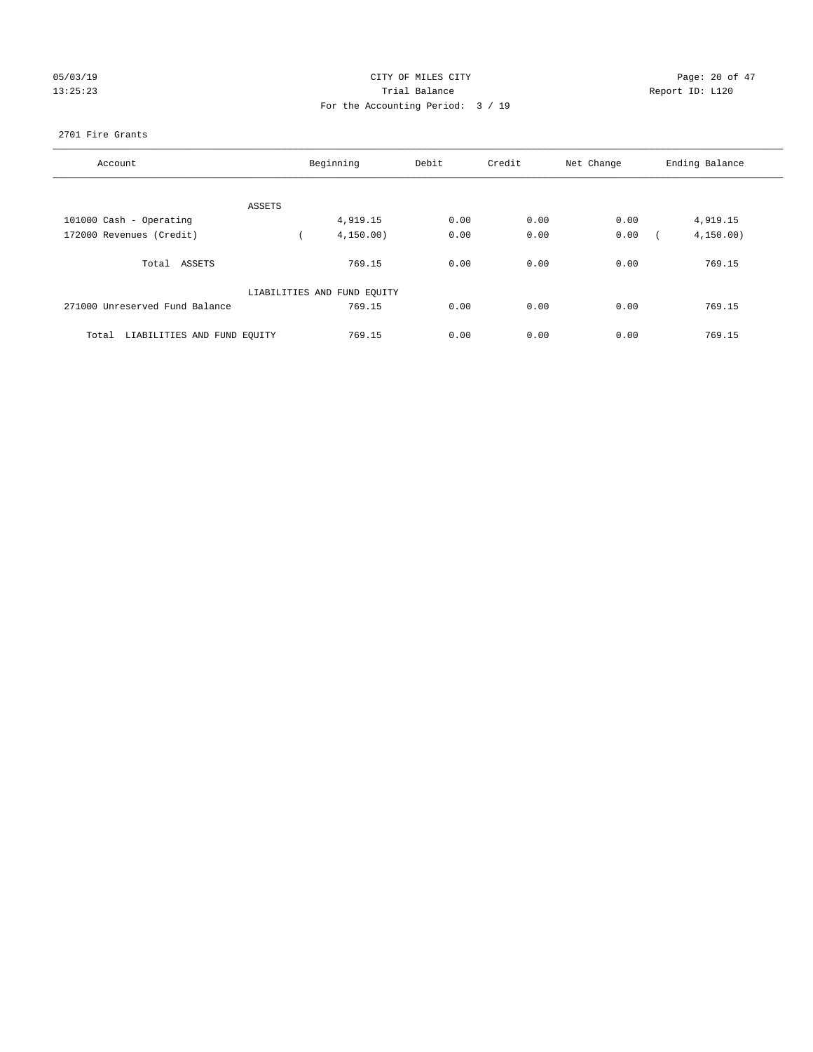# 05/03/19 Page: 20 of 47 13:25:23 Trial Balance Trial Balance Report ID: L120 For the Accounting Period: 3 / 19

#### 2701 Fire Grants

| Account                              |        | Beginning                   | Debit | Credit | Net Change | Ending Balance |
|--------------------------------------|--------|-----------------------------|-------|--------|------------|----------------|
|                                      |        |                             |       |        |            |                |
|                                      | ASSETS |                             |       |        |            |                |
| 101000 Cash - Operating              |        | 4,919.15                    | 0.00  | 0.00   | 0.00       | 4,919.15       |
| 172000 Revenues (Credit)             |        | 4, 150.00)                  | 0.00  | 0.00   | 0.00       | 4, 150.00)     |
| Total ASSETS                         |        | 769.15                      | 0.00  | 0.00   | 0.00       | 769.15         |
|                                      |        | LIABILITIES AND FUND EQUITY |       |        |            |                |
| 271000 Unreserved Fund Balance       |        | 769.15                      | 0.00  | 0.00   | 0.00       | 769.15         |
| LIABILITIES AND FUND EQUITY<br>Total |        | 769.15                      | 0.00  | 0.00   | 0.00       | 769.15         |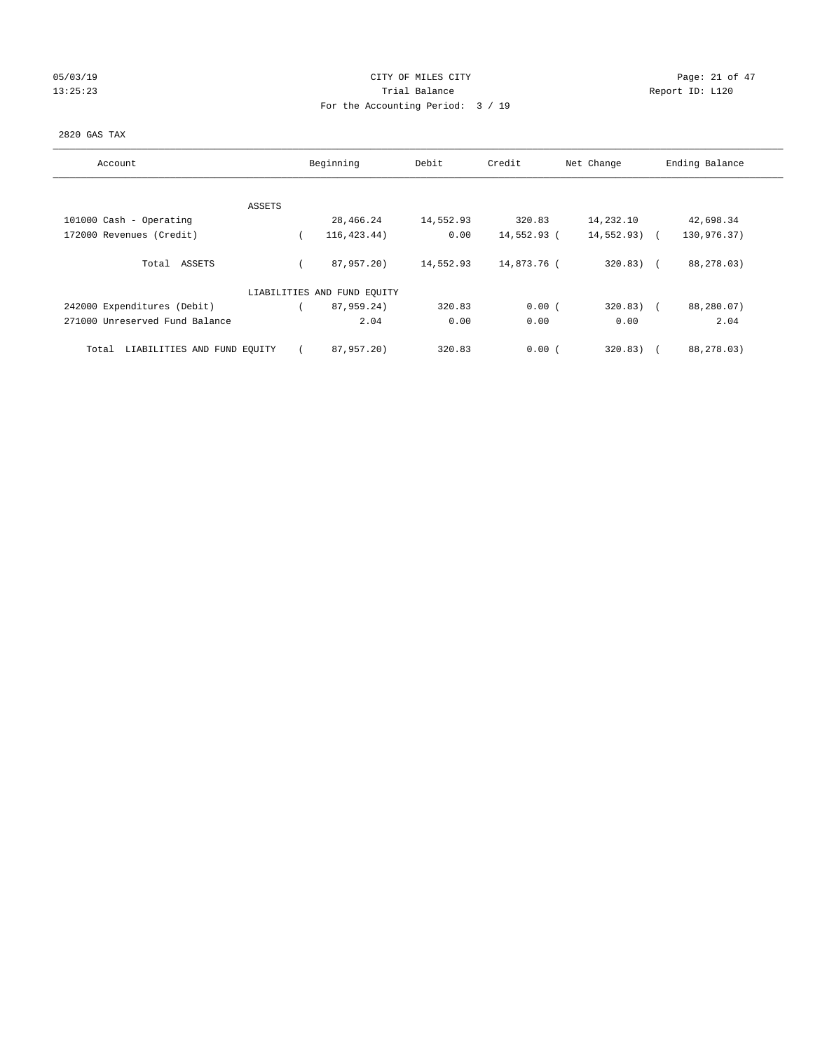# 05/03/19 Page: 21 of 47 13:25:23 Trial Balance Trial Balance Report ID: L120 For the Accounting Period: 3 / 19

#### 2820 GAS TAX

| Account                              | Beginning                   | Debit     | Credit      | Net Change    | Ending Balance |
|--------------------------------------|-----------------------------|-----------|-------------|---------------|----------------|
| ASSETS                               |                             |           |             |               |                |
| 101000 Cash - Operating              | 28,466.24                   | 14,552.93 | 320.83      | 14,232.10     | 42,698.34      |
| 172000 Revenues (Credit)             | 116, 423, 44)               | 0.00      | 14,552.93 ( | $14,552.93$ ( | 130,976.37)    |
| Total ASSETS                         | 87,957.20)                  | 14,552.93 | 14,873.76 ( | $320.83)$ (   | 88,278.03)     |
|                                      | LIABILITIES AND FUND EQUITY |           |             |               |                |
| 242000 Expenditures (Debit)          | 87,959.24)                  | 320.83    | 0.00(       | $320.83$ ) (  | 88,280.07)     |
| 271000 Unreserved Fund Balance       | 2.04                        | 0.00      | 0.00        | 0.00          | 2.04           |
| LIABILITIES AND FUND EQUITY<br>Total | 87,957.20)                  | 320.83    | 0.00(       | 320.83)       | 88,278.03)     |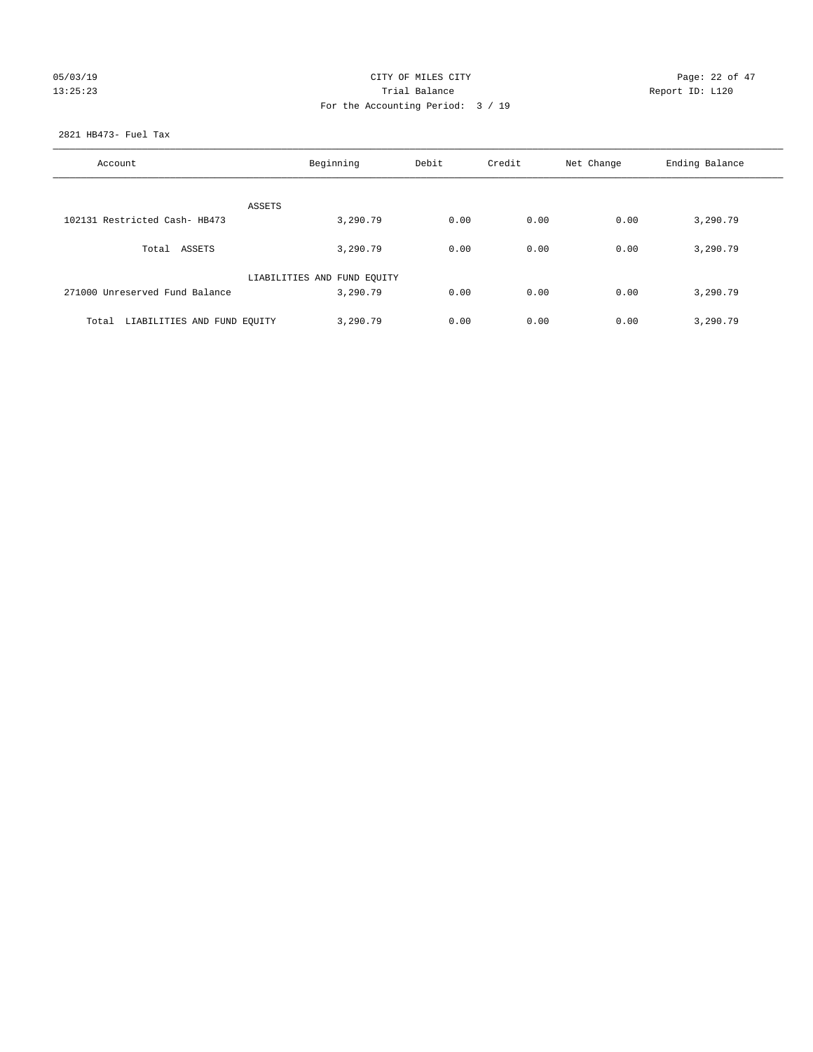# 05/03/19 Page: 22 of 47 13:25:23 Trial Balance Trial Balance Report ID: L120 For the Accounting Period: 3 / 19

#### 2821 HB473- Fuel Tax

| Account                           | Beginning<br>Debit          |      | Credit | Net Change | Ending Balance |
|-----------------------------------|-----------------------------|------|--------|------------|----------------|
| <b>ASSETS</b>                     |                             |      |        |            |                |
| 102131 Restricted Cash- HB473     | 3,290.79                    | 0.00 | 0.00   | 0.00       | 3,290.79       |
| Total ASSETS                      | 3,290.79                    | 0.00 | 0.00   | 0.00       | 3,290.79       |
|                                   | LIABILITIES AND FUND EQUITY |      |        |            |                |
| 271000 Unreserved Fund Balance    | 3,290.79                    | 0.00 | 0.00   | 0.00       | 3,290.79       |
| Total LIABILITIES AND FUND EOUITY | 3,290.79                    | 0.00 | 0.00   | 0.00       | 3,290.79       |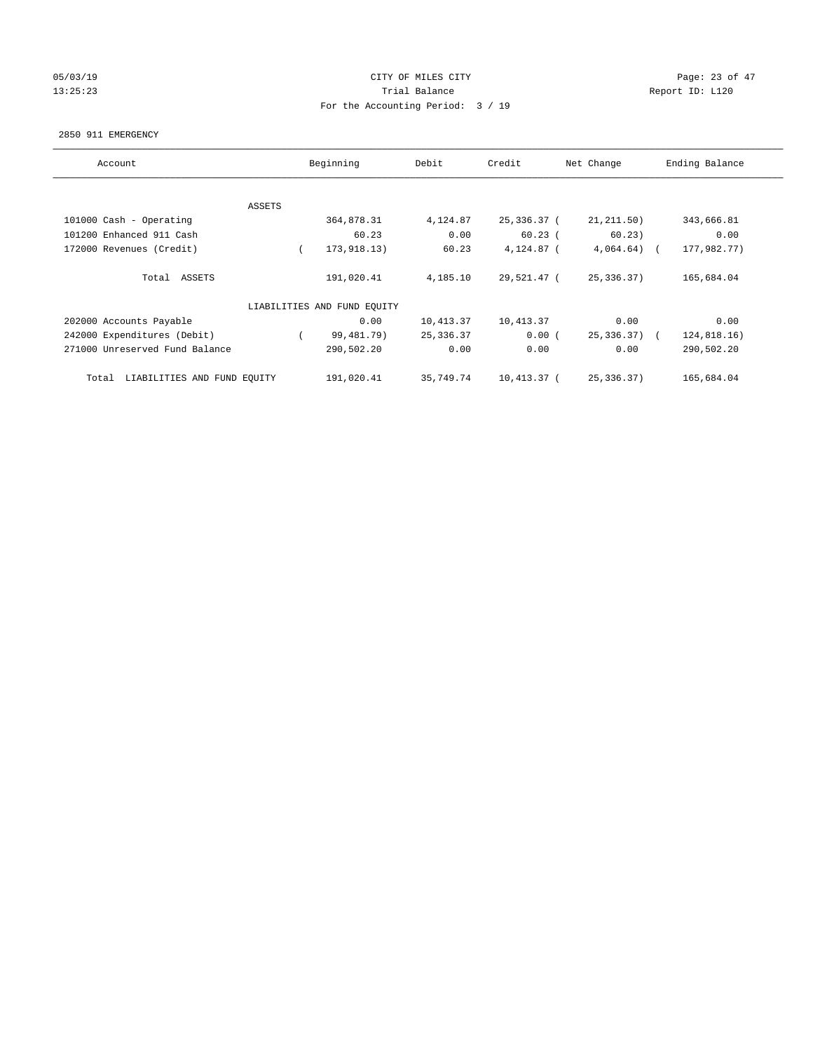# 05/03/19 Page: 23 of 47 13:25:23 Trial Balance Trial Balance Report ID: L120 For the Accounting Period: 3 / 19

#### 2850 911 EMERGENCY

| Account                              | Beginning |                             | Debit      | Credit      | Net Change    | Ending Balance |
|--------------------------------------|-----------|-----------------------------|------------|-------------|---------------|----------------|
|                                      |           |                             |            |             |               |                |
|                                      | ASSETS    |                             |            |             |               |                |
| 101000 Cash - Operating              |           | 364,878.31                  | 4,124.87   | 25,336.37 ( | 21, 211, 50)  | 343,666.81     |
| 101200 Enhanced 911 Cash             |           | 60.23                       | 0.00       | $60.23$ (   | 60.23)        | 0.00           |
| 172000 Revenues (Credit)             | $\left($  | 173, 918. 13)               | 60.23      | 4,124.87 (  | 4,064.64)     | 177,982.77)    |
| Total ASSETS                         |           | 191,020.41                  | 4,185.10   | 29,521.47 ( | 25,336.37)    | 165,684.04     |
|                                      |           | LIABILITIES AND FUND EQUITY |            |             |               |                |
| 202000 Accounts Payable              |           | 0.00                        | 10,413.37  | 10,413.37   | 0.00          | 0.00           |
| 242000 Expenditures (Debit)          |           | 99,481.79)                  | 25, 336.37 | 0.00(       | $25,336.37$ ( | 124,818.16)    |
| 271000 Unreserved Fund Balance       |           | 290,502.20                  | 0.00       | 0.00        | 0.00          | 290,502.20     |
| LIABILITIES AND FUND EQUITY<br>Total |           | 191,020.41                  | 35,749.74  | 10,413.37 ( | 25,336.37)    | 165,684.04     |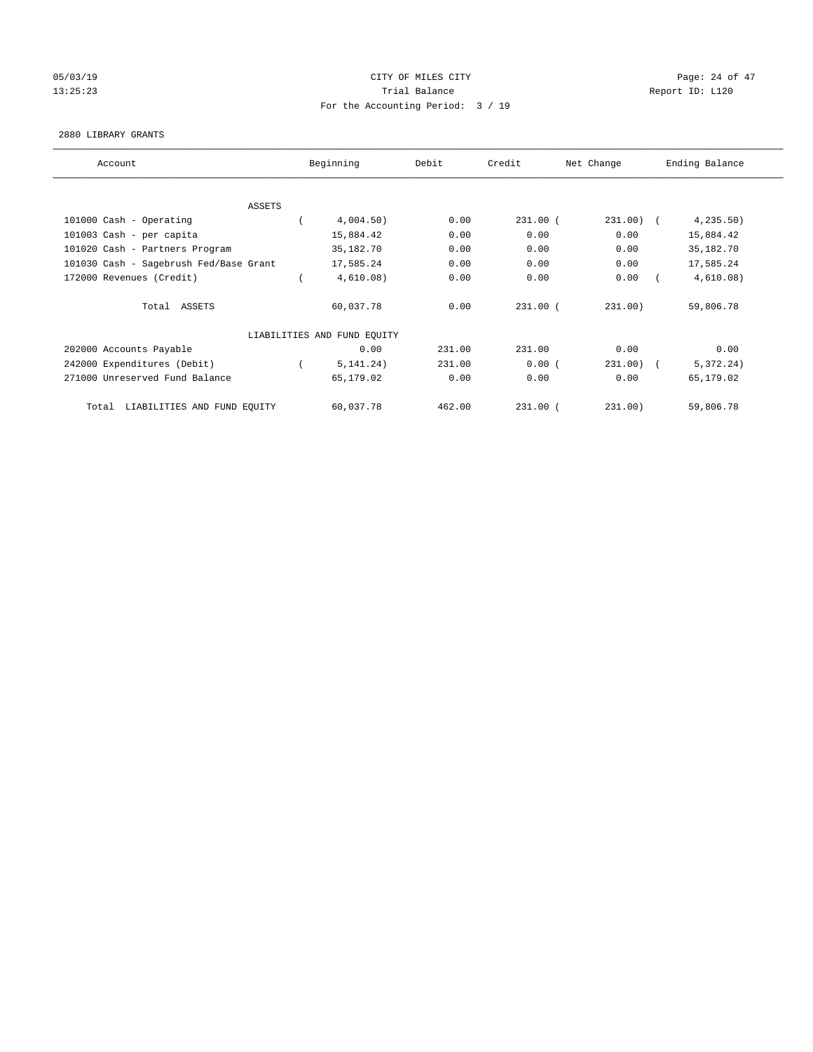# 05/03/19 Page: 24 of 47 13:25:23 Trial Balance Report ID: L120 For the Accounting Period: 3 / 19

#### 2880 LIBRARY GRANTS

| Account                                | Beginning                   | Debit  | Credit       | Net Change   | Ending Balance |
|----------------------------------------|-----------------------------|--------|--------------|--------------|----------------|
|                                        |                             |        |              |              |                |
| ASSETS                                 |                             |        |              |              |                |
| 101000 Cash - Operating                | 4,004.50)                   | 0.00   | $231.00$ (   | $231.00)$ (  | 4, 235.50)     |
| 101003 Cash - per capita               | 15,884.42                   | 0.00   | 0.00         | 0.00         | 15,884.42      |
| 101020 Cash - Partners Program         | 35,182.70                   | 0.00   | 0.00         | 0.00         | 35,182.70      |
| 101030 Cash - Sagebrush Fed/Base Grant | 17,585.24                   | 0.00   | 0.00         | 0.00         | 17,585.24      |
| 172000 Revenues (Credit)               | 4,610.08)                   | 0.00   | 0.00         | 0.00         | 4,610.08)      |
| Total ASSETS                           | 60,037.78                   | 0.00   | $231.00$ (   | 231.00)      | 59,806.78      |
|                                        | LIABILITIES AND FUND EQUITY |        |              |              |                |
| 202000 Accounts Payable                | 0.00                        | 231.00 | 231.00       | 0.00         | 0.00           |
| 242000 Expenditures (Debit)            | 5, 141, 24)                 | 231.00 | 0.00(        | $231.00$ ) ( | 5,372.24)      |
| 271000 Unreserved Fund Balance         | 65,179.02                   | 0.00   | 0.00         | 0.00         | 65,179.02      |
| LIABILITIES AND FUND EQUITY<br>Total   | 60,037.78                   | 462.00 | $231.00$ $($ | 231.00)      | 59,806.78      |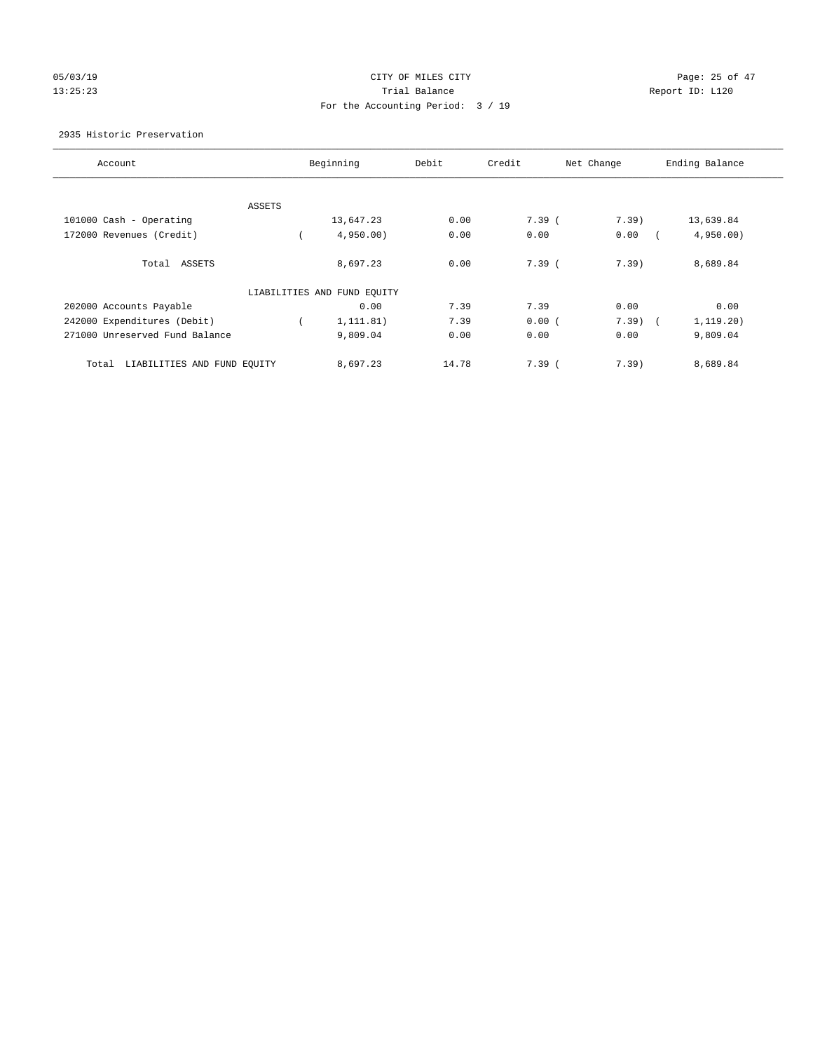# 05/03/19 Page: 25 of 47 13:25:23 Trial Balance Trial Balance Report ID: L120 For the Accounting Period: 3 / 19

#### 2935 Historic Preservation

| Account                              |        | Beginning                   | Debit | Credit | Net Change | Ending Balance |
|--------------------------------------|--------|-----------------------------|-------|--------|------------|----------------|
|                                      |        |                             |       |        |            |                |
|                                      | ASSETS |                             |       |        |            |                |
| 101000 Cash - Operating              |        | 13,647.23                   | 0.00  | 7.39(  | 7.39)      | 13,639.84      |
| 172000 Revenues (Credit)             |        | 4,950.00                    | 0.00  | 0.00   | 0.00       | 4,950.00       |
| Total ASSETS                         |        | 8,697.23                    | 0.00  | 7.39(  | 7.39)      | 8,689.84       |
|                                      |        | LIABILITIES AND FUND EQUITY |       |        |            |                |
| 202000 Accounts Payable              |        | 0.00                        | 7.39  | 7.39   | 0.00       | 0.00           |
| 242000 Expenditures (Debit)          |        | 1,111.81)                   | 7.39  | 0.00(  | 7.39)      | 1, 119.20)     |
| 271000 Unreserved Fund Balance       |        | 9,809.04                    | 0.00  | 0.00   | 0.00       | 9,809.04       |
| LIABILITIES AND FUND EQUITY<br>Total |        | 8,697.23                    | 14.78 | 7.39(  | 7.39)      | 8,689.84       |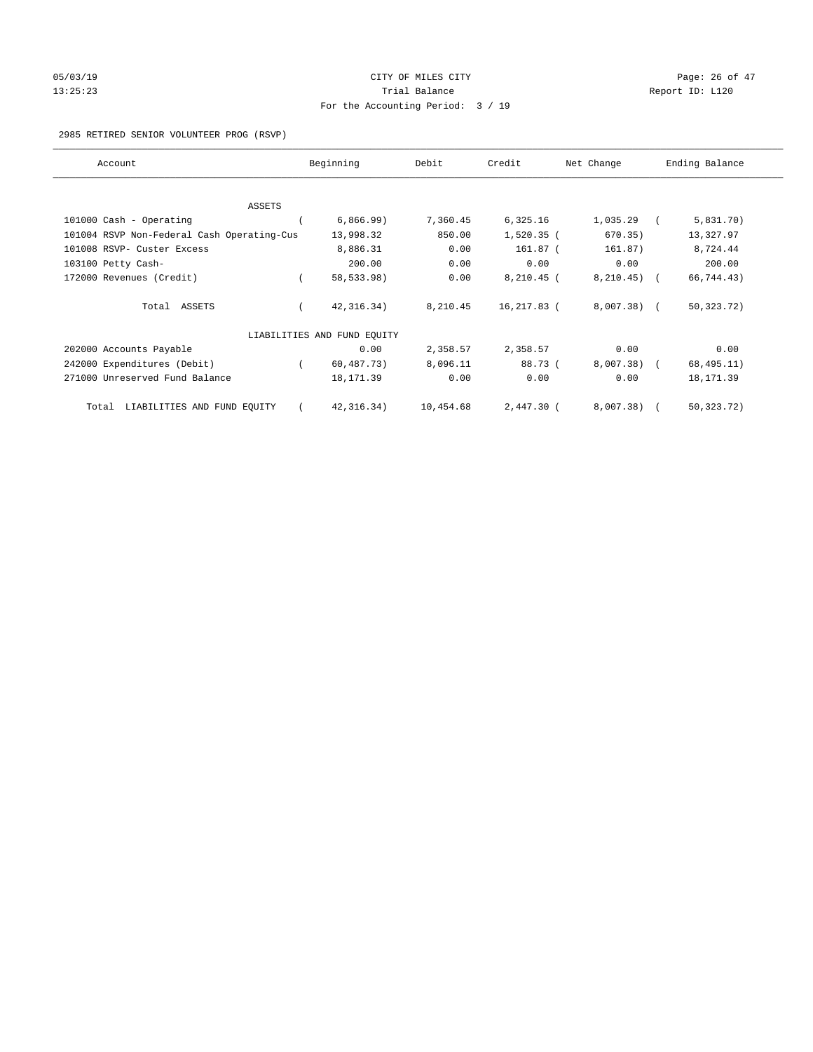# 05/03/19 Page: 26 of 47 13:25:23 Trial Balance Report ID: L120 For the Accounting Period: 3 / 19

2985 RETIRED SENIOR VOLUNTEER PROG (RSVP)

| Account                                    | Beginning                   | Debit     | Credit       | Net Change   | Ending Balance |
|--------------------------------------------|-----------------------------|-----------|--------------|--------------|----------------|
|                                            |                             |           |              |              |                |
| ASSETS<br>101000 Cash - Operating          | 6,866.99)                   | 7,360.45  | 6,325.16     | 1,035.29     | 5,831.70)      |
| 101004 RSVP Non-Federal Cash Operating-Cus | 13,998.32                   | 850.00    | $1,520.35$ ( | 670.35)      | 13,327.97      |
| 101008 RSVP- Custer Excess                 | 8,886.31                    | 0.00      | 161.87 (     | 161.87)      | 8,724.44       |
| 103100 Petty Cash-                         | 200.00                      | 0.00      | 0.00         | 0.00         | 200.00         |
| 172000 Revenues (Credit)                   | 58,533.98)                  | 0.00      | 8,210.45 (   | 8, 210.45)   | 66,744.43)     |
| Total ASSETS                               | 42, 316.34)                 | 8,210.45  | 16,217.83 (  | $8,007.38$ ( | 50, 323. 72)   |
|                                            | LIABILITIES AND FUND EQUITY |           |              |              |                |
| 202000 Accounts Payable                    | 0.00                        | 2,358.57  | 2,358.57     | 0.00         | 0.00           |
| 242000 Expenditures (Debit)                | 60,487.73)                  | 8,096.11  | 88.73 (      | 8,007.38)    | 68, 495.11)    |
| 271000 Unreserved Fund Balance             | 18, 171.39                  | 0.00      | 0.00         | 0.00         | 18, 171.39     |
| LIABILITIES AND FUND EQUITY<br>Total       | 42, 316.34)                 | 10,454.68 | 2,447.30 (   | 8,007.38)    | 50, 323. 72)   |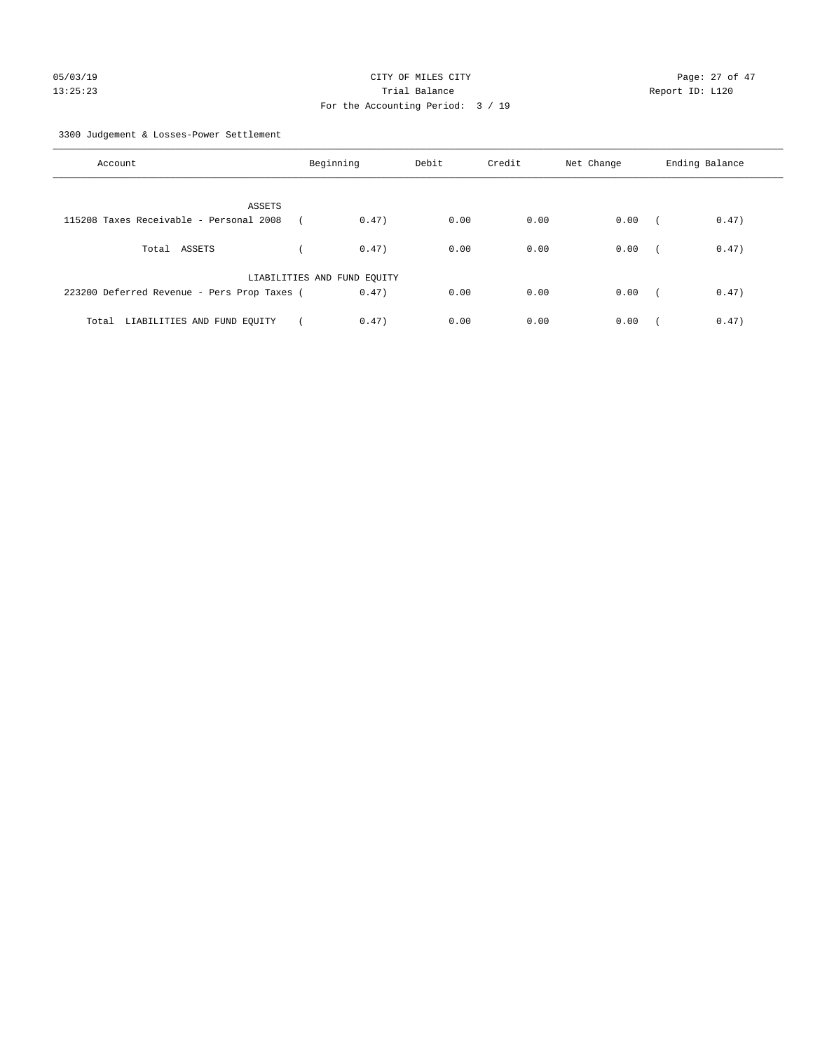3300 Judgement & Losses-Power Settlement

| Account                                     | Beginning                   |       | Debit | Credit | Net Change | Ending Balance |       |
|---------------------------------------------|-----------------------------|-------|-------|--------|------------|----------------|-------|
| ASSETS                                      |                             |       |       |        |            |                |       |
| 115208 Taxes Receivable - Personal 2008     |                             | 0.47) | 0.00  | 0.00   | 0.00       | $\sqrt{2}$     | 0.47) |
| Total ASSETS                                |                             | 0.47) | 0.00  | 0.00   | 0.00       | $\sqrt{2}$     | 0.47) |
|                                             | LIABILITIES AND FUND EQUITY |       |       |        |            |                |       |
| 223200 Deferred Revenue - Pers Prop Taxes ( |                             | 0.47) | 0.00  | 0.00   | 0.00       | $\sim$         | 0.47) |
| LIABILITIES AND FUND EQUITY<br>Total        |                             | 0.47) | 0.00  | 0.00   | 0.00       |                | 0.47) |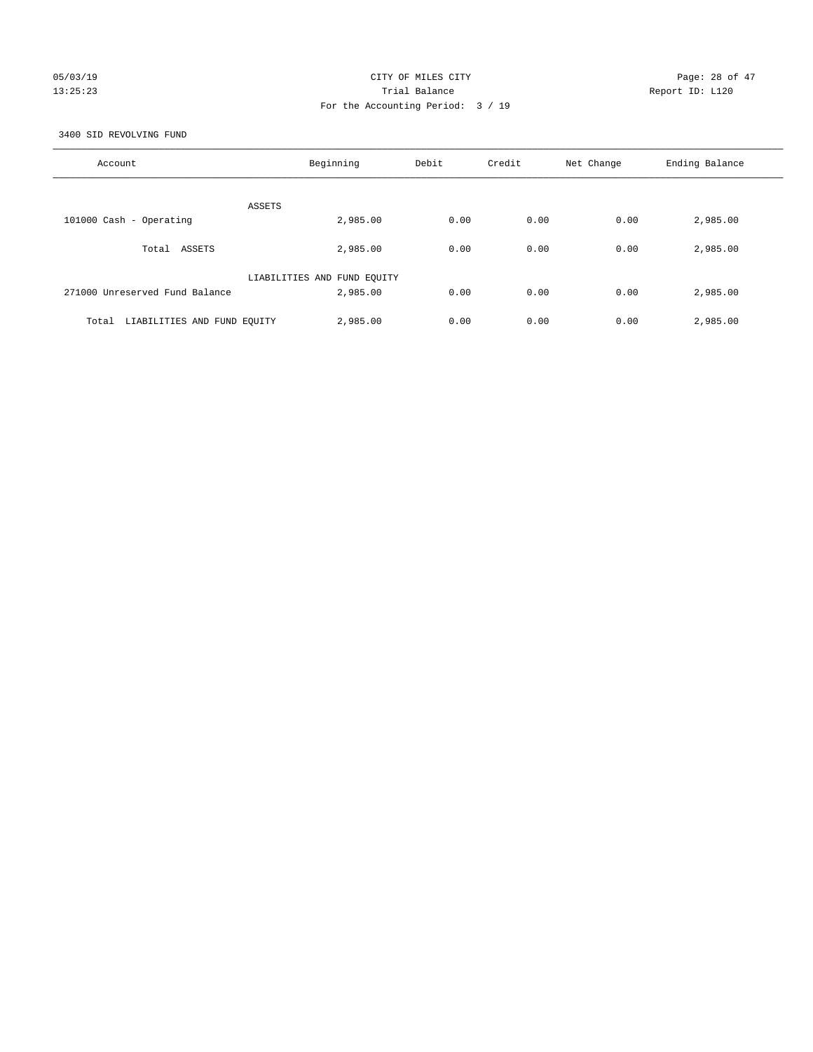# 05/03/19 Page: 28 of 47 13:25:23 Trial Balance Report ID: L120 For the Accounting Period: 3 / 19

3400 SID REVOLVING FUND

| Account                              | Beginning                   | Debit | Credit | Net Change | Ending Balance |
|--------------------------------------|-----------------------------|-------|--------|------------|----------------|
| ASSETS                               |                             |       |        |            |                |
| 101000 Cash - Operating              | 2,985.00                    | 0.00  | 0.00   | 0.00       | 2,985.00       |
| Total ASSETS                         | 2,985.00                    | 0.00  | 0.00   | 0.00       | 2,985.00       |
|                                      | LIABILITIES AND FUND EQUITY |       |        |            |                |
| 271000 Unreserved Fund Balance       | 2,985.00                    | 0.00  | 0.00   | 0.00       | 2,985.00       |
| LIABILITIES AND FUND EQUITY<br>Total | 2,985.00                    | 0.00  | 0.00   | 0.00       | 2,985.00       |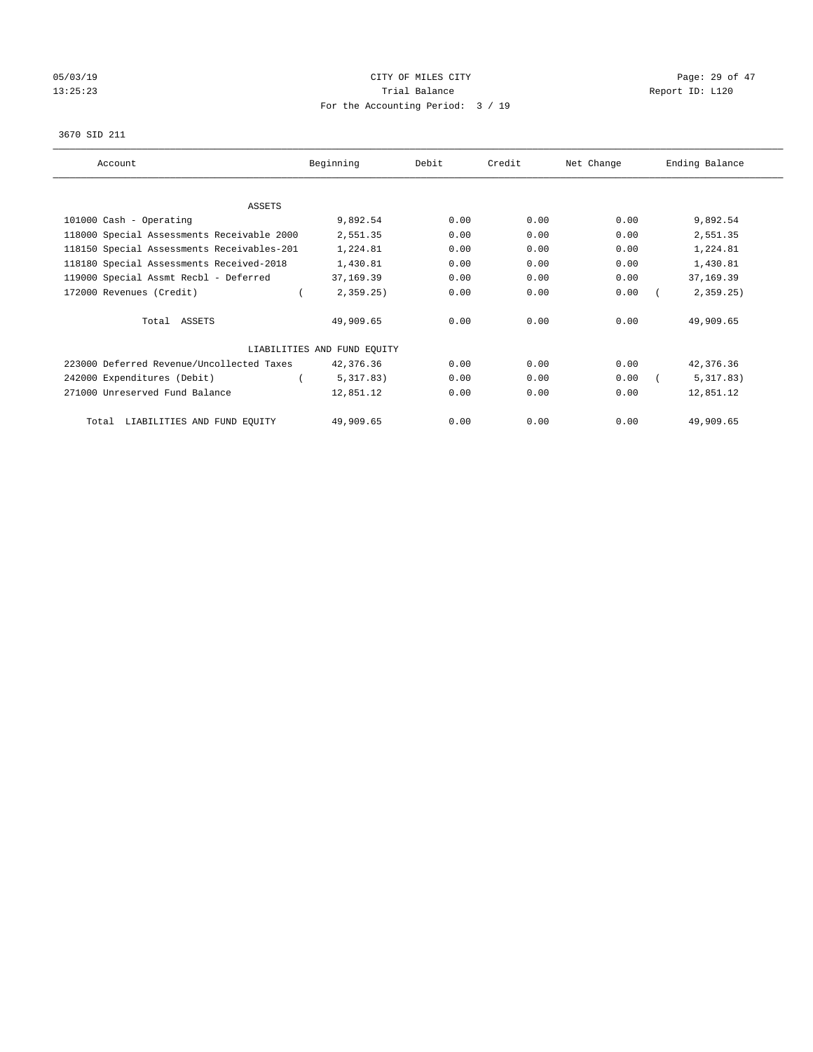# 05/03/19 Page: 29 of 47 13:25:23 Trial Balance Trial Balance Report ID: L120 For the Accounting Period: 3 / 19

#### 3670 SID 211

| Account                                    | Beginning                   | Debit | Credit | Net Change | Ending Balance |
|--------------------------------------------|-----------------------------|-------|--------|------------|----------------|
|                                            |                             |       |        |            |                |
| ASSETS                                     |                             |       |        |            |                |
| 101000 Cash - Operating                    | 9,892.54                    | 0.00  | 0.00   | 0.00       | 9,892.54       |
| 118000 Special Assessments Receivable 2000 | 2,551.35                    | 0.00  | 0.00   | 0.00       | 2,551.35       |
| 118150 Special Assessments Receivables-201 | 1,224.81                    | 0.00  | 0.00   | 0.00       | 1,224.81       |
| 118180 Special Assessments Received-2018   | 1,430.81                    | 0.00  | 0.00   | 0.00       | 1,430.81       |
| 119000 Special Assmt Recbl - Deferred      | 37,169.39                   | 0.00  | 0.00   | 0.00       | 37,169.39      |
| 172000 Revenues (Credit)                   | 2,359.25                    | 0.00  | 0.00   | 0.00       | 2, 359.25      |
| Total ASSETS                               | 49,909.65                   | 0.00  | 0.00   | 0.00       | 49,909.65      |
|                                            | LIABILITIES AND FUND EOUITY |       |        |            |                |
| 223000 Deferred Revenue/Uncollected Taxes  | 42,376.36                   | 0.00  | 0.00   | 0.00       | 42,376.36      |
| 242000 Expenditures (Debit)                | 5,317.83)                   | 0.00  | 0.00   | 0.00       | 5,317.83)      |
| 271000 Unreserved Fund Balance             | 12,851.12                   | 0.00  | 0.00   | 0.00       | 12,851.12      |
| LIABILITIES AND FUND EQUITY<br>Total       | 49,909.65                   | 0.00  | 0.00   | 0.00       | 49,909.65      |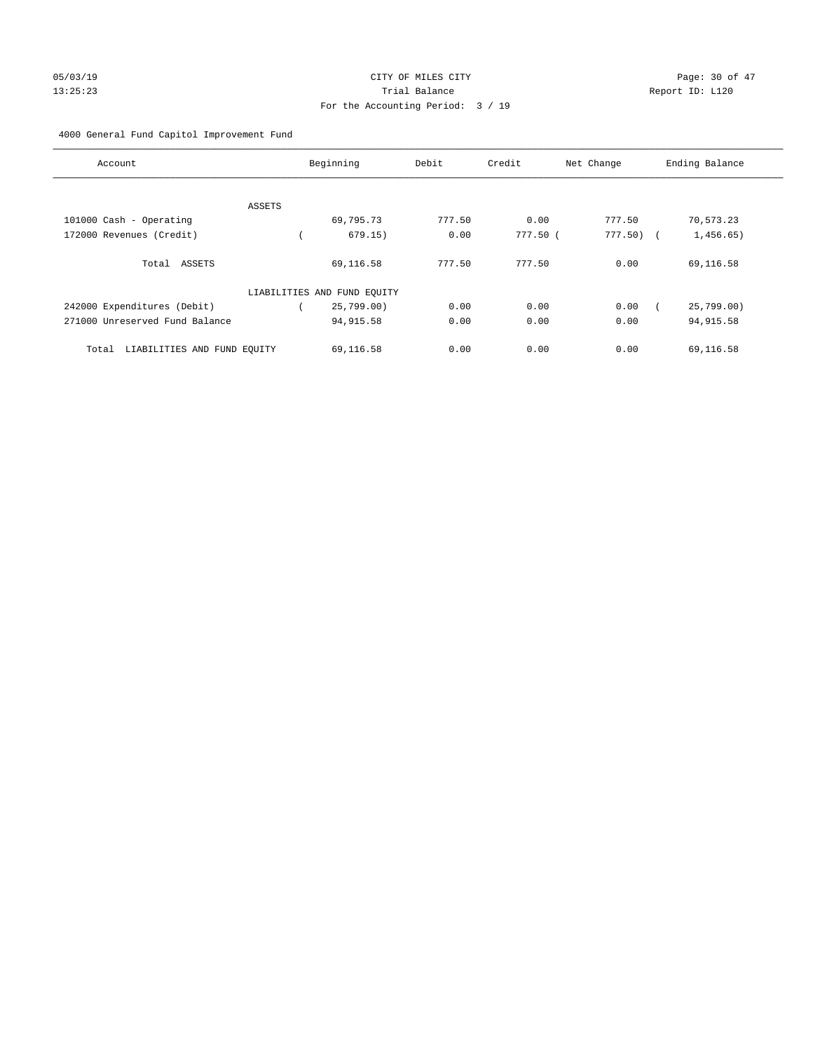# For the Accounting Period: 3 / 19

# 4000 General Fund Capitol Improvement Fund

| Account                              |        | Beginning                   | Debit  | Credit   | Net Change   | Ending Balance |
|--------------------------------------|--------|-----------------------------|--------|----------|--------------|----------------|
|                                      |        |                             |        |          |              |                |
|                                      | ASSETS |                             |        |          |              |                |
| 101000 Cash - Operating              |        | 69,795.73                   | 777.50 | 0.00     | 777.50       | 70,573.23      |
| 172000 Revenues (Credit)             |        | 679.15)                     | 0.00   | 777.50 ( | $777.50$ ) ( | 1,456.65)      |
| Total ASSETS                         |        | 69,116.58                   | 777.50 | 777.50   | 0.00         | 69,116.58      |
|                                      |        | LIABILITIES AND FUND EQUITY |        |          |              |                |
| 242000 Expenditures (Debit)          |        | 25,799.00)                  | 0.00   | 0.00     | 0.00         | 25,799.00)     |
| 271000 Unreserved Fund Balance       |        | 94, 915.58                  | 0.00   | 0.00     | 0.00         | 94, 915.58     |
| LIABILITIES AND FUND EQUITY<br>Total |        | 69,116.58                   | 0.00   | 0.00     | 0.00         | 69,116.58      |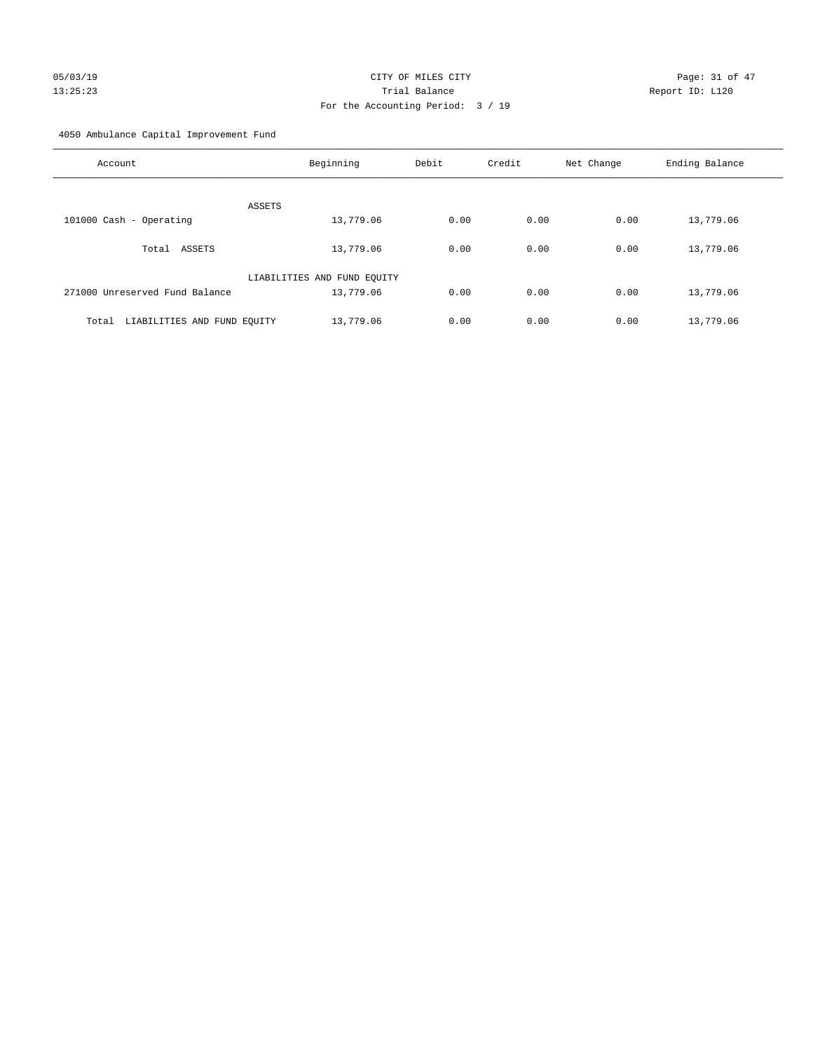# 05/03/19 Page: 31 of 47 13:25:23 Trial Balance Report ID: L120 For the Accounting Period: 3 / 19

4050 Ambulance Capital Improvement Fund

| Account                              | Beginning                   | Debit | Credit | Net Change | Ending Balance |
|--------------------------------------|-----------------------------|-------|--------|------------|----------------|
| <b>ASSETS</b>                        |                             |       |        |            |                |
| 101000 Cash - Operating              | 13,779.06                   | 0.00  | 0.00   | 0.00       | 13,779.06      |
| Total ASSETS                         | 13,779.06                   | 0.00  | 0.00   | 0.00       | 13,779.06      |
|                                      | LIABILITIES AND FUND EQUITY |       |        |            |                |
| 271000 Unreserved Fund Balance       | 13,779.06                   | 0.00  | 0.00   | 0.00       | 13,779.06      |
| LIABILITIES AND FUND EQUITY<br>Total | 13,779.06                   | 0.00  | 0.00   | 0.00       | 13,779.06      |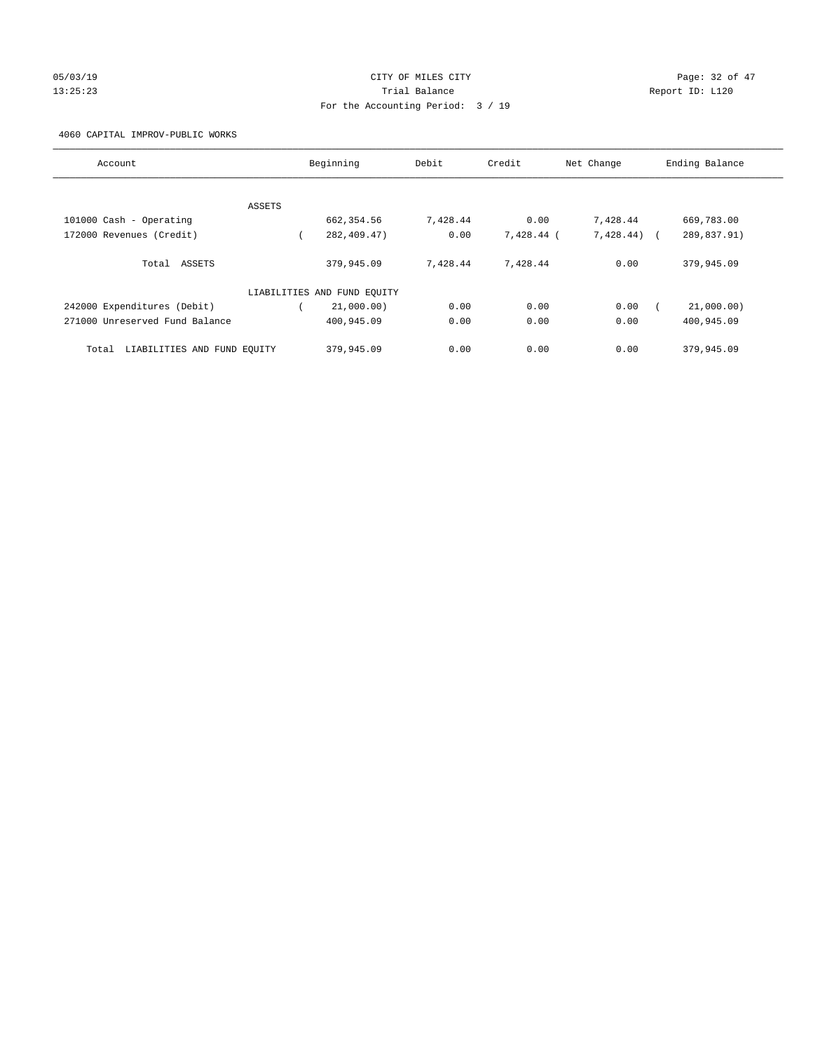# 05/03/19 Page: 32 of 47 13:25:23 Trial Balance Report ID: L120 For the Accounting Period: 3 / 19

#### 4060 CAPITAL IMPROV-PUBLIC WORKS

| Account                              |        | Beginning                   | Debit    | Credit     | Net Change     | Ending Balance |
|--------------------------------------|--------|-----------------------------|----------|------------|----------------|----------------|
|                                      |        |                             |          |            |                |                |
|                                      | ASSETS |                             |          |            |                |                |
| 101000 Cash - Operating              |        | 662, 354.56                 | 7,428.44 | 0.00       | 7,428.44       | 669,783.00     |
| 172000 Revenues (Credit)             |        | 282,409.47)                 | 0.00     | 7,428.44 ( | $7,428.44$ ) ( | 289,837.91)    |
| Total ASSETS                         |        | 379,945.09                  | 7,428.44 | 7,428.44   | 0.00           | 379,945.09     |
|                                      |        | LIABILITIES AND FUND EQUITY |          |            |                |                |
| 242000 Expenditures (Debit)          |        | 21,000.00)                  | 0.00     | 0.00       | 0.00           | 21,000.00)     |
| 271000 Unreserved Fund Balance       |        | 400,945.09                  | 0.00     | 0.00       | 0.00           | 400,945.09     |
| LIABILITIES AND FUND EQUITY<br>Total |        | 379,945.09                  | 0.00     | 0.00       | 0.00           | 379,945.09     |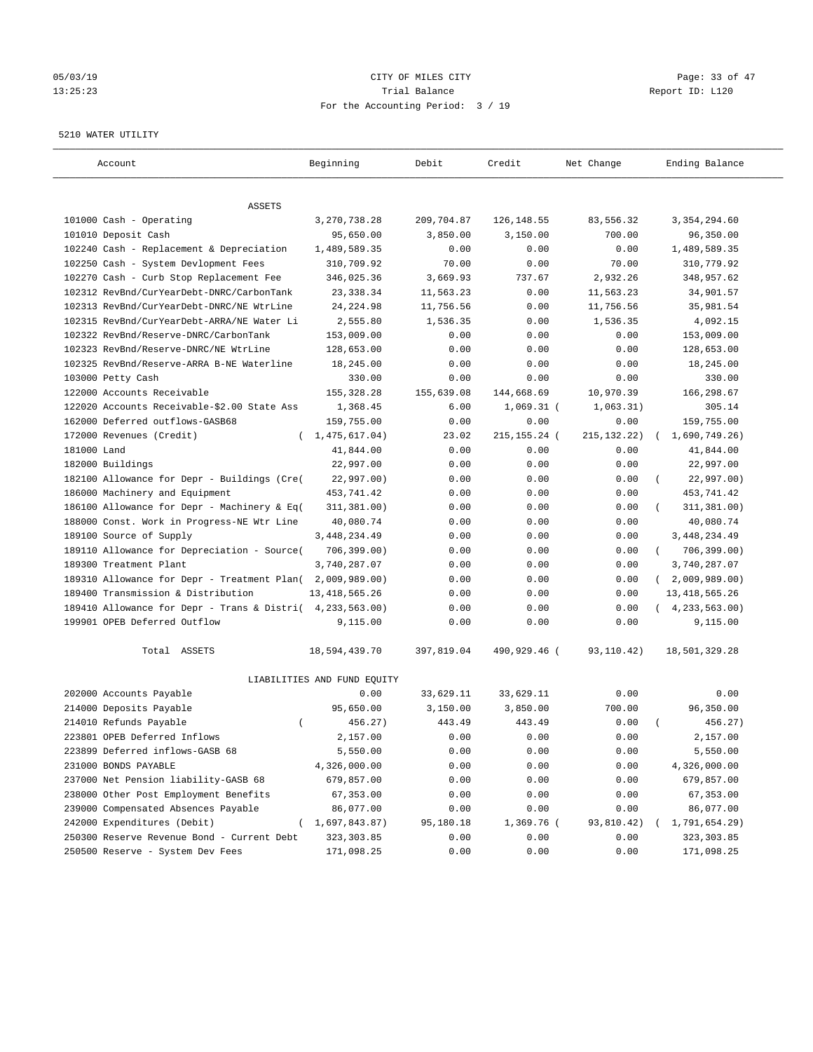# 05/03/19 Page: 33 of 47 13:25:23 Trial Balance Report ID: L120 For the Accounting Period: 3 / 19

#### 5210 WATER UTILITY

| Account                                     | Beginning                   | Debit      | Credit         | Net Change    | Ending Balance             |
|---------------------------------------------|-----------------------------|------------|----------------|---------------|----------------------------|
| ASSETS                                      |                             |            |                |               |                            |
| 101000 Cash - Operating                     | 3,270,738.28                | 209,704.87 | 126,148.55     | 83,556.32     | 3, 354, 294.60             |
| 101010 Deposit Cash                         | 95,650.00                   | 3,850.00   | 3,150.00       | 700.00        | 96,350.00                  |
| 102240 Cash - Replacement & Depreciation    | 1,489,589.35                | 0.00       | 0.00           | 0.00          | 1,489,589.35               |
| 102250 Cash - System Devlopment Fees        | 310,709.92                  | 70.00      | 0.00           | 70.00         | 310,779.92                 |
| 102270 Cash - Curb Stop Replacement Fee     | 346,025.36                  | 3,669.93   | 737.67         | 2,932.26      | 348,957.62                 |
| 102312 RevBnd/CurYearDebt-DNRC/CarbonTank   | 23,338.34                   | 11,563.23  | 0.00           | 11,563.23     | 34,901.57                  |
| 102313 RevBnd/CurYearDebt-DNRC/NE WtrLine   | 24, 224.98                  | 11,756.56  | 0.00           | 11,756.56     | 35,981.54                  |
| 102315 RevBnd/CurYearDebt-ARRA/NE Water Li  | 2,555.80                    | 1,536.35   | 0.00           | 1,536.35      | 4,092.15                   |
| 102322 RevBnd/Reserve-DNRC/CarbonTank       | 153,009.00                  | 0.00       | 0.00           | 0.00          | 153,009.00                 |
| 102323 RevBnd/Reserve-DNRC/NE WtrLine       | 128,653.00                  | 0.00       | 0.00           | 0.00          | 128,653.00                 |
| 102325 RevBnd/Reserve-ARRA B-NE Waterline   | 18,245.00                   | 0.00       | 0.00           | 0.00          | 18,245.00                  |
| 103000 Petty Cash                           | 330.00                      | 0.00       | 0.00           | 0.00          | 330.00                     |
| 122000 Accounts Receivable                  | 155, 328.28                 | 155,639.08 | 144,668.69     | 10,970.39     | 166,298.67                 |
| 122020 Accounts Receivable-\$2.00 State Ass | 1,368.45                    | 6.00       | $1,069.31$ (   | 1,063.31)     | 305.14                     |
| 162000 Deferred outflows-GASB68             | 159,755.00                  | 0.00       | 0.00           | 0.00          | 159,755.00                 |
| 172000 Revenues (Credit)                    | (1, 475, 617.04)            | 23.02      | 215, 155. 24 ( | 215, 132. 22) | 1,690,749.26)              |
| 181000 Land                                 | 41,844.00                   | 0.00       | 0.00           | 0.00          | 41,844.00                  |
| 182000 Buildings                            | 22,997.00                   | 0.00       | 0.00           | 0.00          | 22,997.00                  |
| 182100 Allowance for Depr - Buildings (Cre( | 22,997.00)                  | 0.00       | 0.00           | 0.00          | 22,997.00)                 |
| 186000 Machinery and Equipment              | 453,741.42                  | 0.00       | 0.00           | 0.00          | 453,741.42                 |
| 186100 Allowance for Depr - Machinery & Eq( | 311, 381.00)                | 0.00       | 0.00           | 0.00          | 311,381.00)                |
| 188000 Const. Work in Progress-NE Wtr Line  | 40,080.74                   | 0.00       | 0.00           | 0.00          | 40,080.74                  |
| 189100 Source of Supply                     | 3, 448, 234.49              | 0.00       | 0.00           | 0.00          | 3,448,234.49               |
| 189110 Allowance for Depreciation - Source( | 706, 399.00)                | 0.00       | 0.00           | 0.00          | 706,399.00)<br>$\left($    |
| 189300 Treatment Plant                      | 3,740,287.07                | 0.00       | 0.00           | 0.00          | 3,740,287.07               |
| 189310 Allowance for Depr - Treatment Plan( | 2,009,989.00)               | 0.00       | 0.00           | 0.00          | 2,009,989.00<br>$\sqrt{2}$ |
| 189400 Transmission & Distribution          | 13, 418, 565.26             | 0.00       | 0.00           | 0.00          | 13, 418, 565.26            |
| 189410 Allowance for Depr - Trans & Distri( | 4,233,563.00)               | 0.00       | 0.00           | 0.00          | (4, 233, 563.00)           |
| 199901 OPEB Deferred Outflow                | 9,115.00                    | 0.00       | 0.00           | 0.00          | 9,115.00                   |
| Total ASSETS                                | 18,594,439.70               | 397,819.04 | 490,929.46 (   | 93,110.42)    | 18,501,329.28              |
|                                             | LIABILITIES AND FUND EQUITY |            |                |               |                            |
| 202000 Accounts Payable                     | 0.00                        | 33,629.11  | 33,629.11      | 0.00          | 0.00                       |
| 214000 Deposits Payable                     | 95,650.00                   | 3,150.00   | 3,850.00       | 700.00        | 96,350.00                  |
| 214010 Refunds Payable<br>$\left($          | 456.27)                     | 443.49     | 443.49         | 0.00          | 456.27)                    |
| 223801 OPEB Deferred Inflows                | 2,157.00                    | 0.00       | 0.00           | 0.00          | 2,157.00                   |
| 223899 Deferred inflows-GASB 68             | 5,550.00                    | 0.00       | 0.00           | 0.00          | 5,550.00                   |
| 231000 BONDS PAYABLE                        | 4,326,000.00                | 0.00       | 0.00           | 0.00          | 4,326,000.00               |
| 237000 Net Pension liability-GASB 68        | 679,857.00                  | 0.00       | 0.00           | 0.00          | 679,857.00                 |
| 238000 Other Post Employment Benefits       | 67,353.00                   | 0.00       | 0.00           | 0.00          | 67,353.00                  |
| 239000 Compensated Absences Payable         | 86,077.00                   | 0.00       | 0.00           | 0.00          | 86,077.00                  |
| 242000 Expenditures (Debit)                 | (1,697,843.87)              | 95,180.18  | 1,369.76 (     | 93,810.42)    | 1,791,654.29)              |
| 250300 Reserve Revenue Bond - Current Debt  | 323, 303.85                 | 0.00       | 0.00           | 0.00          | 323, 303.85                |
| 250500 Reserve - System Dev Fees            | 171,098.25                  | 0.00       | 0.00           | 0.00          | 171,098.25                 |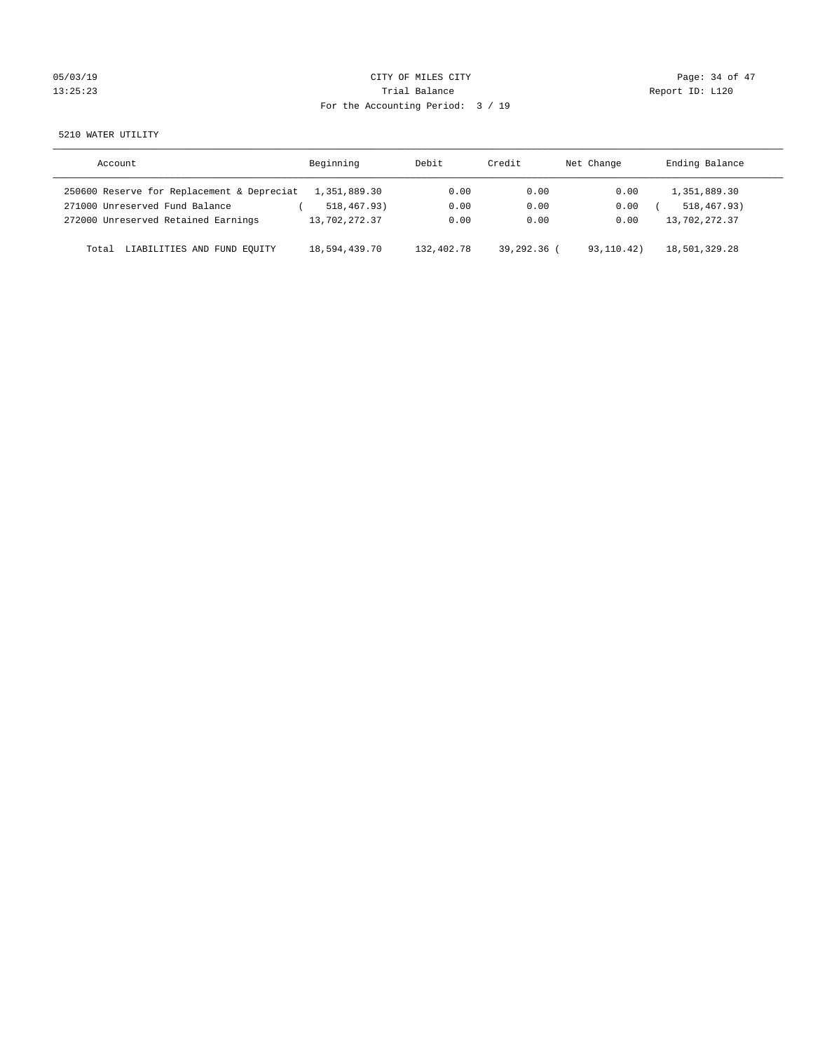| 05/03/19 |  |
|----------|--|
| 13:25:23 |  |

# CITY OF MILES CITY CONTROL CONTROL CITY CONTROL Page: 34 of 47 Partial Balance and Communications of the Report ID: L120 For the Accounting Period: 3 / 19

5210 WATER UTILITY

| Account                                    | Beginning     | Debit      | Credit      | Net Change | Ending Balance |
|--------------------------------------------|---------------|------------|-------------|------------|----------------|
| 250600 Reserve for Replacement & Depreciat | 1,351,889.30  | 0.00       | 0.00        | 0.00       | 1,351,889.30   |
| 271000 Unreserved Fund Balance             | 518,467.93)   | 0.00       | 0.00        | 0.00       | 518, 467, 93)  |
| 272000 Unreserved Retained Earnings        | 13,702,272.37 | 0.00       | 0.00        | 0.00       | 13,702,272.37  |
| LIABILITIES AND FUND EQUITY<br>Total       | 18,594,439.70 | 132,402.78 | 39,292.36 ( | 93,110.42) | 18,501,329.28  |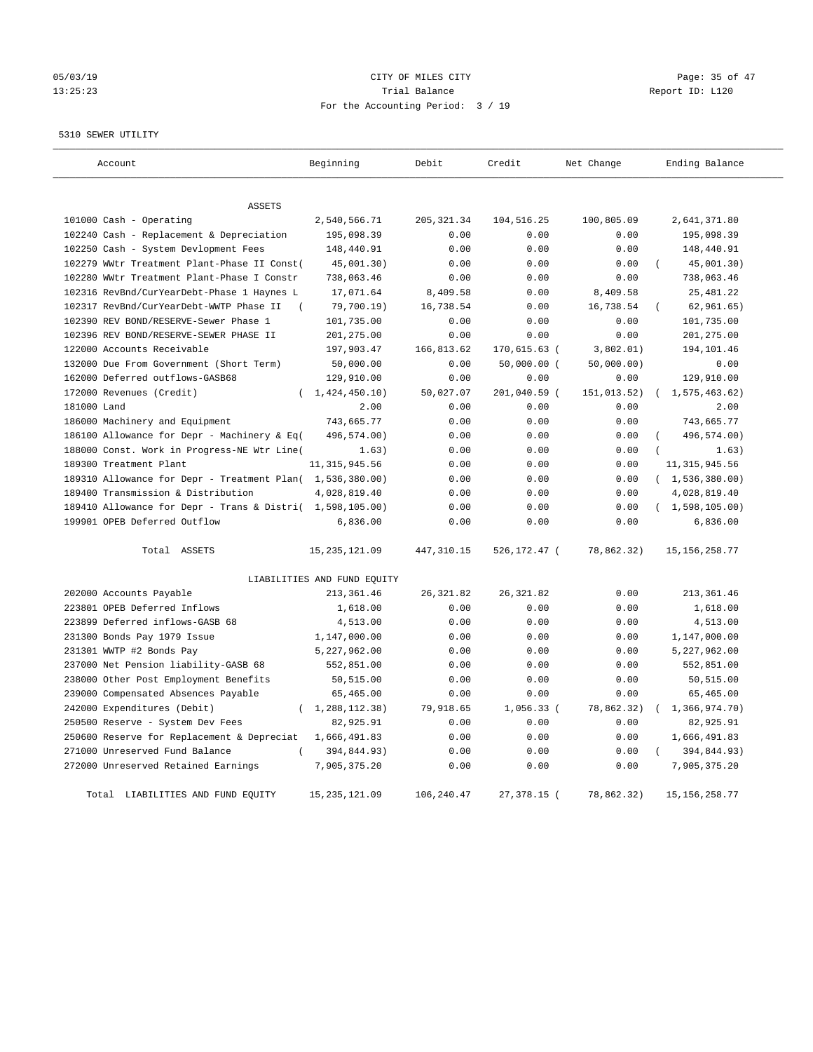# 05/03/19 Page: 35 of 47 13:25:23 Trial Balance Trial Balance Report ID: L120 For the Accounting Period: 3 / 19

5310 SEWER UTILITY

| Account                                                   | Beginning                   | Debit       | Credit        | Net Change  | Ending Balance              |
|-----------------------------------------------------------|-----------------------------|-------------|---------------|-------------|-----------------------------|
|                                                           |                             |             |               |             |                             |
| <b>ASSETS</b>                                             |                             |             |               |             |                             |
| 101000 Cash - Operating                                   | 2,540,566.71                | 205, 321.34 | 104,516.25    | 100,805.09  | 2,641,371.80                |
| 102240 Cash - Replacement & Depreciation                  | 195,098.39                  | 0.00        | 0.00          | 0.00        | 195,098.39                  |
| 102250 Cash - System Devlopment Fees                      | 148,440.91                  | 0.00        | 0.00          | 0.00        | 148,440.91                  |
| 102279 WWtr Treatment Plant-Phase II Const(               | 45,001.30)                  | 0.00        | 0.00          | 0.00        | 45,001.30)                  |
| 102280 WWtr Treatment Plant-Phase I Constr                | 738,063.46                  | 0.00        | 0.00          | 0.00        | 738,063.46                  |
| 102316 RevBnd/CurYearDebt-Phase 1 Haynes L                | 17,071.64                   | 8,409.58    | 0.00          | 8,409.58    | 25, 481.22                  |
| 102317 RevBnd/CurYearDebt-WWTP Phase II                   | 79,700.19)                  | 16,738.54   | 0.00          | 16,738.54   | 62, 961.65)                 |
| 102390 REV BOND/RESERVE-Sewer Phase 1                     | 101,735.00                  | 0.00        | 0.00          | 0.00        | 101,735.00                  |
| 102396 REV BOND/RESERVE-SEWER PHASE II                    | 201,275.00                  | 0.00        | 0.00          | 0.00        | 201,275.00                  |
| 122000 Accounts Receivable                                | 197,903.47                  | 166,813.62  | 170,615.63 (  | 3,802.01)   | 194,101.46                  |
| 132000 Due From Government (Short Term)                   | 50,000.00                   | 0.00        | $50,000.00$ ( | 50,000.00)  | 0.00                        |
| 162000 Deferred outflows-GASB68                           | 129,910.00                  | 0.00        | 0.00          | 0.00        | 129,910.00                  |
| 172000 Revenues (Credit)                                  | (1, 424, 450.10)            | 50,027.07   | 201,040.59 (  | 151,013.52) | (1, 575, 463.62)            |
| 181000 Land                                               | 2.00                        | 0.00        | 0.00          | 0.00        | 2.00                        |
| 186000 Machinery and Equipment                            | 743,665.77                  | 0.00        | 0.00          | 0.00        | 743,665.77                  |
| 186100 Allowance for Depr - Machinery & Eq(               | 496,574.00)                 | 0.00        | 0.00          | 0.00        | 496,574.00)                 |
| 188000 Const. Work in Progress-NE Wtr Line(               | 1.63)                       | 0.00        | 0.00          | 0.00        | 1.63)                       |
| 189300 Treatment Plant                                    | 11, 315, 945.56             | 0.00        | 0.00          | 0.00        | 11, 315, 945.56             |
| 189310 Allowance for Depr - Treatment Plan( 1,536,380.00) |                             | 0.00        | 0.00          | 0.00        | (1, 536, 380.00)            |
| 189400 Transmission & Distribution                        | 4,028,819.40                | 0.00        | 0.00          | 0.00        | 4,028,819.40                |
| 189410 Allowance for Depr - Trans & Distri( 1,598,105.00) |                             | 0.00        | 0.00          | 0.00        | (1,598,105.00)              |
| 199901 OPEB Deferred Outflow                              | 6,836.00                    | 0.00        | 0.00          | 0.00        | 6,836.00                    |
| Total ASSETS                                              | 15, 235, 121.09             | 447, 310.15 | 526,172.47 (  | 78,862.32)  | 15, 156, 258.77             |
|                                                           | LIABILITIES AND FUND EQUITY |             |               |             |                             |
| 202000 Accounts Payable                                   | 213, 361.46                 | 26, 321.82  | 26, 321.82    | 0.00        | 213, 361.46                 |
| 223801 OPEB Deferred Inflows                              | 1,618.00                    | 0.00        | 0.00          | 0.00        | 1,618.00                    |
| 223899 Deferred inflows-GASB 68                           | 4,513.00                    | 0.00        | 0.00          | 0.00        | 4,513.00                    |
| 231300 Bonds Pay 1979 Issue                               | 1,147,000.00                | 0.00        | 0.00          | 0.00        | 1,147,000.00                |
| 231301 WWTP #2 Bonds Pay                                  | 5,227,962.00                | 0.00        | 0.00          | 0.00        | 5,227,962.00                |
| 237000 Net Pension liability-GASB 68                      | 552,851.00                  | 0.00        | 0.00          | 0.00        | 552,851.00                  |
| 238000 Other Post Employment Benefits                     | 50,515.00                   | 0.00        | 0.00          | 0.00        | 50,515.00                   |
| 239000 Compensated Absences Payable                       | 65,465.00                   | 0.00        | 0.00          | 0.00        | 65,465.00                   |
| 242000 Expenditures (Debit)                               | (1, 288, 112.38)            | 79,918.65   | $1,056.33$ (  | 78,862.32)  | 1,366,974.70)               |
| 250500 Reserve - System Dev Fees                          | 82,925.91                   | 0.00        | 0.00          | 0.00        | 82,925.91                   |
| 250600 Reserve for Replacement & Depreciat                | 1,666,491.83                | 0.00        | 0.00          | 0.00        | 1,666,491.83                |
| 271000 Unreserved Fund Balance                            |                             | 0.00        | 0.00          | 0.00        |                             |
|                                                           | 394,844.93)<br>7,905,375.20 |             |               | 0.00        | 394,844.93)<br>7,905,375.20 |
| 272000 Unreserved Retained Earnings                       |                             | 0.00        | 0.00          |             |                             |
| Total LIABILITIES AND FUND EQUITY                         | 15, 235, 121.09             | 106,240.47  | 27,378.15 (   | 78,862.32)  | 15, 156, 258.77             |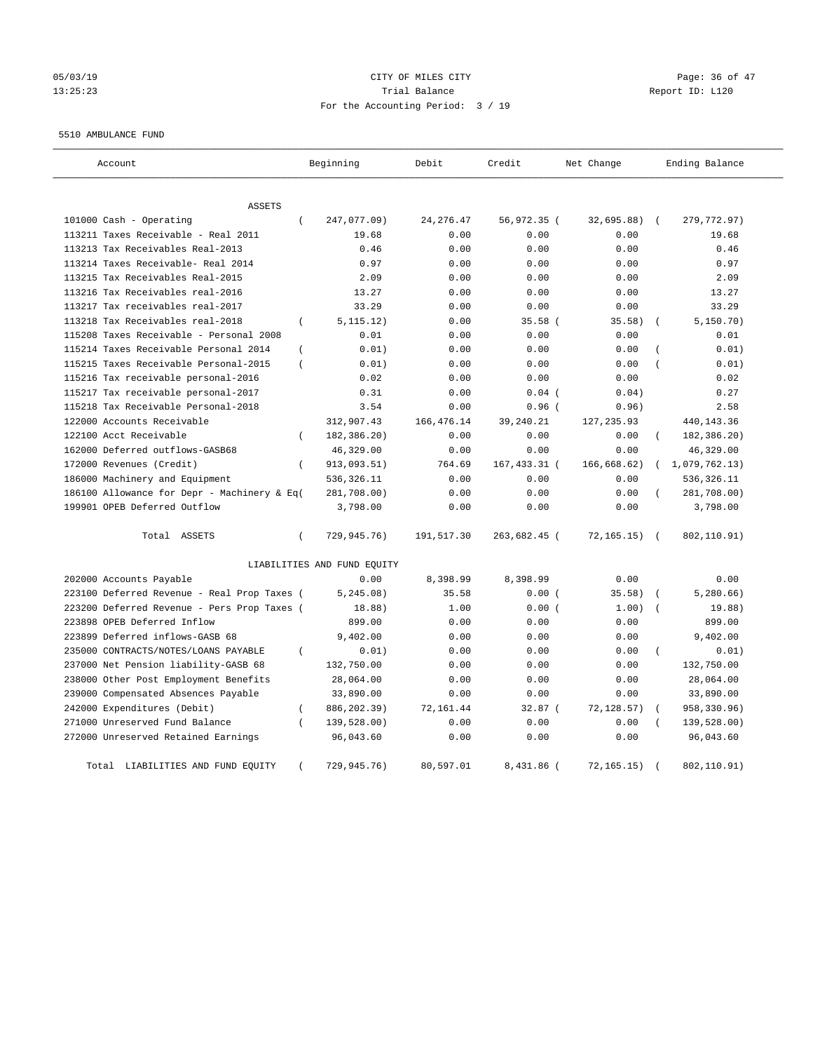# 05/03/19 Page: 36 of 47 13:25:23 Trial Balance Report ID: L120 For the Accounting Period: 3 / 19

#### 5510 AMBULANCE FUND

| Account                                                | Beginning                   | Debit       | Credit       | Net Change   | Ending Balance            |
|--------------------------------------------------------|-----------------------------|-------------|--------------|--------------|---------------------------|
| <b>ASSETS</b>                                          |                             |             |              |              |                           |
| 101000 Cash - Operating<br>$\left($                    | 247,077.09)                 | 24, 276.47  | 56,972.35 (  | 32,695.88)   | 279,772.97)<br>$\sqrt{2}$ |
| 113211 Taxes Receivable - Real 2011                    | 19.68                       | 0.00        | 0.00         | 0.00         | 19.68                     |
| 113213 Tax Receivables Real-2013                       | 0.46                        | 0.00        | 0.00         | 0.00         | 0.46                      |
| 113214 Taxes Receivable- Real 2014                     | 0.97                        | 0.00        | 0.00         | 0.00         | 0.97                      |
| 113215 Tax Receivables Real-2015                       | 2.09                        | 0.00        | 0.00         | 0.00         | 2.09                      |
| 113216 Tax Receivables real-2016                       | 13.27                       | 0.00        | 0.00         | 0.00         | 13.27                     |
| 113217 Tax receivables real-2017                       | 33.29                       | 0.00        | 0.00         | 0.00         | 33.29                     |
| 113218 Tax Receivables real-2018<br>$\left($           | 5, 115.12)                  | 0.00        | 35.58(       | 35.58)       | 5, 150.70)                |
| 115208 Taxes Receivable - Personal 2008                | 0.01                        | 0.00        | 0.00         | 0.00         | 0.01                      |
| 115214 Taxes Receivable Personal 2014<br>$\left($      | 0.01)                       | 0.00        | 0.00         | 0.00         | 0.01)                     |
| 115215 Taxes Receivable Personal-2015<br>$\left($      | 0.01)                       | 0.00        | 0.00         | 0.00         | 0.01)                     |
| 115216 Tax receivable personal-2016                    | 0.02                        | 0.00        | 0.00         | 0.00         | 0.02                      |
| 115217 Tax receivable personal-2017                    | 0.31                        | 0.00        | $0.04$ (     | 0.04)        | 0.27                      |
| 115218 Tax Receivable Personal-2018                    | 3.54                        | 0.00        | $0.96$ (     | 0.96)        | 2.58                      |
| 122000 Accounts Receivable                             | 312,907.43                  | 166, 476.14 | 39,240.21    | 127, 235.93  | 440,143.36                |
| 122100 Acct Receivable<br>$\left($                     | 182,386.20)                 | 0.00        | 0.00         | 0.00         | 182,386.20)<br>$\sqrt{2}$ |
| 162000 Deferred outflows-GASB68                        | 46,329.00                   | 0.00        | 0.00         | 0.00         | 46,329.00                 |
| 172000 Revenues (Credit)<br>$\overline{ }$             | 913,093.51)                 | 764.69      | 167,433.31 ( | 166, 668.62) | 1,079,762.13)<br>$\left($ |
| 186000 Machinery and Equipment                         | 536,326.11                  | 0.00        | 0.00         | 0.00         | 536,326.11                |
| 186100 Allowance for Depr - Machinery & Eq(            | 281,708.00)                 | 0.00        | 0.00         | 0.00         | 281,708.00)               |
| 199901 OPEB Deferred Outflow                           | 3,798.00                    | 0.00        | 0.00         | 0.00         | 3,798.00                  |
| Total ASSETS<br>$\left($                               | 729,945.76)                 | 191,517.30  | 263,682.45 ( | 72, 165.15)  | 802,110.91)<br>$\sqrt{2}$ |
|                                                        | LIABILITIES AND FUND EQUITY |             |              |              |                           |
| 202000 Accounts Payable                                | 0.00                        | 8,398.99    | 8,398.99     | 0.00         | 0.00                      |
| 223100 Deferred Revenue - Real Prop Taxes (            | 5, 245.08)                  | 35.58       | 0.00(        | 35.58)       | 5,280.66)                 |
| 223200 Deferred Revenue - Pers Prop Taxes (            | 18.88)                      | 1.00        | 0.00(        | 1.00)        | 19.88)                    |
| 223898 OPEB Deferred Inflow                            | 899.00                      | 0.00        | 0.00         | 0.00         | 899.00                    |
| 223899 Deferred inflows-GASB 68                        | 9,402.00                    | 0.00        | 0.00         | 0.00         | 9,402.00                  |
| 235000 CONTRACTS/NOTES/LOANS PAYABLE<br>$\overline{ }$ | 0.01)                       | 0.00        | 0.00         | 0.00         | 0.01)<br>$\overline{(\ }$ |
| 237000 Net Pension liability-GASB 68                   | 132,750.00                  | 0.00        | 0.00         | 0.00         | 132,750.00                |
| 238000 Other Post Employment Benefits                  | 28,064.00                   | 0.00        | 0.00         | 0.00         | 28,064.00                 |
| 239000 Compensated Absences Payable                    | 33,890.00                   | 0.00        | 0.00         | 0.00         | 33,890.00                 |
| 242000 Expenditures (Debit)<br>$\left($                | 886,202.39)                 | 72,161.44   | $32.87$ (    | 72,128.57)   | 958,330.96)               |
| 271000 Unreserved Fund Balance                         | 139,528.00)                 | 0.00        | 0.00         | 0.00         | 139,528.00)               |
| 272000 Unreserved Retained Earnings                    | 96,043.60                   | 0.00        | 0.00         | 0.00         | 96,043.60                 |
| LIABILITIES AND FUND EQUITY<br>Total                   | 729,945.76)                 | 80,597.01   | 8,431.86 (   | 72, 165.15)  | 802, 110.91)              |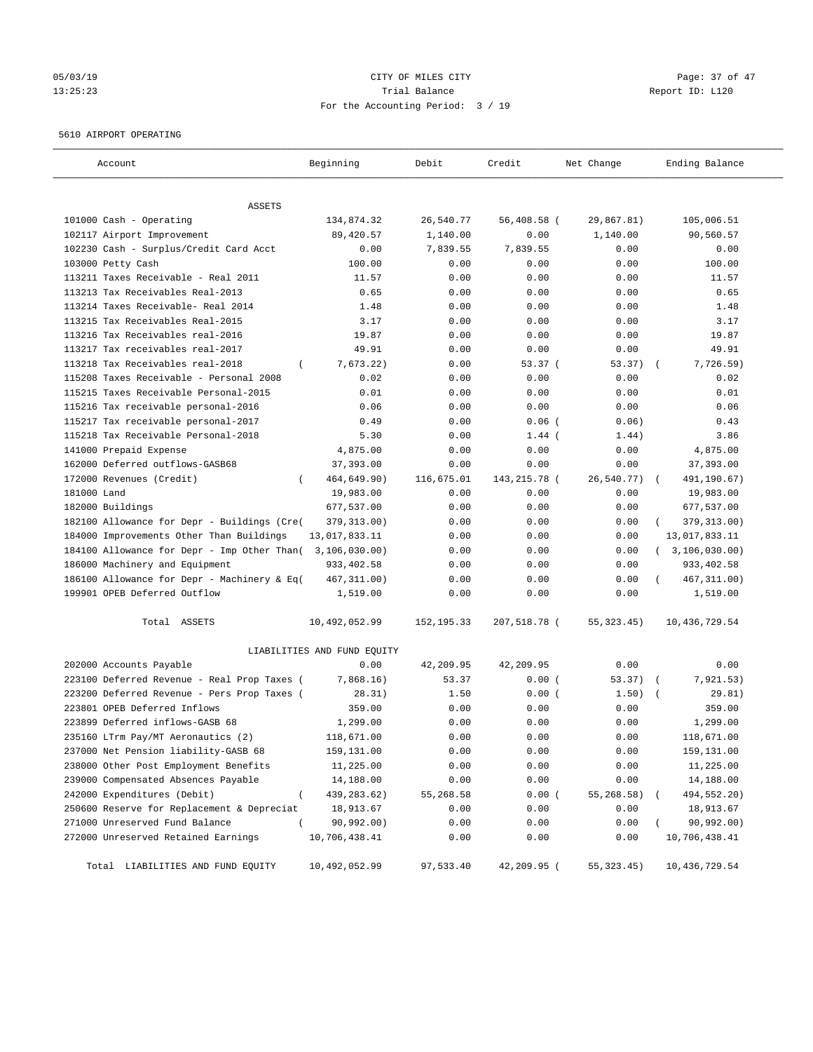# 05/03/19 Page: 37 of 47 13:25:23 Trial Balance Report ID: L120 For the Accounting Period: 3 / 19

#### 5610 AIRPORT OPERATING

| Account                                      | Beginning                   | Debit       | Credit       | Net Change   | Ending Balance   |
|----------------------------------------------|-----------------------------|-------------|--------------|--------------|------------------|
| ASSETS                                       |                             |             |              |              |                  |
| 101000 Cash - Operating                      | 134,874.32                  | 26,540.77   | 56,408.58 (  | 29,867.81)   | 105,006.51       |
| 102117 Airport Improvement                   | 89,420.57                   | 1,140.00    | 0.00         | 1,140.00     | 90,560.57        |
| 102230 Cash - Surplus/Credit Card Acct       | 0.00                        | 7,839.55    | 7,839.55     | 0.00         | 0.00             |
| 103000 Petty Cash                            | 100.00                      | 0.00        | 0.00         | 0.00         | 100.00           |
| 113211 Taxes Receivable - Real 2011          | 11.57                       | 0.00        | 0.00         | 0.00         | 11.57            |
| 113213 Tax Receivables Real-2013             | 0.65                        | 0.00        | 0.00         | 0.00         | 0.65             |
| 113214 Taxes Receivable- Real 2014           | 1.48                        | 0.00        | 0.00         | 0.00         | 1.48             |
| 113215 Tax Receivables Real-2015             | 3.17                        | 0.00        | 0.00         | 0.00         | 3.17             |
| 113216 Tax Receivables real-2016             | 19.87                       | 0.00        | 0.00         | 0.00         | 19.87            |
| 113217 Tax receivables real-2017             | 49.91                       | 0.00        | 0.00         | 0.00         | 49.91            |
| 113218 Tax Receivables real-2018<br>$\left($ | 7,673.22)                   | 0.00        | 53.37(       | 53.37)       | 7,726.59)        |
| 115208 Taxes Receivable - Personal 2008      | 0.02                        | 0.00        | 0.00         | 0.00         | 0.02             |
| 115215 Taxes Receivable Personal-2015        | 0.01                        | 0.00        | 0.00         | 0.00         | 0.01             |
| 115216 Tax receivable personal-2016          | 0.06                        | 0.00        | 0.00         | 0.00         | 0.06             |
| 115217 Tax receivable personal-2017          | 0.49                        | 0.00        | $0.06$ (     | 0.06)        | 0.43             |
| 115218 Tax Receivable Personal-2018          | 5.30                        | 0.00        | $1.44$ (     | 1.44)        | 3.86             |
| 141000 Prepaid Expense                       | 4,875.00                    | 0.00        | 0.00         | 0.00         | 4,875.00         |
| 162000 Deferred outflows-GASB68              | 37,393.00                   | 0.00        | 0.00         | 0.00         | 37,393.00        |
| 172000 Revenues (Credit)<br>$\left($         | 464,649.90)                 | 116,675.01  | 143,215.78 ( | 26,540.77)   | 491,190.67)      |
| 181000 Land                                  | 19,983.00                   | 0.00        | 0.00         | 0.00         | 19,983.00        |
| 182000 Buildings                             | 677,537.00                  | 0.00        | 0.00         | 0.00         | 677,537.00       |
| 182100 Allowance for Depr - Buildings (Cre(  | 379, 313.00)                | 0.00        | 0.00         | 0.00         | 379, 313.00)     |
| 184000 Improvements Other Than Buildings     | 13,017,833.11               | 0.00        | 0.00         | 0.00         | 13,017,833.11    |
| 184100 Allowance for Depr - Imp Other Than(  | 3,106,030.00)               | 0.00        | 0.00         | 0.00         | (3, 106, 030.00) |
| 186000 Machinery and Equipment               | 933,402.58                  | 0.00        | 0.00         | 0.00         | 933,402.58       |
| 186100 Allowance for Depr - Machinery & Eq(  | 467, 311.00)                | 0.00        | 0.00         | 0.00         | 467, 311.00)     |
| 199901 OPEB Deferred Outflow                 | 1,519.00                    | 0.00        | 0.00         | 0.00         | 1,519.00         |
|                                              |                             |             |              |              |                  |
| Total ASSETS                                 | 10,492,052.99               | 152, 195.33 | 207,518.78 ( | 55, 323. 45) | 10,436,729.54    |
|                                              | LIABILITIES AND FUND EQUITY |             |              |              |                  |
| 202000 Accounts Payable                      | 0.00                        | 42,209.95   | 42,209.95    | 0.00         | 0.00             |
| 223100 Deferred Revenue - Real Prop Taxes (  | 7,868.16)                   | 53.37       | 0.00(        | 53.37)       | 7,921.53)        |
| 223200 Deferred Revenue - Pers Prop Taxes (  | 28.31)                      | 1.50        | 0.00(        | 1.50)        | 29.81)           |
| 223801 OPEB Deferred Inflows                 | 359.00                      | 0.00        | 0.00         | 0.00         | 359.00           |
| 223899 Deferred inflows-GASB 68              | 1,299.00                    | 0.00        | 0.00         | 0.00         | 1,299.00         |
| 235160 LTrm Pay/MT Aeronautics (2)           | 118,671.00                  | 0.00        | 0.00         | 0.00         | 118,671.00       |
| 237000 Net Pension liability-GASB 68         | 159,131.00                  | 0.00        | 0.00         | 0.00         | 159,131.00       |
| 238000 Other Post Employment Benefits        | 11,225.00                   | 0.00        | 0.00         | 0.00         | 11,225.00        |
|                                              | 14,188.00                   | 0.00        | 0.00         | 0.00         | 14,188.00        |
| 239000 Compensated Absences Payable          |                             |             |              | 55,268.58)   | 494,552.20)      |
| 242000 Expenditures (Debit)<br>$\left($      | 439,283.62)                 | 55,268.58   | 0.00(        |              |                  |
| 250600 Reserve for Replacement & Depreciat   | 18,913.67                   | 0.00        | 0.00         | 0.00         | 18,913.67        |
| 271000 Unreserved Fund Balance               | 90,992.00)                  | 0.00        | 0.00         | 0.00         | 90,992.00)       |
| 272000 Unreserved Retained Earnings          | 10,706,438.41               | 0.00        | 0.00         | 0.00         | 10,706,438.41    |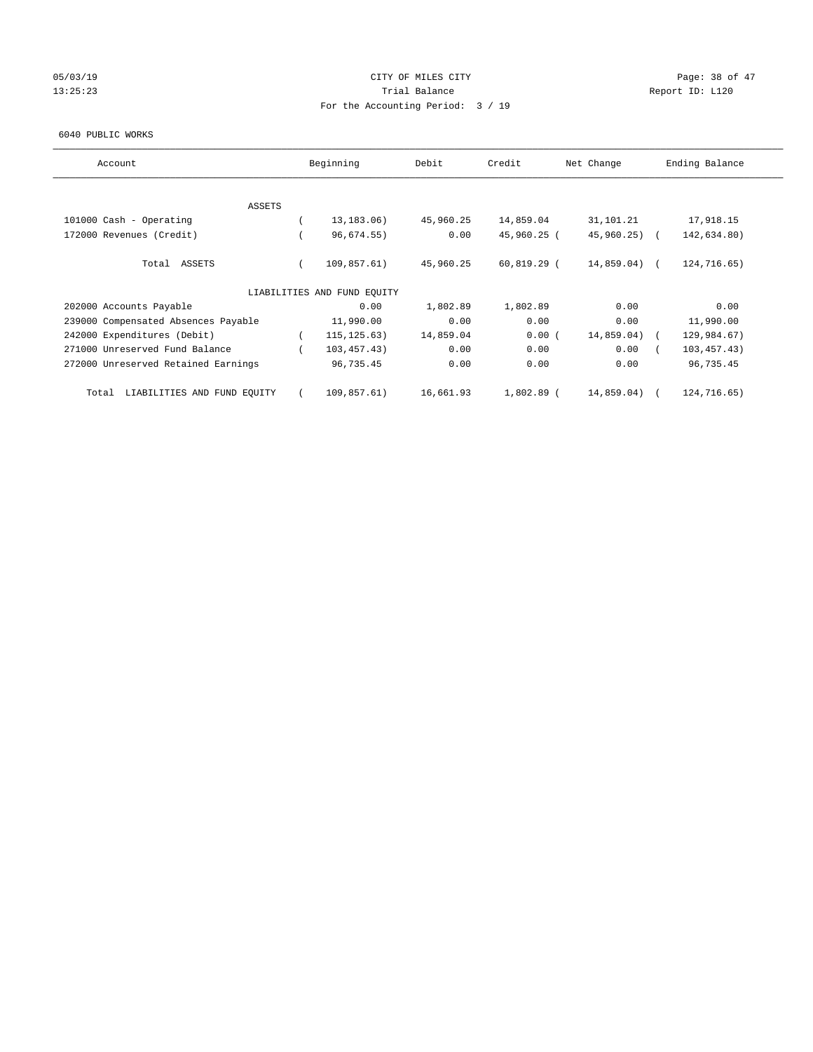# 05/03/19 Page: 38 of 47 13:25:23 Trial Balance Report ID: L120 For the Accounting Period: 3 / 19

#### 6040 PUBLIC WORKS

| Account                              | Beginning                   | Debit     | Credit        | Net Change    | Ending Balance |
|--------------------------------------|-----------------------------|-----------|---------------|---------------|----------------|
| <b>ASSETS</b>                        |                             |           |               |               |                |
| 101000 Cash - Operating              | 13, 183. 06)                | 45,960.25 | 14,859.04     | 31,101.21     | 17,918.15      |
|                                      |                             |           |               |               |                |
| 172000 Revenues (Credit)             | 96,674.55)                  | 0.00      | 45,960.25 (   | 45,960.25)    | 142,634.80)    |
| Total ASSETS                         | 109,857.61)                 | 45,960.25 | $60,819.29$ ( | $14,859.04$ ( | 124,716.65)    |
|                                      | LIABILITIES AND FUND EQUITY |           |               |               |                |
| 202000 Accounts Payable              | 0.00                        | 1,802.89  | 1,802.89      | 0.00          | 0.00           |
| 239000 Compensated Absences Payable  | 11,990.00                   | 0.00      | 0.00          | 0.00          | 11,990.00      |
| 242000 Expenditures (Debit)          | 115, 125.63)                | 14,859.04 | 0.00(         | 14,859.04)    | 129,984.67)    |
| 271000 Unreserved Fund Balance       | 103,457.43)                 | 0.00      | 0.00          | 0.00          | 103, 457.43)   |
| 272000 Unreserved Retained Earnings  | 96,735.45                   | 0.00      | 0.00          | 0.00          | 96,735.45      |
| LIABILITIES AND FUND EQUITY<br>Total | 109,857.61)                 | 16,661.93 | 1,802.89 (    | 14,859.04)    | 124,716.65)    |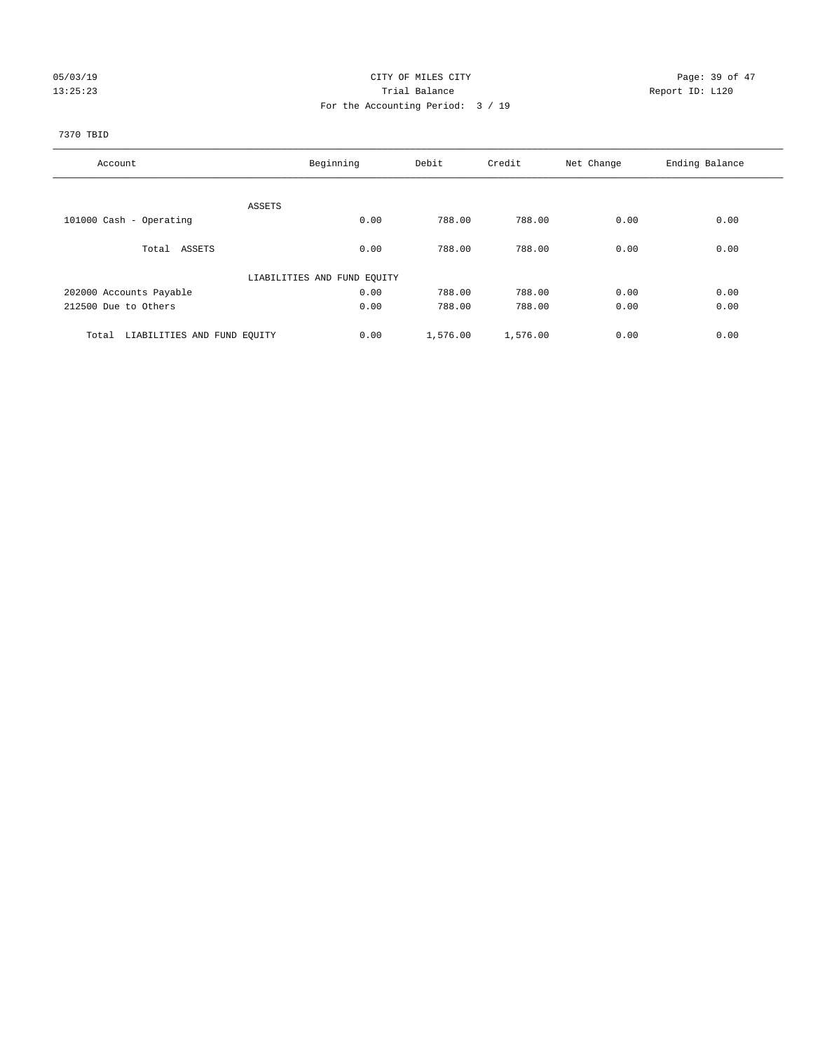# 05/03/19 Page: 39 of 47 13:25:23 Trial Balance Trial Balance Report ID: L120 For the Accounting Period: 3 / 19

#### 7370 TBID

| Account                              | Beginning                   | Debit    | Credit   | Net Change | Ending Balance |
|--------------------------------------|-----------------------------|----------|----------|------------|----------------|
|                                      |                             |          |          |            |                |
|                                      | ASSETS                      |          |          |            |                |
| 101000 Cash - Operating              | 0.00                        | 788.00   | 788.00   | 0.00       | 0.00           |
| Total ASSETS                         | 0.00                        | 788.00   | 788.00   | 0.00       | 0.00           |
|                                      | LIABILITIES AND FUND EQUITY |          |          |            |                |
| 202000 Accounts Payable              | 0.00                        | 788.00   | 788.00   | 0.00       | 0.00           |
| 212500 Due to Others                 | 0.00                        | 788.00   | 788.00   | 0.00       | 0.00           |
|                                      |                             |          |          |            |                |
| LIABILITIES AND FUND EQUITY<br>Total | 0.00                        | 1,576.00 | 1,576.00 | 0.00       | 0.00           |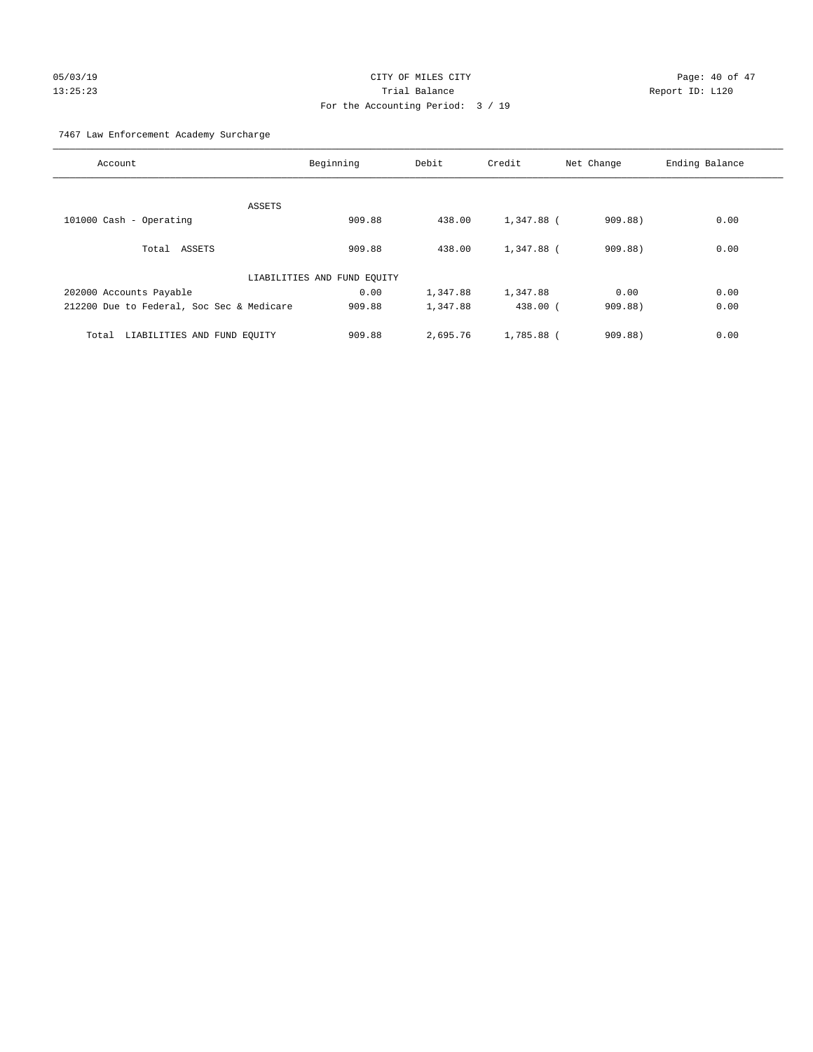# 05/03/19 Page: 40 of 47 13:25:23 Trial Balance Report ID: L120 For the Accounting Period: 3 / 19

7467 Law Enforcement Academy Surcharge

| Account                                   | Beginning                   | Debit    | Credit     | Net Change | Ending Balance |
|-------------------------------------------|-----------------------------|----------|------------|------------|----------------|
|                                           |                             |          |            |            |                |
|                                           | ASSETS                      |          |            |            |                |
| 101000 Cash - Operating                   | 909.88                      | 438.00   | 1,347.88 ( | 909.88)    | 0.00           |
| Total ASSETS                              | 909.88                      | 438.00   | 1,347.88 ( | 909.88)    | 0.00           |
|                                           | LIABILITIES AND FUND EQUITY |          |            |            |                |
| 202000 Accounts Payable                   | 0.00                        | 1,347.88 | 1,347.88   | 0.00       | 0.00           |
| 212200 Due to Federal, Soc Sec & Medicare | 909.88                      | 1,347.88 | $438.00$ ( | 909.88     | 0.00           |
|                                           |                             |          |            |            |                |
| LIABILITIES AND FUND EQUITY<br>Total      | 909.88                      | 2,695.76 | 1,785.88 ( | 909.88)    | 0.00           |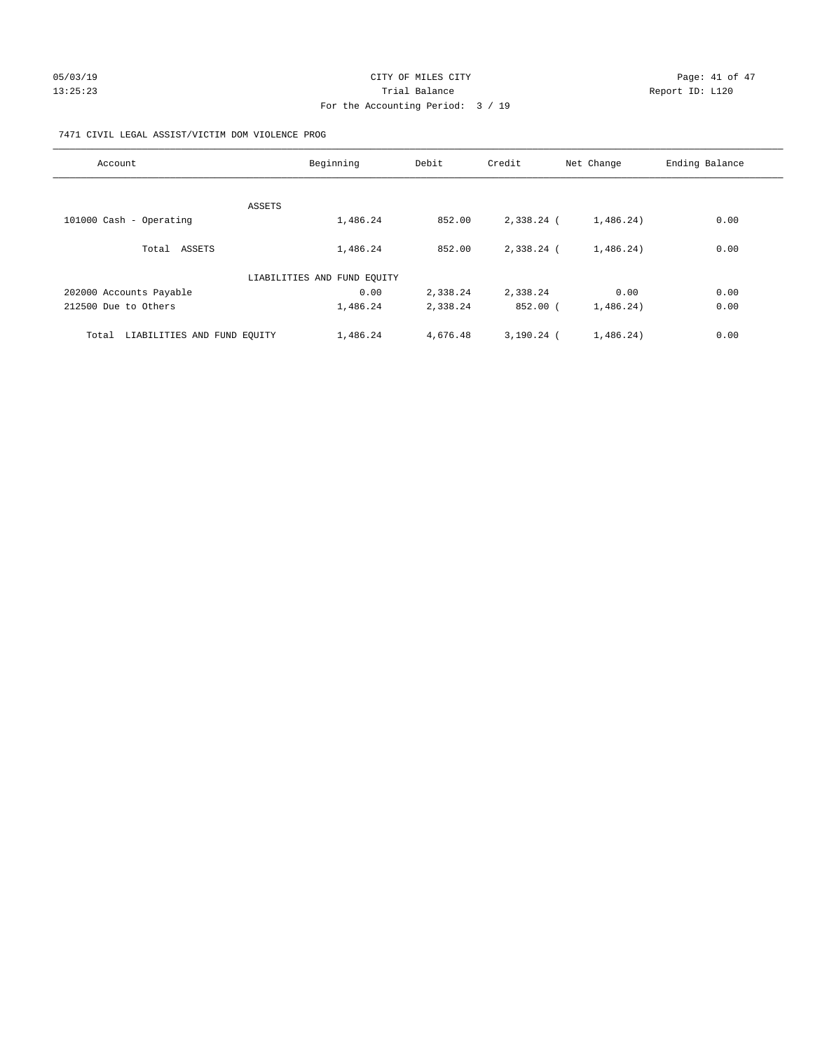# 05/03/19 Page: 41 of 47 13:25:23 Trial Balance Report ID: L120 For the Accounting Period: 3 / 19

#### 7471 CIVIL LEGAL ASSIST/VICTIM DOM VIOLENCE PROG

| Account                              | Beginning                   | Debit    | Credit       | Net Change | Ending Balance |
|--------------------------------------|-----------------------------|----------|--------------|------------|----------------|
|                                      |                             |          |              |            |                |
|                                      | ASSETS                      |          |              |            |                |
| 101000 Cash - Operating              | 1,486.24                    | 852.00   | 2,338.24 (   | 1,486.24)  | 0.00           |
| Total ASSETS                         | 1,486.24                    | 852.00   | $2.338.24$ ( | 1,486.24)  | 0.00           |
|                                      | LIABILITIES AND FUND EQUITY |          |              |            |                |
| 202000 Accounts Payable              | 0.00                        | 2,338.24 | 2,338.24     | 0.00       | 0.00           |
| 212500 Due to Others                 | 1,486.24                    | 2,338.24 | $852.00$ (   | 1,486.24)  | 0.00           |
| Total<br>LIABILITIES AND FUND EQUITY | 1,486.24                    | 4,676.48 | $3,190.24$ ( | 1,486.24)  | 0.00           |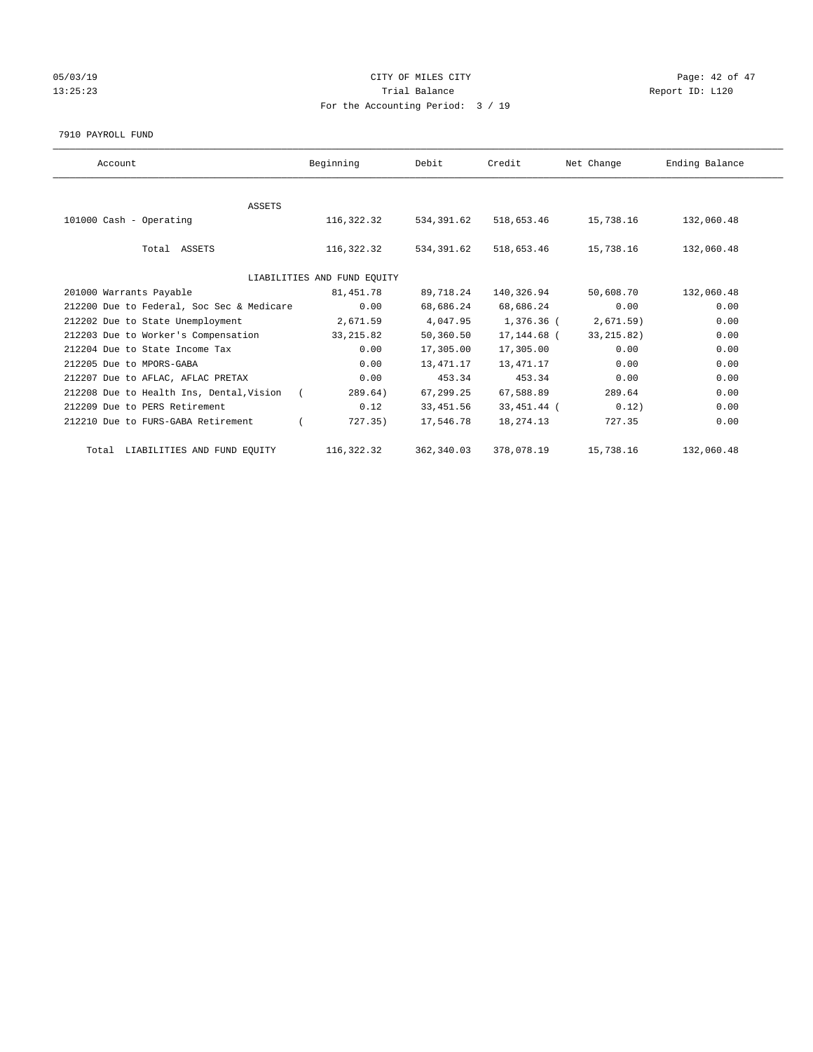# 05/03/19 Page: 42 of 47 13:25:23 Trial Balance Report ID: L120 For the Accounting Period: 3 / 19

#### 7910 PAYROLL FUND

| Account                                   | Beginning                   | Debit      | Credit      | Net Change  | Ending Balance |
|-------------------------------------------|-----------------------------|------------|-------------|-------------|----------------|
|                                           |                             |            |             |             |                |
| <b>ASSETS</b>                             |                             |            |             |             |                |
| 101000 Cash - Operating                   | 116,322.32                  | 534,391.62 | 518,653.46  | 15,738.16   | 132,060.48     |
|                                           |                             |            |             |             |                |
| Total ASSETS                              | 116,322.32                  | 534,391.62 | 518,653.46  | 15,738.16   | 132,060.48     |
|                                           |                             |            |             |             |                |
|                                           | LIABILITIES AND FUND EQUITY |            |             |             |                |
| 201000 Warrants Payable                   | 81,451.78                   | 89,718.24  | 140,326.94  | 50,608.70   | 132,060.48     |
| 212200 Due to Federal, Soc Sec & Medicare | 0.00                        | 68,686.24  | 68,686.24   | 0.00        | 0.00           |
| 212202 Due to State Unemployment          | 2,671.59                    | 4,047.95   | 1,376.36 (  | 2,671.59)   | 0.00           |
| 212203 Due to Worker's Compensation       | 33, 215.82                  | 50,360.50  | 17,144.68 ( | 33, 215.82) | 0.00           |
| 212204 Due to State Income Tax            | 0.00                        | 17,305.00  | 17,305.00   | 0.00        | 0.00           |
| 212205 Due to MPORS-GABA                  | 0.00                        | 13,471.17  | 13,471.17   | 0.00        | 0.00           |
| 212207 Due to AFLAC, AFLAC PRETAX         | 0.00                        | 453.34     | 453.34      | 0.00        | 0.00           |
| 212208 Due to Health Ins, Dental, Vision  | 289.64)<br>$\sqrt{2}$       | 67,299.25  | 67,588.89   | 289.64      | 0.00           |
| 212209 Due to PERS Retirement             | 0.12                        | 33, 451.56 | 33,451.44 ( | 0.12)       | 0.00           |
| 212210 Due to FURS-GABA Retirement        | 727.35)                     | 17,546.78  | 18,274.13   | 727.35      | 0.00           |
| Total LIABILITIES AND FUND EQUITY         | 116,322.32                  | 362,340.03 | 378,078.19  | 15,738.16   | 132,060.48     |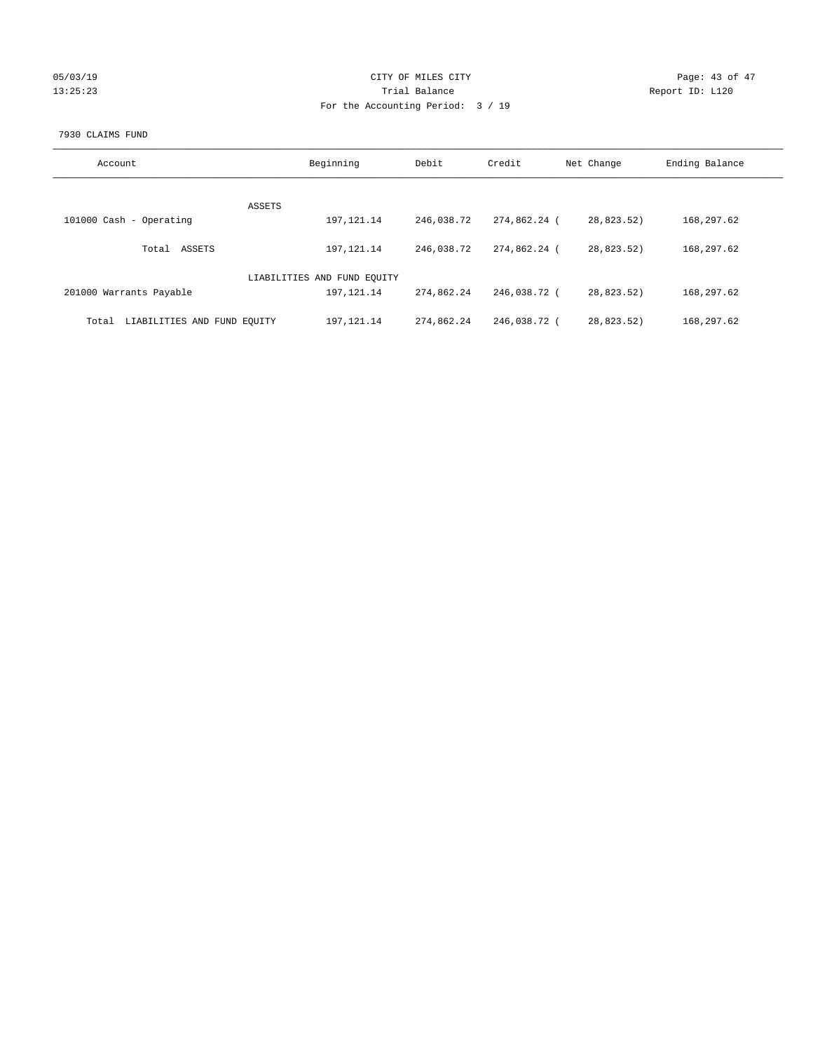| 05/03/19 |  |
|----------|--|
| 13:25:23 |  |

# CITY OF MILES CITY CONTROL CONTROL CITY CONTROL Page: 43 of 47 Prial Balance **13:23:23 Trial Balance** Report ID: L120 For the Accounting Period: 3 / 19

#### 7930 CLAIMS FUND

| Account                              | Beginning                   | Debit      | Credit       | Net Change | Ending Balance |
|--------------------------------------|-----------------------------|------------|--------------|------------|----------------|
| ASSETS                               |                             |            |              |            |                |
| 101000 Cash - Operating              | 197, 121. 14                | 246,038.72 | 274,862.24 ( | 28,823.52) | 168,297.62     |
| ASSETS<br>Total                      | 197, 121. 14                | 246,038.72 | 274,862.24 ( | 28,823.52) | 168,297.62     |
|                                      | LIABILITIES AND FUND EQUITY |            |              |            |                |
| 201000 Warrants Payable              | 197, 121. 14                | 274,862.24 | 246,038.72 ( | 28,823.52) | 168,297.62     |
| LIABILITIES AND FUND EQUITY<br>Total | 197, 121. 14                | 274,862.24 | 246,038.72 ( | 28,823.52) | 168,297.62     |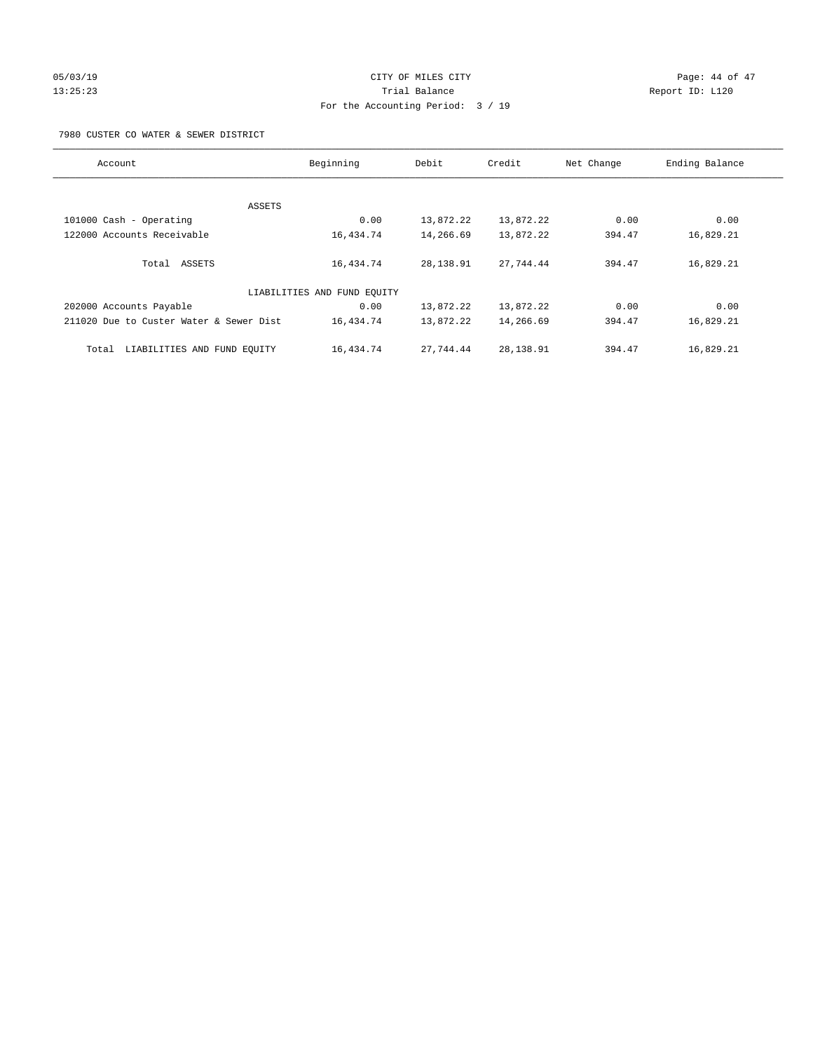# 05/03/19 Page: 44 of 47 13:25:23 Trial Balance Report ID: L120 For the Accounting Period: 3 / 19

7980 CUSTER CO WATER & SEWER DISTRICT

| Account                                 | Beginning                   | Debit     | Credit    | Net Change | Ending Balance |
|-----------------------------------------|-----------------------------|-----------|-----------|------------|----------------|
|                                         |                             |           |           |            |                |
| ASSETS                                  |                             |           |           |            |                |
| 101000 Cash - Operating                 | 0.00                        | 13,872.22 | 13,872.22 | 0.00       | 0.00           |
| 122000 Accounts Receivable              | 16,434.74                   | 14,266.69 | 13,872.22 | 394.47     | 16,829.21      |
| Total ASSETS                            | 16,434.74                   | 28,138.91 | 27.744.44 | 394.47     | 16,829.21      |
|                                         | LIABILITIES AND FUND EQUITY |           |           |            |                |
| 202000 Accounts Payable                 | 0.00                        | 13,872.22 | 13,872.22 | 0.00       | 0.00           |
| 211020 Due to Custer Water & Sewer Dist | 16,434.74                   | 13,872.22 | 14,266.69 | 394.47     | 16,829.21      |
| LIABILITIES AND FUND EQUITY<br>Total    | 16,434.74                   | 27.744.44 | 28,138.91 | 394.47     | 16,829.21      |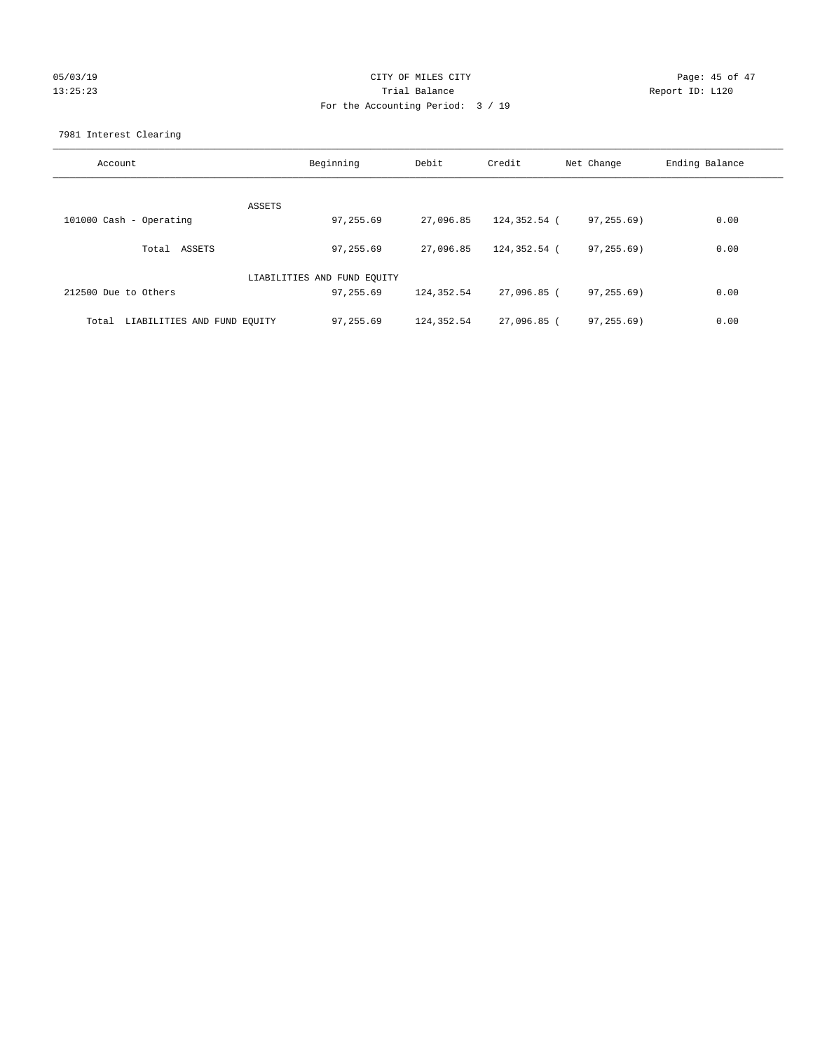# 05/03/19 Page: 45 of 47 13:25:23 Trial Balance Report ID: L120 For the Accounting Period: 3 / 19

7981 Interest Clearing

| Account                           | Beginning                   | Debit      | Credit       | Net Change | Ending Balance |
|-----------------------------------|-----------------------------|------------|--------------|------------|----------------|
|                                   | ASSETS                      |            |              |            |                |
| 101000 Cash - Operating           | 97,255.69                   | 27,096.85  | 124,352.54 ( | 97,255.69) | 0.00           |
| Total ASSETS                      | 97,255.69                   | 27,096.85  | 124,352.54 ( | 97,255.69) | 0.00           |
|                                   | LIABILITIES AND FUND EQUITY |            |              |            |                |
| 212500 Due to Others              | 97,255.69                   | 124,352.54 | 27,096.85 (  | 97,255.69) | 0.00           |
| Total LIABILITIES AND FUND EOUITY | 97,255.69                   | 124,352.54 | 27,096.85 (  | 97, 255.69 | 0.00           |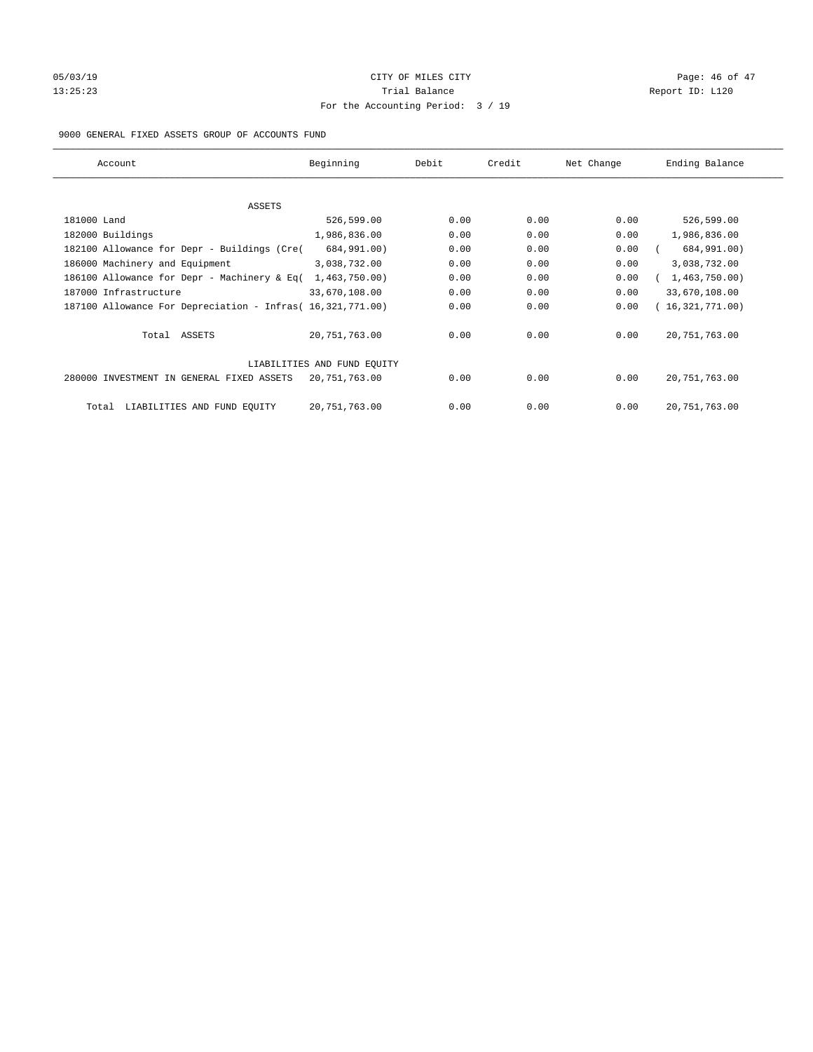# 05/03/19 Page: 46 of 47 13:25:23 Trial Balance Report ID: L120 For the Accounting Period: 3 / 19

#### 9000 GENERAL FIXED ASSETS GROUP OF ACCOUNTS FUND

| Account                                                    | Beginning                   | Debit | Credit | Net Change | Ending Balance  |
|------------------------------------------------------------|-----------------------------|-------|--------|------------|-----------------|
| ASSETS                                                     |                             |       |        |            |                 |
| 181000 Land                                                | 526,599.00                  | 0.00  | 0.00   | 0.00       | 526,599.00      |
| 182000 Buildings                                           | 1,986,836.00                | 0.00  | 0.00   | 0.00       | 1,986,836.00    |
| 182100 Allowance for Depr - Buildings (Cre(                | 684,991.00)                 | 0.00  | 0.00   | 0.00       | 684,991.00)     |
| 186000 Machinery and Equipment                             | 3,038,732.00                | 0.00  | 0.00   | 0.00       | 3,038,732.00    |
| 186100 Allowance for Depr - Machinery & Eq(                | 1,463,750.00)               | 0.00  | 0.00   | 0.00       | 1,463,750.00)   |
| 187000 Infrastructure                                      | 33,670,108.00               | 0.00  | 0.00   | 0.00       | 33,670,108.00   |
| 187100 Allowance For Depreciation - Infras( 16,321,771.00) |                             | 0.00  | 0.00   | 0.00       | 16,321,771.00)  |
| Total ASSETS                                               | 20,751,763.00               | 0.00  | 0.00   | 0.00       | 20, 751, 763.00 |
|                                                            | LIABILITIES AND FUND EQUITY |       |        |            |                 |
| 280000 INVESTMENT IN GENERAL FIXED ASSETS                  | 20,751,763.00               | 0.00  | 0.00   | 0.00       | 20, 751, 763.00 |
| LIABILITIES AND FUND EQUITY<br>Total                       | 20, 751, 763.00             | 0.00  | 0.00   | 0.00       | 20, 751, 763.00 |